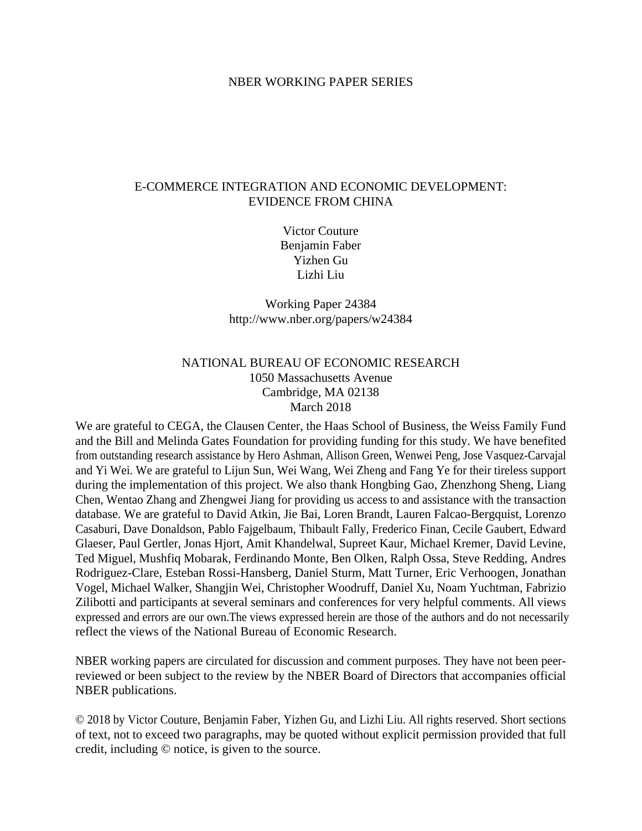#### NBER WORKING PAPER SERIES

## E-COMMERCE INTEGRATION AND ECONOMIC DEVELOPMENT: EVIDENCE FROM CHINA

Victor Couture Benjamin Faber Yizhen Gu Lizhi Liu

Working Paper 24384 http://www.nber.org/papers/w24384

# NATIONAL BUREAU OF ECONOMIC RESEARCH 1050 Massachusetts Avenue Cambridge, MA 02138 March 2018

We are grateful to CEGA, the Clausen Center, the Haas School of Business, the Weiss Family Fund and the Bill and Melinda Gates Foundation for providing funding for this study. We have benefited from outstanding research assistance by Hero Ashman, Allison Green, Wenwei Peng, Jose Vasquez-Carvajal and Yi Wei. We are grateful to Lijun Sun, Wei Wang, Wei Zheng and Fang Ye for their tireless support during the implementation of this project. We also thank Hongbing Gao, Zhenzhong Sheng, Liang Chen, Wentao Zhang and Zhengwei Jiang for providing us access to and assistance with the transaction database. We are grateful to David Atkin, Jie Bai, Loren Brandt, Lauren Falcao-Bergquist, Lorenzo Casaburi, Dave Donaldson, Pablo Fajgelbaum, Thibault Fally, Frederico Finan, Cecile Gaubert, Edward Glaeser, Paul Gertler, Jonas Hjort, Amit Khandelwal, Supreet Kaur, Michael Kremer, David Levine, Ted Miguel, Mushfiq Mobarak, Ferdinando Monte, Ben Olken, Ralph Ossa, Steve Redding, Andres Rodriguez-Clare, Esteban Rossi-Hansberg, Daniel Sturm, Matt Turner, Eric Verhoogen, Jonathan Vogel, Michael Walker, Shangjin Wei, Christopher Woodruff, Daniel Xu, Noam Yuchtman, Fabrizio Zilibotti and participants at several seminars and conferences for very helpful comments. All views expressed and errors are our own.The views expressed herein are those of the authors and do not necessarily reflect the views of the National Bureau of Economic Research.

NBER working papers are circulated for discussion and comment purposes. They have not been peerreviewed or been subject to the review by the NBER Board of Directors that accompanies official NBER publications.

© 2018 by Victor Couture, Benjamin Faber, Yizhen Gu, and Lizhi Liu. All rights reserved. Short sections of text, not to exceed two paragraphs, may be quoted without explicit permission provided that full credit, including © notice, is given to the source.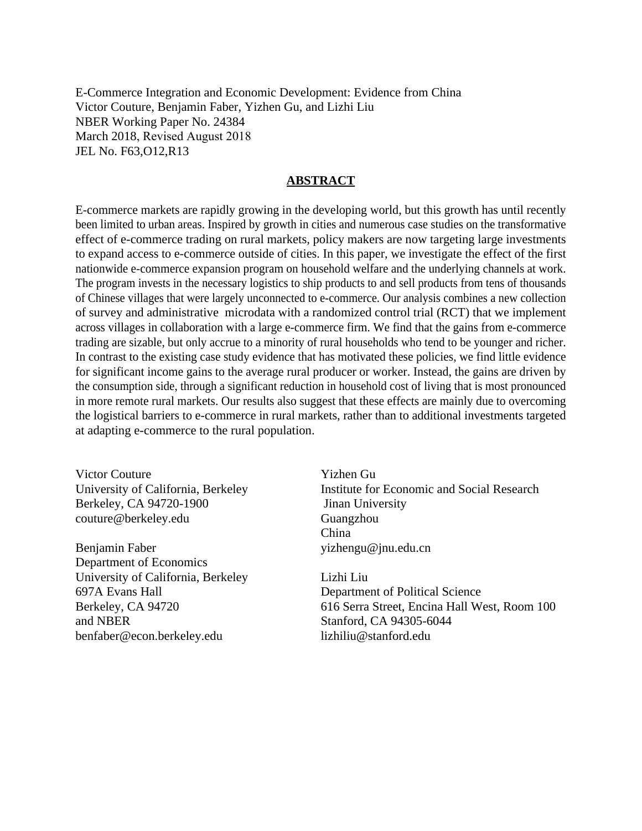E-Commerce Integration and Economic Development: Evidence from China Victor Couture, Benjamin Faber, Yizhen Gu, and Lizhi Liu NBER Working Paper No. 24384 March 2018, Revised August 2018 JEL No. F63,O12,R13

# **ABSTRACT**

E-commerce markets are rapidly growing in the developing world, but this growth has until recently been limited to urban areas. Inspired by growth in cities and numerous case studies on the transformative effect of e-commerce trading on rural markets, policy makers are now targeting large investments to expand access to e-commerce outside of cities. In this paper, we investigate the effect of the first nationwide e-commerce expansion program on household welfare and the underlying channels at work. The program invests in the necessary logistics to ship products to and sell products from tens of thousands of Chinese villages that were largely unconnected to e-commerce. Our analysis combines a new collection of survey and administrative microdata with a randomized control trial (RCT) that we implement across villages in collaboration with a large e-commerce firm. We find that the gains from e-commerce trading are sizable, but only accrue to a minority of rural households who tend to be younger and richer. In contrast to the existing case study evidence that has motivated these policies, we find little evidence for significant income gains to the average rural producer or worker. Instead, the gains are driven by the consumption side, through a significant reduction in household cost of living that is most pronounced in more remote rural markets. Our results also suggest that these effects are mainly due to overcoming the logistical barriers to e-commerce in rural markets, rather than to additional investments targeted at adapting e-commerce to the rural population.

Victor Couture University of California, Berkeley Berkeley, CA 94720-1900 couture@berkeley.edu

Benjamin Faber Department of Economics University of California, Berkeley 697A Evans Hall Berkeley, CA 94720 and NBER benfaber@econ.berkeley.edu

Yizhen Gu Institute for Economic and Social Research Jinan University Guangzhou China yizhengu@jnu.edu.cn

Lizhi Liu Department of Political Science 616 Serra Street, Encina Hall West, Room 100 Stanford, CA 94305-6044 lizhiliu@stanford.edu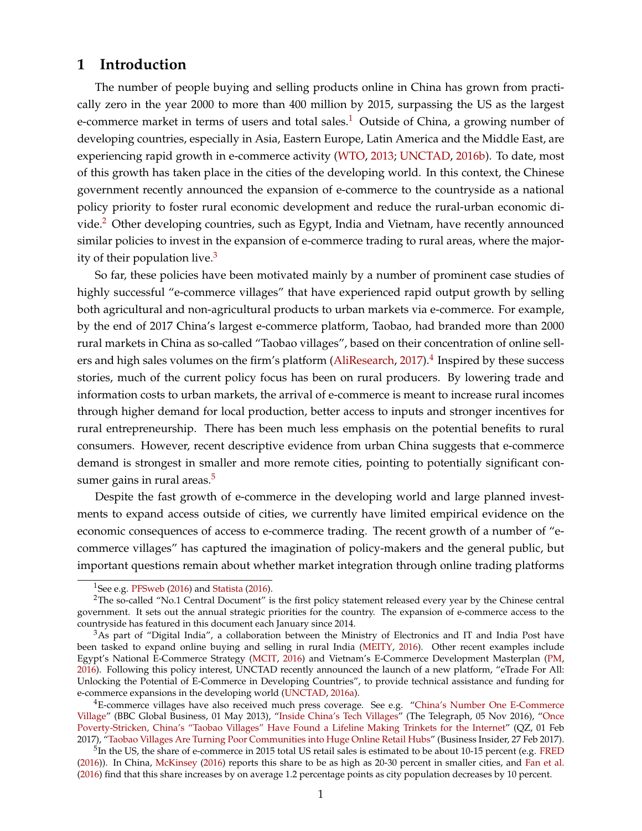# **1 Introduction**

The number of people buying and selling products online in China has grown from practically zero in the year 2000 to more than 400 million by 2015, surpassing the US as the largest e-commerce market in terms of users and total sales.<sup>[1](#page--1-0)</sup> Outside of China, a growing number of developing countries, especially in Asia, Eastern Europe, Latin America and the Middle East, are experiencing rapid growth in e-commerce activity [\(WTO,](#page-38-0) [2013;](#page-38-0) [UNCTAD,](#page-38-1) [2016b\)](#page-38-1). To date, most of this growth has taken place in the cities of the developing world. In this context, the Chinese government recently announced the expansion of e-commerce to the countryside as a national policy priority to foster rural economic development and reduce the rural-urban economic di-vide.<sup>[2](#page--1-0)</sup> Other developing countries, such as Egypt, India and Vietnam, have recently announced similar policies to invest in the expansion of e-commerce trading to rural areas, where the majority of their population live. $3$ 

So far, these policies have been motivated mainly by a number of prominent case studies of highly successful "e-commerce villages" that have experienced rapid output growth by selling both agricultural and non-agricultural products to urban markets via e-commerce. For example, by the end of 2017 China's largest e-commerce platform, Taobao, had branded more than 2000 rural markets in China as so-called "Taobao villages", based on their concentration of online sell-ers and high sales volumes on the firm's platform [\(AliResearch,](#page-36-0) [2017\)](#page-36-0).<sup>[4](#page--1-0)</sup> Inspired by these success stories, much of the current policy focus has been on rural producers. By lowering trade and information costs to urban markets, the arrival of e-commerce is meant to increase rural incomes through higher demand for local production, better access to inputs and stronger incentives for rural entrepreneurship. There has been much less emphasis on the potential benefits to rural consumers. However, recent descriptive evidence from urban China suggests that e-commerce demand is strongest in smaller and more remote cities, pointing to potentially significant con-sumer gains in rural areas.<sup>[5](#page--1-0)</sup>

Despite the fast growth of e-commerce in the developing world and large planned investments to expand access outside of cities, we currently have limited empirical evidence on the economic consequences of access to e-commerce trading. The recent growth of a number of "ecommerce villages" has captured the imagination of policy-makers and the general public, but important questions remain about whether market integration through online trading platforms

<sup>&</sup>lt;sup>1</sup>See e.g. [PFSweb](#page-37-0) [\(2016\)](#page-37-1) and [Statista](#page-37-1) (2016).

<sup>2</sup>The so-called "No.1 Central Document" is the first policy statement released every year by the Chinese central government. It sets out the annual strategic priorities for the country. The expansion of e-commerce access to the countryside has featured in this document each January since 2014.

 $3$ As part of "Digital India", a collaboration between the Ministry of Electronics and IT and India Post have been tasked to expand online buying and selling in rural India [\(MEITY,](#page-37-2) [2016\)](#page-37-2). Other recent examples include Egypt's National E-Commerce Strategy [\(MCIT,](#page-37-3) [2016\)](#page-37-3) and Vietnam's E-Commerce Development Masterplan [\(PM,](#page-37-4) [2016\)](#page-37-4). Following this policy interest, UNCTAD recently announced the launch of a new platform, "eTrade For All: Unlocking the Potential of E-Commerce in Developing Countries", to provide technical assistance and funding for e-commerce expansions in the developing world [\(UNCTAD,](#page-38-2) [2016a\)](#page-38-2).

 $4E$ -commerce villages have also received much press coverage. See e.g. ["China's Number One E-Commerce](http://www.bbc.co.uk/programmes/p033z2yw/p033yssy) [Village"](http://www.bbc.co.uk/programmes/p033z2yw/p033yssy) (BBC Global Business, 01 May 2013), ["Inside China's Tech Villages"](http://www.telegraph.co.uk/news/2016/11/05/inside-chinas-tech-villages-where-farmers-have-replaced-communis/) (The Telegraph, 05 Nov 2016), ["Once](https://qz.com/899922/once-poverty-stricken-chinas-taobao-villages-have-found-a-lifeline-making-trinkets-for-the-internet/) [Poverty-Stricken, China's "Taobao Villages" Have Found a Lifeline Making Trinkets for the Internet"](https://qz.com/899922/once-poverty-stricken-chinas-taobao-villages-have-found-a-lifeline-making-trinkets-for-the-internet/) (QZ, 01 Feb 2017), ["Taobao Villages Are Turning Poor Communities into Huge Online Retail Hubs"](http://www.businessinsider.com/chinese-taobao-villages-escape-poverty-2017-2) (Business Insider, 27 Feb 2017).

 $^5$ In the US, the share of e-commerce in 2015 total US retail sales is estimated to be about 10-15 percent (e.g. [FRED](#page-37-5) [\(2016\)](#page-37-5)). In China, [McKinsey](#page-37-6) [\(2016\)](#page-37-6) reports this share to be as high as 20-30 percent in smaller cities, and [Fan et al.](#page-36-1) [\(2016\)](#page-36-1) find that this share increases by on average 1.2 percentage points as city population decreases by 10 percent.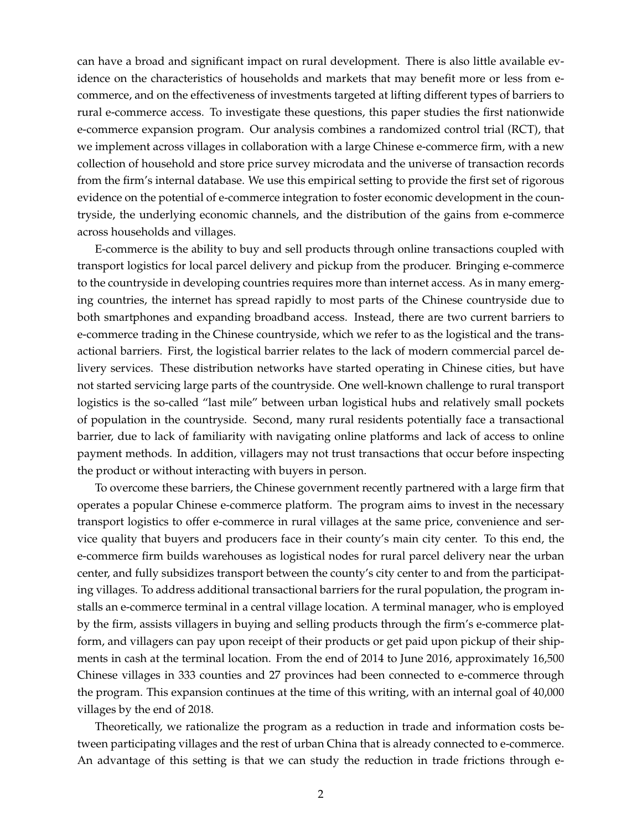can have a broad and significant impact on rural development. There is also little available evidence on the characteristics of households and markets that may benefit more or less from ecommerce, and on the effectiveness of investments targeted at lifting different types of barriers to rural e-commerce access. To investigate these questions, this paper studies the first nationwide e-commerce expansion program. Our analysis combines a randomized control trial (RCT), that we implement across villages in collaboration with a large Chinese e-commerce firm, with a new collection of household and store price survey microdata and the universe of transaction records from the firm's internal database. We use this empirical setting to provide the first set of rigorous evidence on the potential of e-commerce integration to foster economic development in the countryside, the underlying economic channels, and the distribution of the gains from e-commerce across households and villages.

E-commerce is the ability to buy and sell products through online transactions coupled with transport logistics for local parcel delivery and pickup from the producer. Bringing e-commerce to the countryside in developing countries requires more than internet access. As in many emerging countries, the internet has spread rapidly to most parts of the Chinese countryside due to both smartphones and expanding broadband access. Instead, there are two current barriers to e-commerce trading in the Chinese countryside, which we refer to as the logistical and the transactional barriers. First, the logistical barrier relates to the lack of modern commercial parcel delivery services. These distribution networks have started operating in Chinese cities, but have not started servicing large parts of the countryside. One well-known challenge to rural transport logistics is the so-called "last mile" between urban logistical hubs and relatively small pockets of population in the countryside. Second, many rural residents potentially face a transactional barrier, due to lack of familiarity with navigating online platforms and lack of access to online payment methods. In addition, villagers may not trust transactions that occur before inspecting the product or without interacting with buyers in person.

To overcome these barriers, the Chinese government recently partnered with a large firm that operates a popular Chinese e-commerce platform. The program aims to invest in the necessary transport logistics to offer e-commerce in rural villages at the same price, convenience and service quality that buyers and producers face in their county's main city center. To this end, the e-commerce firm builds warehouses as logistical nodes for rural parcel delivery near the urban center, and fully subsidizes transport between the county's city center to and from the participating villages. To address additional transactional barriers for the rural population, the program installs an e-commerce terminal in a central village location. A terminal manager, who is employed by the firm, assists villagers in buying and selling products through the firm's e-commerce platform, and villagers can pay upon receipt of their products or get paid upon pickup of their shipments in cash at the terminal location. From the end of 2014 to June 2016, approximately 16,500 Chinese villages in 333 counties and 27 provinces had been connected to e-commerce through the program. This expansion continues at the time of this writing, with an internal goal of 40,000 villages by the end of 2018.

Theoretically, we rationalize the program as a reduction in trade and information costs between participating villages and the rest of urban China that is already connected to e-commerce. An advantage of this setting is that we can study the reduction in trade frictions through e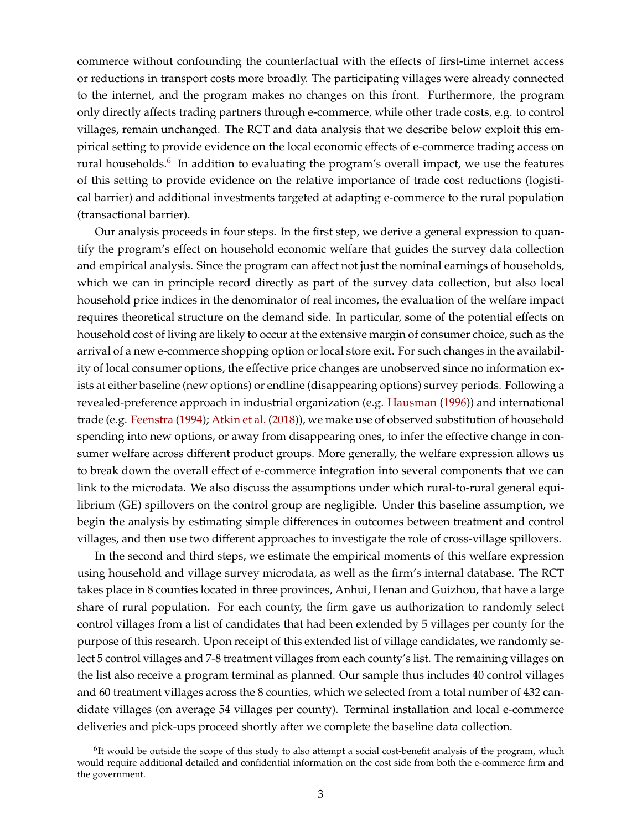commerce without confounding the counterfactual with the effects of first-time internet access or reductions in transport costs more broadly. The participating villages were already connected to the internet, and the program makes no changes on this front. Furthermore, the program only directly affects trading partners through e-commerce, while other trade costs, e.g. to control villages, remain unchanged. The RCT and data analysis that we describe below exploit this empirical setting to provide evidence on the local economic effects of e-commerce trading access on rural households.<sup>[6](#page--1-0)</sup> In addition to evaluating the program's overall impact, we use the features of this setting to provide evidence on the relative importance of trade cost reductions (logistical barrier) and additional investments targeted at adapting e-commerce to the rural population (transactional barrier).

Our analysis proceeds in four steps. In the first step, we derive a general expression to quantify the program's effect on household economic welfare that guides the survey data collection and empirical analysis. Since the program can affect not just the nominal earnings of households, which we can in principle record directly as part of the survey data collection, but also local household price indices in the denominator of real incomes, the evaluation of the welfare impact requires theoretical structure on the demand side. In particular, some of the potential effects on household cost of living are likely to occur at the extensive margin of consumer choice, such as the arrival of a new e-commerce shopping option or local store exit. For such changes in the availability of local consumer options, the effective price changes are unobserved since no information exists at either baseline (new options) or endline (disappearing options) survey periods. Following a revealed-preference approach in industrial organization (e.g. [Hausman](#page-37-7) [\(1996\)](#page-37-7)) and international trade (e.g. [Feenstra](#page-36-2) [\(1994\)](#page-36-2); [Atkin et al.](#page-36-3) [\(2018\)](#page-36-3)), we make use of observed substitution of household spending into new options, or away from disappearing ones, to infer the effective change in consumer welfare across different product groups. More generally, the welfare expression allows us to break down the overall effect of e-commerce integration into several components that we can link to the microdata. We also discuss the assumptions under which rural-to-rural general equilibrium (GE) spillovers on the control group are negligible. Under this baseline assumption, we begin the analysis by estimating simple differences in outcomes between treatment and control villages, and then use two different approaches to investigate the role of cross-village spillovers.

In the second and third steps, we estimate the empirical moments of this welfare expression using household and village survey microdata, as well as the firm's internal database. The RCT takes place in 8 counties located in three provinces, Anhui, Henan and Guizhou, that have a large share of rural population. For each county, the firm gave us authorization to randomly select control villages from a list of candidates that had been extended by 5 villages per county for the purpose of this research. Upon receipt of this extended list of village candidates, we randomly select 5 control villages and 7-8 treatment villages from each county's list. The remaining villages on the list also receive a program terminal as planned. Our sample thus includes 40 control villages and 60 treatment villages across the 8 counties, which we selected from a total number of 432 candidate villages (on average 54 villages per county). Terminal installation and local e-commerce deliveries and pick-ups proceed shortly after we complete the baseline data collection.

<sup>&</sup>lt;sup>6</sup>It would be outside the scope of this study to also attempt a social cost-benefit analysis of the program, which would require additional detailed and confidential information on the cost side from both the e-commerce firm and the government.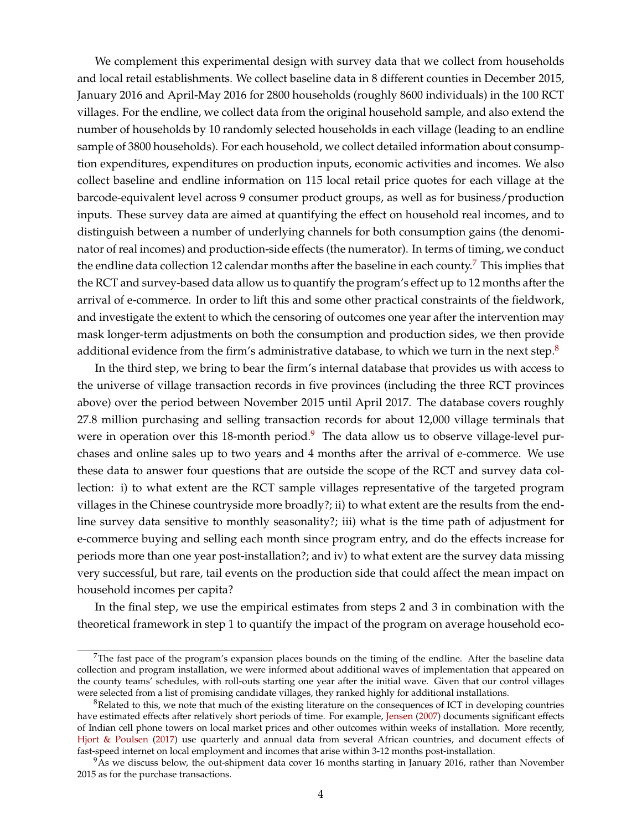We complement this experimental design with survey data that we collect from households and local retail establishments. We collect baseline data in 8 different counties in December 2015, January 2016 and April-May 2016 for 2800 households (roughly 8600 individuals) in the 100 RCT villages. For the endline, we collect data from the original household sample, and also extend the number of households by 10 randomly selected households in each village (leading to an endline sample of 3800 households). For each household, we collect detailed information about consumption expenditures, expenditures on production inputs, economic activities and incomes. We also collect baseline and endline information on 115 local retail price quotes for each village at the barcode-equivalent level across 9 consumer product groups, as well as for business/production inputs. These survey data are aimed at quantifying the effect on household real incomes, and to distinguish between a number of underlying channels for both consumption gains (the denominator of real incomes) and production-side effects (the numerator). In terms of timing, we conduct the endline data collection 12 calendar months after the baseline in each county.<sup>[7](#page--1-0)</sup> This implies that the RCT and survey-based data allow us to quantify the program's effect up to 12 months after the arrival of e-commerce. In order to lift this and some other practical constraints of the fieldwork, and investigate the extent to which the censoring of outcomes one year after the intervention may mask longer-term adjustments on both the consumption and production sides, we then provide additional evidence from the firm's administrative database, to which we turn in the next step. $8$ 

In the third step, we bring to bear the firm's internal database that provides us with access to the universe of village transaction records in five provinces (including the three RCT provinces above) over the period between November 2015 until April 2017. The database covers roughly 27.8 million purchasing and selling transaction records for about 12,000 village terminals that were in operation over this 18-month period. $9$  The data allow us to observe village-level purchases and online sales up to two years and 4 months after the arrival of e-commerce. We use these data to answer four questions that are outside the scope of the RCT and survey data collection: i) to what extent are the RCT sample villages representative of the targeted program villages in the Chinese countryside more broadly?; ii) to what extent are the results from the endline survey data sensitive to monthly seasonality?; iii) what is the time path of adjustment for e-commerce buying and selling each month since program entry, and do the effects increase for periods more than one year post-installation?; and iv) to what extent are the survey data missing very successful, but rare, tail events on the production side that could affect the mean impact on household incomes per capita?

In the final step, we use the empirical estimates from steps 2 and 3 in combination with the theoretical framework in step 1 to quantify the impact of the program on average household eco-

 $7$ The fast pace of the program's expansion places bounds on the timing of the endline. After the baseline data collection and program installation, we were informed about additional waves of implementation that appeared on the county teams' schedules, with roll-outs starting one year after the initial wave. Given that our control villages were selected from a list of promising candidate villages, they ranked highly for additional installations.

 $8R$ elated to this, we note that much of the existing literature on the consequences of ICT in developing countries have estimated effects after relatively short periods of time. For example, [Jensen](#page-37-8) [\(2007\)](#page-37-8) documents significant effects of Indian cell phone towers on local market prices and other outcomes within weeks of installation. More recently, [Hjort & Poulsen](#page-37-9) [\(2017\)](#page-37-9) use quarterly and annual data from several African countries, and document effects of fast-speed internet on local employment and incomes that arise within 3-12 months post-installation.

<sup>&</sup>lt;sup>9</sup>As we discuss below, the out-shipment data cover 16 months starting in January 2016, rather than November 2015 as for the purchase transactions.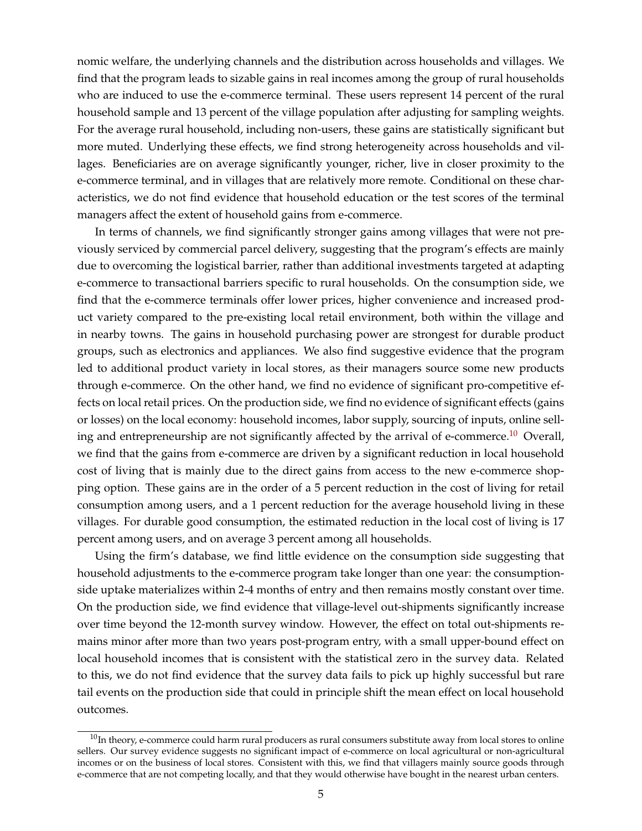nomic welfare, the underlying channels and the distribution across households and villages. We find that the program leads to sizable gains in real incomes among the group of rural households who are induced to use the e-commerce terminal. These users represent 14 percent of the rural household sample and 13 percent of the village population after adjusting for sampling weights. For the average rural household, including non-users, these gains are statistically significant but more muted. Underlying these effects, we find strong heterogeneity across households and villages. Beneficiaries are on average significantly younger, richer, live in closer proximity to the e-commerce terminal, and in villages that are relatively more remote. Conditional on these characteristics, we do not find evidence that household education or the test scores of the terminal managers affect the extent of household gains from e-commerce.

In terms of channels, we find significantly stronger gains among villages that were not previously serviced by commercial parcel delivery, suggesting that the program's effects are mainly due to overcoming the logistical barrier, rather than additional investments targeted at adapting e-commerce to transactional barriers specific to rural households. On the consumption side, we find that the e-commerce terminals offer lower prices, higher convenience and increased product variety compared to the pre-existing local retail environment, both within the village and in nearby towns. The gains in household purchasing power are strongest for durable product groups, such as electronics and appliances. We also find suggestive evidence that the program led to additional product variety in local stores, as their managers source some new products through e-commerce. On the other hand, we find no evidence of significant pro-competitive effects on local retail prices. On the production side, we find no evidence of significant effects (gains or losses) on the local economy: household incomes, labor supply, sourcing of inputs, online sell-ing and entrepreneurship are not significantly affected by the arrival of e-commerce.<sup>[10](#page--1-0)</sup> Overall, we find that the gains from e-commerce are driven by a significant reduction in local household cost of living that is mainly due to the direct gains from access to the new e-commerce shopping option. These gains are in the order of a 5 percent reduction in the cost of living for retail consumption among users, and a 1 percent reduction for the average household living in these villages. For durable good consumption, the estimated reduction in the local cost of living is 17 percent among users, and on average 3 percent among all households.

Using the firm's database, we find little evidence on the consumption side suggesting that household adjustments to the e-commerce program take longer than one year: the consumptionside uptake materializes within 2-4 months of entry and then remains mostly constant over time. On the production side, we find evidence that village-level out-shipments significantly increase over time beyond the 12-month survey window. However, the effect on total out-shipments remains minor after more than two years post-program entry, with a small upper-bound effect on local household incomes that is consistent with the statistical zero in the survey data. Related to this, we do not find evidence that the survey data fails to pick up highly successful but rare tail events on the production side that could in principle shift the mean effect on local household outcomes.

 $10$ In theory, e-commerce could harm rural producers as rural consumers substitute away from local stores to online sellers. Our survey evidence suggests no significant impact of e-commerce on local agricultural or non-agricultural incomes or on the business of local stores. Consistent with this, we find that villagers mainly source goods through e-commerce that are not competing locally, and that they would otherwise have bought in the nearest urban centers.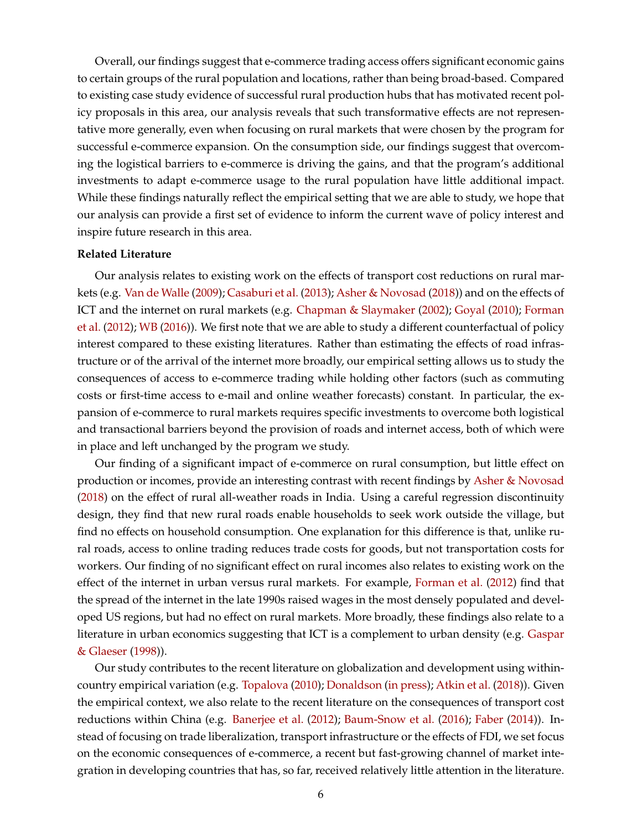Overall, our findings suggest that e-commerce trading access offers significant economic gains to certain groups of the rural population and locations, rather than being broad-based. Compared to existing case study evidence of successful rural production hubs that has motivated recent policy proposals in this area, our analysis reveals that such transformative effects are not representative more generally, even when focusing on rural markets that were chosen by the program for successful e-commerce expansion. On the consumption side, our findings suggest that overcoming the logistical barriers to e-commerce is driving the gains, and that the program's additional investments to adapt e-commerce usage to the rural population have little additional impact. While these findings naturally reflect the empirical setting that we are able to study, we hope that our analysis can provide a first set of evidence to inform the current wave of policy interest and inspire future research in this area.

#### **Related Literature**

Our analysis relates to existing work on the effects of transport cost reductions on rural markets (e.g. [Van de Walle](#page-38-3) [\(2009\)](#page-38-3); [Casaburi et al.](#page-36-4) [\(2013\)](#page-36-4); [Asher & Novosad](#page-36-5) [\(2018\)](#page-36-5)) and on the effects of ICT and the internet on rural markets (e.g. [Chapman & Slaymaker](#page-36-6) [\(2002\)](#page-36-6); [Goyal](#page-37-10) [\(2010\)](#page-37-10); [Forman](#page-36-7) [et al.](#page-36-7) [\(2012\)](#page-36-7); [WB](#page-38-4) [\(2016\)](#page-38-4)). We first note that we are able to study a different counterfactual of policy interest compared to these existing literatures. Rather than estimating the effects of road infrastructure or of the arrival of the internet more broadly, our empirical setting allows us to study the consequences of access to e-commerce trading while holding other factors (such as commuting costs or first-time access to e-mail and online weather forecasts) constant. In particular, the expansion of e-commerce to rural markets requires specific investments to overcome both logistical and transactional barriers beyond the provision of roads and internet access, both of which were in place and left unchanged by the program we study.

Our finding of a significant impact of e-commerce on rural consumption, but little effect on production or incomes, provide an interesting contrast with recent findings by [Asher & Novosad](#page-36-5) [\(2018\)](#page-36-5) on the effect of rural all-weather roads in India. Using a careful regression discontinuity design, they find that new rural roads enable households to seek work outside the village, but find no effects on household consumption. One explanation for this difference is that, unlike rural roads, access to online trading reduces trade costs for goods, but not transportation costs for workers. Our finding of no significant effect on rural incomes also relates to existing work on the effect of the internet in urban versus rural markets. For example, [Forman et al.](#page-36-7) [\(2012\)](#page-36-7) find that the spread of the internet in the late 1990s raised wages in the most densely populated and developed US regions, but had no effect on rural markets. More broadly, these findings also relate to a literature in urban economics suggesting that ICT is a complement to urban density (e.g. [Gaspar](#page-37-11) [& Glaeser](#page-37-11) [\(1998\)](#page-37-11)).

Our study contributes to the recent literature on globalization and development using withincountry empirical variation (e.g. [Topalova](#page-38-5) [\(2010\)](#page-38-5); [Donaldson](#page-36-8) [\(in press\)](#page-36-8); [Atkin et al.](#page-36-3) [\(2018\)](#page-36-3)). Given the empirical context, we also relate to the recent literature on the consequences of transport cost reductions within China (e.g. [Banerjee et al.](#page-36-9) [\(2012\)](#page-36-9); [Baum-Snow et al.](#page-36-10) [\(2016\)](#page-36-10); [Faber](#page-36-11) [\(2014\)](#page-36-11)). Instead of focusing on trade liberalization, transport infrastructure or the effects of FDI, we set focus on the economic consequences of e-commerce, a recent but fast-growing channel of market integration in developing countries that has, so far, received relatively little attention in the literature.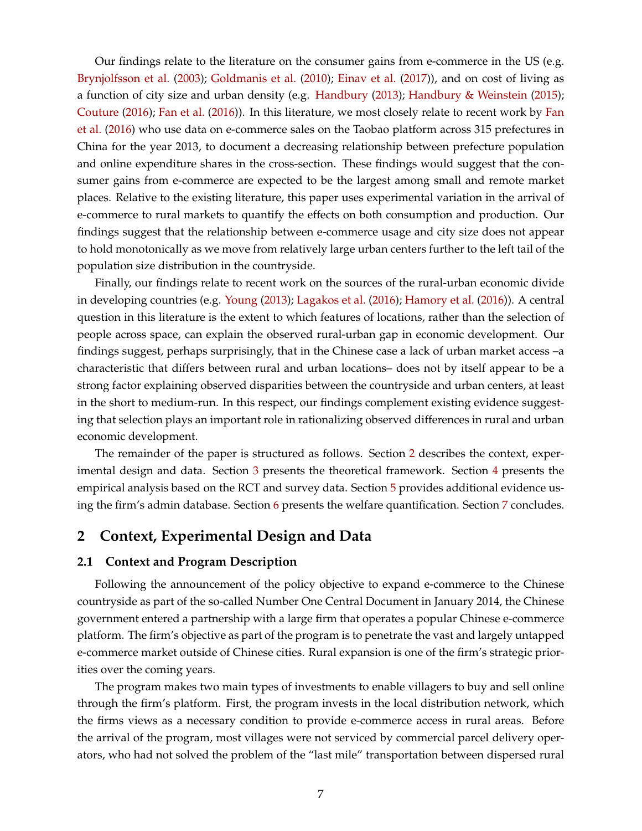<span id="page-8-1"></span>Our findings relate to the literature on the consumer gains from e-commerce in the US (e.g. [Brynjolfsson et al.](#page-36-12) [\(2003\)](#page-36-12); [Goldmanis et al.](#page-37-12) [\(2010\)](#page-37-12); [Einav et al.](#page-36-13) [\(2017\)](#page-36-13)), and on cost of living as a function of city size and urban density (e.g. [Handbury](#page-37-13) [\(2013\)](#page-37-13); [Handbury & Weinstein](#page-37-14) [\(2015\)](#page-37-14); [Couture](#page-36-14) [\(2016\)](#page-36-14); [Fan et al.](#page-36-1) [\(2016\)](#page-36-1)). In this literature, we most closely relate to recent work by [Fan](#page-36-1) [et al.](#page-36-1) [\(2016\)](#page-36-1) who use data on e-commerce sales on the Taobao platform across 315 prefectures in China for the year 2013, to document a decreasing relationship between prefecture population and online expenditure shares in the cross-section. These findings would suggest that the consumer gains from e-commerce are expected to be the largest among small and remote market places. Relative to the existing literature, this paper uses experimental variation in the arrival of e-commerce to rural markets to quantify the effects on both consumption and production. Our findings suggest that the relationship between e-commerce usage and city size does not appear to hold monotonically as we move from relatively large urban centers further to the left tail of the population size distribution in the countryside.

Finally, our findings relate to recent work on the sources of the rural-urban economic divide in developing countries (e.g. [Young](#page-38-6) [\(2013\)](#page-38-6); [Lagakos et al.](#page-37-15) [\(2016\)](#page-37-15); [Hamory et al.](#page-37-16) [\(2016\)](#page-37-16)). A central question in this literature is the extent to which features of locations, rather than the selection of people across space, can explain the observed rural-urban gap in economic development. Our findings suggest, perhaps surprisingly, that in the Chinese case a lack of urban market access –a characteristic that differs between rural and urban locations– does not by itself appear to be a strong factor explaining observed disparities between the countryside and urban centers, at least in the short to medium-run. In this respect, our findings complement existing evidence suggesting that selection plays an important role in rationalizing observed differences in rural and urban economic development.

The remainder of the paper is structured as follows. Section [2](#page-8-0) describes the context, experimental design and data. Section [3](#page-14-0) presents the theoretical framework. Section [4](#page-19-0) presents the empirical analysis based on the RCT and survey data. Section [5](#page-28-0) provides additional evidence using the firm's admin database. Section [6](#page-31-0) presents the welfare quantification. Section [7](#page-35-0) concludes.

# <span id="page-8-0"></span>**2 Context, Experimental Design and Data**

## **2.1 Context and Program Description**

Following the announcement of the policy objective to expand e-commerce to the Chinese countryside as part of the so-called Number One Central Document in January 2014, the Chinese government entered a partnership with a large firm that operates a popular Chinese e-commerce platform. The firm's objective as part of the program is to penetrate the vast and largely untapped e-commerce market outside of Chinese cities. Rural expansion is one of the firm's strategic priorities over the coming years.

The program makes two main types of investments to enable villagers to buy and sell online through the firm's platform. First, the program invests in the local distribution network, which the firms views as a necessary condition to provide e-commerce access in rural areas. Before the arrival of the program, most villages were not serviced by commercial parcel delivery operators, who had not solved the problem of the "last mile" transportation between dispersed rural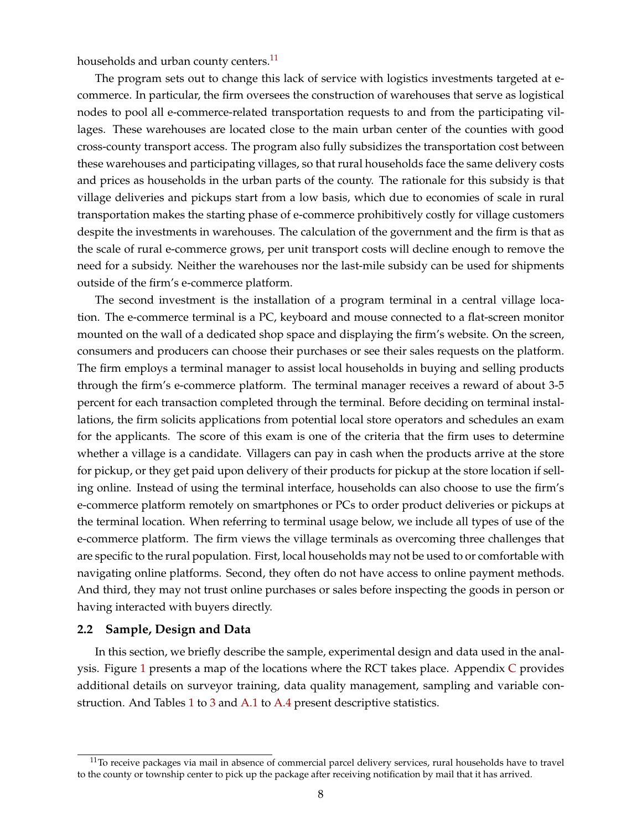households and urban county centers.<sup>[11](#page--1-0)</sup>

The program sets out to change this lack of service with logistics investments targeted at ecommerce. In particular, the firm oversees the construction of warehouses that serve as logistical nodes to pool all e-commerce-related transportation requests to and from the participating villages. These warehouses are located close to the main urban center of the counties with good cross-county transport access. The program also fully subsidizes the transportation cost between these warehouses and participating villages, so that rural households face the same delivery costs and prices as households in the urban parts of the county. The rationale for this subsidy is that village deliveries and pickups start from a low basis, which due to economies of scale in rural transportation makes the starting phase of e-commerce prohibitively costly for village customers despite the investments in warehouses. The calculation of the government and the firm is that as the scale of rural e-commerce grows, per unit transport costs will decline enough to remove the need for a subsidy. Neither the warehouses nor the last-mile subsidy can be used for shipments outside of the firm's e-commerce platform.

The second investment is the installation of a program terminal in a central village location. The e-commerce terminal is a PC, keyboard and mouse connected to a flat-screen monitor mounted on the wall of a dedicated shop space and displaying the firm's website. On the screen, consumers and producers can choose their purchases or see their sales requests on the platform. The firm employs a terminal manager to assist local households in buying and selling products through the firm's e-commerce platform. The terminal manager receives a reward of about 3-5 percent for each transaction completed through the terminal. Before deciding on terminal installations, the firm solicits applications from potential local store operators and schedules an exam for the applicants. The score of this exam is one of the criteria that the firm uses to determine whether a village is a candidate. Villagers can pay in cash when the products arrive at the store for pickup, or they get paid upon delivery of their products for pickup at the store location if selling online. Instead of using the terminal interface, households can also choose to use the firm's e-commerce platform remotely on smartphones or PCs to order product deliveries or pickups at the terminal location. When referring to terminal usage below, we include all types of use of the e-commerce platform. The firm views the village terminals as overcoming three challenges that are specific to the rural population. First, local households may not be used to or comfortable with navigating online platforms. Second, they often do not have access to online payment methods. And third, they may not trust online purchases or sales before inspecting the goods in person or having interacted with buyers directly.

#### **2.2 Sample, Design and Data**

In this section, we briefly describe the sample, experimental design and data used in the analysis. Figure  $1$  presents a map of the locations where the R[C](#page-64-0)T takes place. Appendix  $C$  provides additional details on surveyor training, data quality management, sampling and variable con-struction. And Tables [1](#page-42-0) to [3](#page-44-0) and [A.1](#page-53-0) to [A.4](#page-56-0) present descriptive statistics.

 $11$ To receive packages via mail in absence of commercial parcel delivery services, rural households have to travel to the county or township center to pick up the package after receiving notification by mail that it has arrived.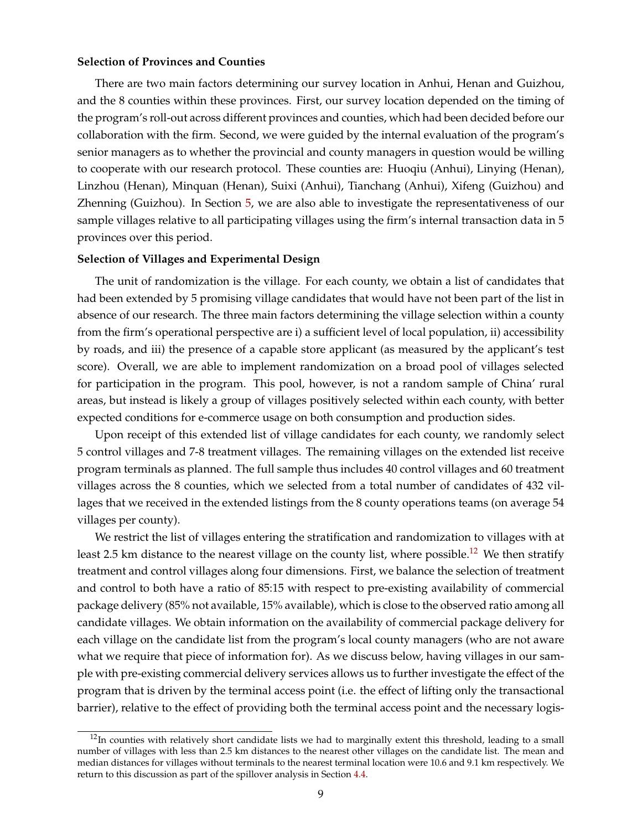#### **Selection of Provinces and Counties**

There are two main factors determining our survey location in Anhui, Henan and Guizhou, and the 8 counties within these provinces. First, our survey location depended on the timing of the program's roll-out across different provinces and counties, which had been decided before our collaboration with the firm. Second, we were guided by the internal evaluation of the program's senior managers as to whether the provincial and county managers in question would be willing to cooperate with our research protocol. These counties are: Huoqiu (Anhui), Linying (Henan), Linzhou (Henan), Minquan (Henan), Suixi (Anhui), Tianchang (Anhui), Xifeng (Guizhou) and Zhenning (Guizhou). In Section [5,](#page-28-0) we are also able to investigate the representativeness of our sample villages relative to all participating villages using the firm's internal transaction data in 5 provinces over this period.

#### **Selection of Villages and Experimental Design**

The unit of randomization is the village. For each county, we obtain a list of candidates that had been extended by 5 promising village candidates that would have not been part of the list in absence of our research. The three main factors determining the village selection within a county from the firm's operational perspective are i) a sufficient level of local population, ii) accessibility by roads, and iii) the presence of a capable store applicant (as measured by the applicant's test score). Overall, we are able to implement randomization on a broad pool of villages selected for participation in the program. This pool, however, is not a random sample of China' rural areas, but instead is likely a group of villages positively selected within each county, with better expected conditions for e-commerce usage on both consumption and production sides.

Upon receipt of this extended list of village candidates for each county, we randomly select 5 control villages and 7-8 treatment villages. The remaining villages on the extended list receive program terminals as planned. The full sample thus includes 40 control villages and 60 treatment villages across the 8 counties, which we selected from a total number of candidates of 432 villages that we received in the extended listings from the 8 county operations teams (on average 54 villages per county).

We restrict the list of villages entering the stratification and randomization to villages with at least 2.5 km distance to the nearest village on the county list, where possible.<sup>[12](#page--1-0)</sup> We then stratify treatment and control villages along four dimensions. First, we balance the selection of treatment and control to both have a ratio of 85:15 with respect to pre-existing availability of commercial package delivery (85% not available, 15% available), which is close to the observed ratio among all candidate villages. We obtain information on the availability of commercial package delivery for each village on the candidate list from the program's local county managers (who are not aware what we require that piece of information for). As we discuss below, having villages in our sample with pre-existing commercial delivery services allows us to further investigate the effect of the program that is driven by the terminal access point (i.e. the effect of lifting only the transactional barrier), relative to the effect of providing both the terminal access point and the necessary logis-

 $12$ In counties with relatively short candidate lists we had to marginally extent this threshold, leading to a small number of villages with less than 2.5 km distances to the nearest other villages on the candidate list. The mean and median distances for villages without terminals to the nearest terminal location were 10.6 and 9.1 km respectively. We return to this discussion as part of the spillover analysis in Section [4.4.](#page-25-0)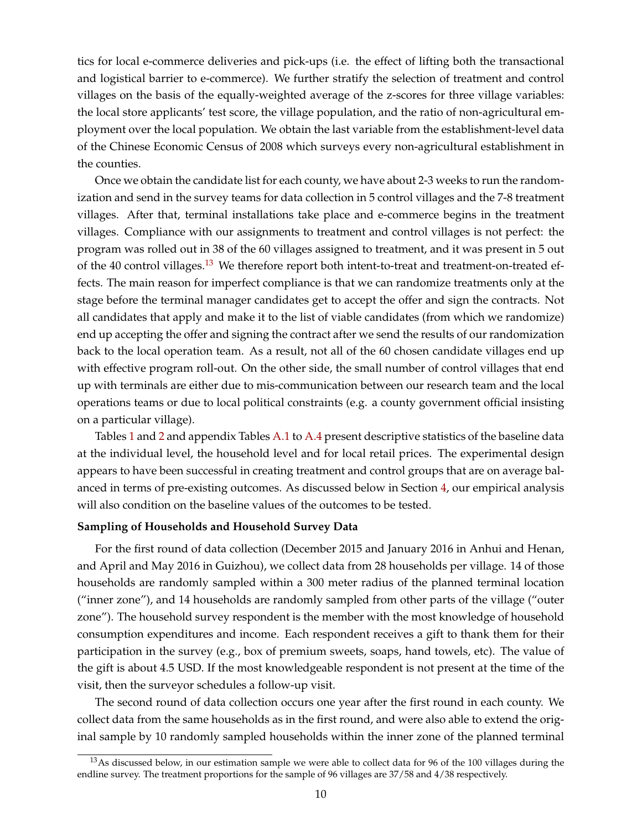tics for local e-commerce deliveries and pick-ups (i.e. the effect of lifting both the transactional and logistical barrier to e-commerce). We further stratify the selection of treatment and control villages on the basis of the equally-weighted average of the z-scores for three village variables: the local store applicants' test score, the village population, and the ratio of non-agricultural employment over the local population. We obtain the last variable from the establishment-level data of the Chinese Economic Census of 2008 which surveys every non-agricultural establishment in the counties.

Once we obtain the candidate list for each county, we have about 2-3 weeks to run the randomization and send in the survey teams for data collection in 5 control villages and the 7-8 treatment villages. After that, terminal installations take place and e-commerce begins in the treatment villages. Compliance with our assignments to treatment and control villages is not perfect: the program was rolled out in 38 of the 60 villages assigned to treatment, and it was present in 5 out of the 40 control villages.<sup>[13](#page--1-0)</sup> We therefore report both intent-to-treat and treatment-on-treated effects. The main reason for imperfect compliance is that we can randomize treatments only at the stage before the terminal manager candidates get to accept the offer and sign the contracts. Not all candidates that apply and make it to the list of viable candidates (from which we randomize) end up accepting the offer and signing the contract after we send the results of our randomization back to the local operation team. As a result, not all of the 60 chosen candidate villages end up with effective program roll-out. On the other side, the small number of control villages that end up with terminals are either due to mis-communication between our research team and the local operations teams or due to local political constraints (e.g. a county government official insisting on a particular village).

Tables [1](#page-42-0) and [2](#page-43-0) and appendix Tables [A.1](#page-53-0) to [A.4](#page-56-0) present descriptive statistics of the baseline data at the individual level, the household level and for local retail prices. The experimental design appears to have been successful in creating treatment and control groups that are on average balanced in terms of pre-existing outcomes. As discussed below in Section [4,](#page-19-0) our empirical analysis will also condition on the baseline values of the outcomes to be tested.

#### **Sampling of Households and Household Survey Data**

For the first round of data collection (December 2015 and January 2016 in Anhui and Henan, and April and May 2016 in Guizhou), we collect data from 28 households per village. 14 of those households are randomly sampled within a 300 meter radius of the planned terminal location ("inner zone"), and 14 households are randomly sampled from other parts of the village ("outer zone"). The household survey respondent is the member with the most knowledge of household consumption expenditures and income. Each respondent receives a gift to thank them for their participation in the survey (e.g., box of premium sweets, soaps, hand towels, etc). The value of the gift is about 4.5 USD. If the most knowledgeable respondent is not present at the time of the visit, then the surveyor schedules a follow-up visit.

The second round of data collection occurs one year after the first round in each county. We collect data from the same households as in the first round, and were also able to extend the original sample by 10 randomly sampled households within the inner zone of the planned terminal

 $13$ As discussed below, in our estimation sample we were able to collect data for 96 of the 100 villages during the endline survey. The treatment proportions for the sample of 96 villages are 37/58 and 4/38 respectively.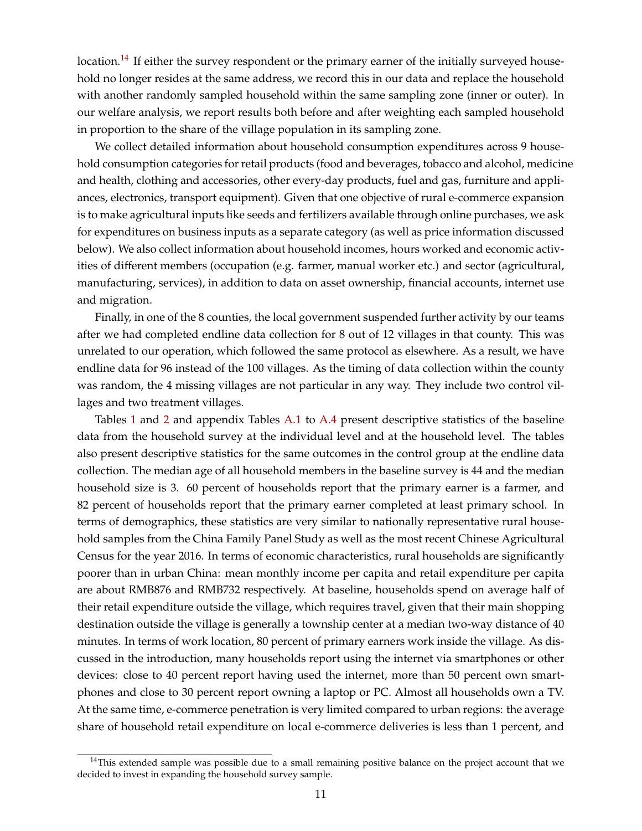location.<sup>[14](#page--1-0)</sup> If either the survey respondent or the primary earner of the initially surveyed household no longer resides at the same address, we record this in our data and replace the household with another randomly sampled household within the same sampling zone (inner or outer). In our welfare analysis, we report results both before and after weighting each sampled household in proportion to the share of the village population in its sampling zone.

We collect detailed information about household consumption expenditures across 9 household consumption categories for retail products (food and beverages, tobacco and alcohol, medicine and health, clothing and accessories, other every-day products, fuel and gas, furniture and appliances, electronics, transport equipment). Given that one objective of rural e-commerce expansion is to make agricultural inputs like seeds and fertilizers available through online purchases, we ask for expenditures on business inputs as a separate category (as well as price information discussed below). We also collect information about household incomes, hours worked and economic activities of different members (occupation (e.g. farmer, manual worker etc.) and sector (agricultural, manufacturing, services), in addition to data on asset ownership, financial accounts, internet use and migration.

Finally, in one of the 8 counties, the local government suspended further activity by our teams after we had completed endline data collection for 8 out of 12 villages in that county. This was unrelated to our operation, which followed the same protocol as elsewhere. As a result, we have endline data for 96 instead of the 100 villages. As the timing of data collection within the county was random, the 4 missing villages are not particular in any way. They include two control villages and two treatment villages.

Tables [1](#page-42-0) and [2](#page-43-0) and appendix Tables [A.1](#page-53-0) to [A.4](#page-56-0) present descriptive statistics of the baseline data from the household survey at the individual level and at the household level. The tables also present descriptive statistics for the same outcomes in the control group at the endline data collection. The median age of all household members in the baseline survey is 44 and the median household size is 3. 60 percent of households report that the primary earner is a farmer, and 82 percent of households report that the primary earner completed at least primary school. In terms of demographics, these statistics are very similar to nationally representative rural household samples from the China Family Panel Study as well as the most recent Chinese Agricultural Census for the year 2016. In terms of economic characteristics, rural households are significantly poorer than in urban China: mean monthly income per capita and retail expenditure per capita are about RMB876 and RMB732 respectively. At baseline, households spend on average half of their retail expenditure outside the village, which requires travel, given that their main shopping destination outside the village is generally a township center at a median two-way distance of 40 minutes. In terms of work location, 80 percent of primary earners work inside the village. As discussed in the introduction, many households report using the internet via smartphones or other devices: close to 40 percent report having used the internet, more than 50 percent own smartphones and close to 30 percent report owning a laptop or PC. Almost all households own a TV. At the same time, e-commerce penetration is very limited compared to urban regions: the average share of household retail expenditure on local e-commerce deliveries is less than 1 percent, and

 $14$ This extended sample was possible due to a small remaining positive balance on the project account that we decided to invest in expanding the household survey sample.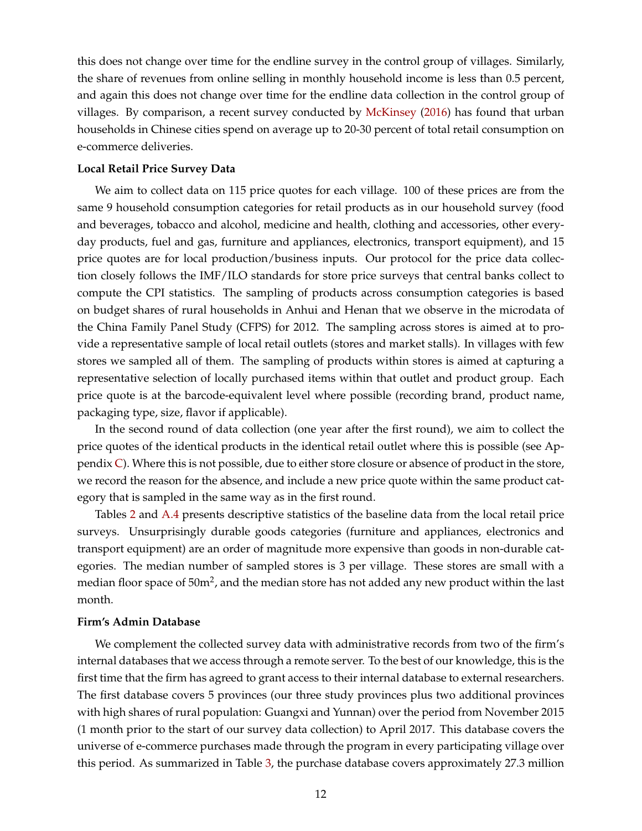this does not change over time for the endline survey in the control group of villages. Similarly, the share of revenues from online selling in monthly household income is less than 0.5 percent, and again this does not change over time for the endline data collection in the control group of villages. By comparison, a recent survey conducted by [McKinsey](#page-37-6) [\(2016\)](#page-37-6) has found that urban households in Chinese cities spend on average up to 20-30 percent of total retail consumption on e-commerce deliveries.

#### **Local Retail Price Survey Data**

We aim to collect data on 115 price quotes for each village. 100 of these prices are from the same 9 household consumption categories for retail products as in our household survey (food and beverages, tobacco and alcohol, medicine and health, clothing and accessories, other everyday products, fuel and gas, furniture and appliances, electronics, transport equipment), and 15 price quotes are for local production/business inputs. Our protocol for the price data collection closely follows the IMF/ILO standards for store price surveys that central banks collect to compute the CPI statistics. The sampling of products across consumption categories is based on budget shares of rural households in Anhui and Henan that we observe in the microdata of the China Family Panel Study (CFPS) for 2012. The sampling across stores is aimed at to provide a representative sample of local retail outlets (stores and market stalls). In villages with few stores we sampled all of them. The sampling of products within stores is aimed at capturing a representative selection of locally purchased items within that outlet and product group. Each price quote is at the barcode-equivalent level where possible (recording brand, product name, packaging type, size, flavor if applicable).

In the second round of data collection (one year after the first round), we aim to collect the price quotes of the identical products in the identical retail outlet where this is possible (see Appendix  $C$ ). Where this is not possible, due to either store closure or absence of product in the store, we record the reason for the absence, and include a new price quote within the same product category that is sampled in the same way as in the first round.

Tables [2](#page-43-0) and [A.4](#page-56-0) presents descriptive statistics of the baseline data from the local retail price surveys. Unsurprisingly durable goods categories (furniture and appliances, electronics and transport equipment) are an order of magnitude more expensive than goods in non-durable categories. The median number of sampled stores is 3 per village. These stores are small with a median floor space of 50m<sup>2</sup>, and the median store has not added any new product within the last month.

#### **Firm's Admin Database**

We complement the collected survey data with administrative records from two of the firm's internal databases that we access through a remote server. To the best of our knowledge, this is the first time that the firm has agreed to grant access to their internal database to external researchers. The first database covers 5 provinces (our three study provinces plus two additional provinces with high shares of rural population: Guangxi and Yunnan) over the period from November 2015 (1 month prior to the start of our survey data collection) to April 2017. This database covers the universe of e-commerce purchases made through the program in every participating village over this period. As summarized in Table [3,](#page-44-0) the purchase database covers approximately 27.3 million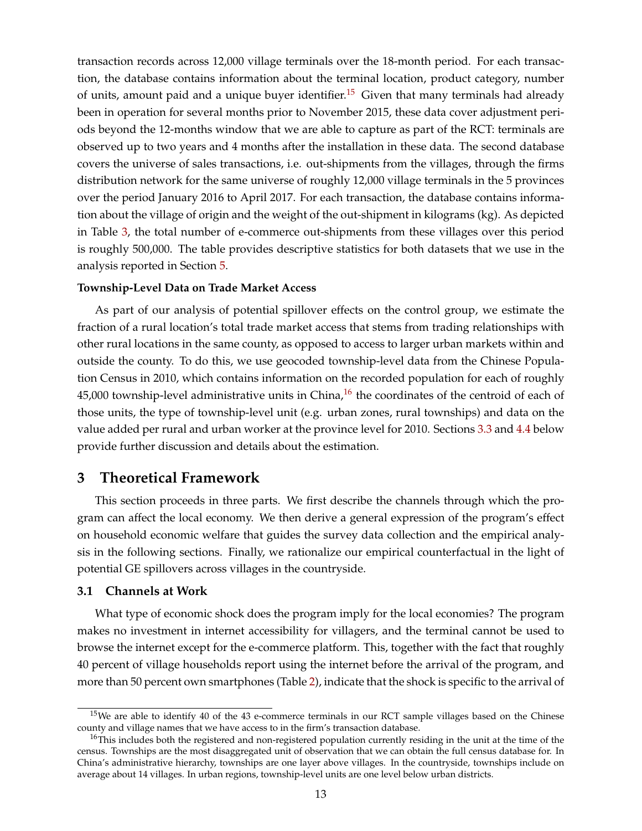transaction records across 12,000 village terminals over the 18-month period. For each transaction, the database contains information about the terminal location, product category, number of units, amount paid and a unique buyer identifier.<sup>[15](#page--1-0)</sup> Given that many terminals had already been in operation for several months prior to November 2015, these data cover adjustment periods beyond the 12-months window that we are able to capture as part of the RCT: terminals are observed up to two years and 4 months after the installation in these data. The second database covers the universe of sales transactions, i.e. out-shipments from the villages, through the firms distribution network for the same universe of roughly 12,000 village terminals in the 5 provinces over the period January 2016 to April 2017. For each transaction, the database contains information about the village of origin and the weight of the out-shipment in kilograms (kg). As depicted in Table [3,](#page-44-0) the total number of e-commerce out-shipments from these villages over this period is roughly 500,000. The table provides descriptive statistics for both datasets that we use in the analysis reported in Section [5.](#page-28-0)

#### **Township-Level Data on Trade Market Access**

As part of our analysis of potential spillover effects on the control group, we estimate the fraction of a rural location's total trade market access that stems from trading relationships with other rural locations in the same county, as opposed to access to larger urban markets within and outside the county. To do this, we use geocoded township-level data from the Chinese Population Census in 2010, which contains information on the recorded population for each of roughly 45,000 township-level administrative units in China, $^{16}$  $^{16}$  $^{16}$  the coordinates of the centroid of each of those units, the type of township-level unit (e.g. urban zones, rural townships) and data on the value added per rural and urban worker at the province level for 2010. Sections [3.3](#page-18-0) and [4.4](#page-25-0) below provide further discussion and details about the estimation.

## <span id="page-14-0"></span>**3 Theoretical Framework**

This section proceeds in three parts. We first describe the channels through which the program can affect the local economy. We then derive a general expression of the program's effect on household economic welfare that guides the survey data collection and the empirical analysis in the following sections. Finally, we rationalize our empirical counterfactual in the light of potential GE spillovers across villages in the countryside.

#### <span id="page-14-1"></span>**3.1 Channels at Work**

What type of economic shock does the program imply for the local economies? The program makes no investment in internet accessibility for villagers, and the terminal cannot be used to browse the internet except for the e-commerce platform. This, together with the fact that roughly 40 percent of village households report using the internet before the arrival of the program, and more than 50 percent own smartphones (Table [2\)](#page-43-0), indicate that the shock is specific to the arrival of

<sup>&</sup>lt;sup>15</sup>We are able to identify 40 of the 43 e-commerce terminals in our RCT sample villages based on the Chinese county and village names that we have access to in the firm's transaction database.

<sup>&</sup>lt;sup>16</sup>This includes both the registered and non-registered population currently residing in the unit at the time of the census. Townships are the most disaggregated unit of observation that we can obtain the full census database for. In China's administrative hierarchy, townships are one layer above villages. In the countryside, townships include on average about 14 villages. In urban regions, township-level units are one level below urban districts.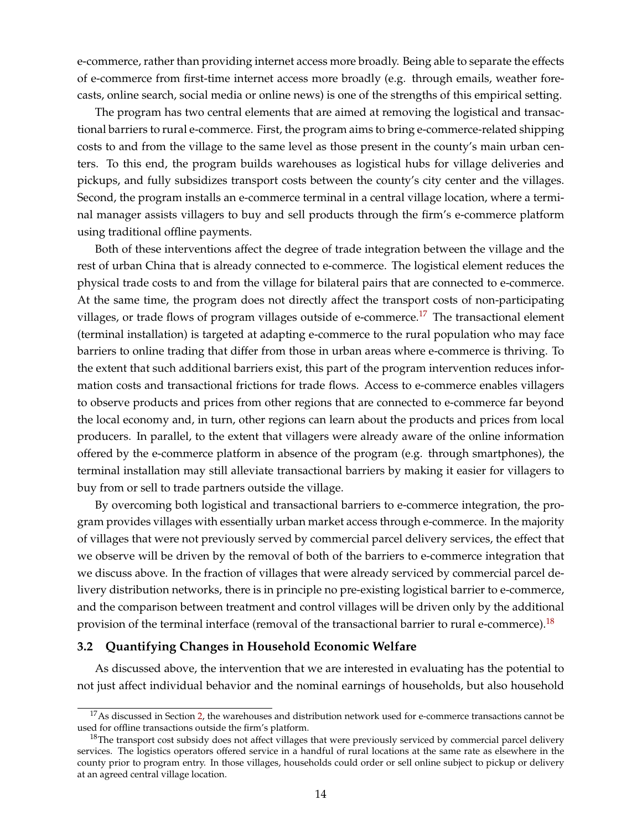e-commerce, rather than providing internet access more broadly. Being able to separate the effects of e-commerce from first-time internet access more broadly (e.g. through emails, weather forecasts, online search, social media or online news) is one of the strengths of this empirical setting.

The program has two central elements that are aimed at removing the logistical and transactional barriers to rural e-commerce. First, the program aims to bring e-commerce-related shipping costs to and from the village to the same level as those present in the county's main urban centers. To this end, the program builds warehouses as logistical hubs for village deliveries and pickups, and fully subsidizes transport costs between the county's city center and the villages. Second, the program installs an e-commerce terminal in a central village location, where a terminal manager assists villagers to buy and sell products through the firm's e-commerce platform using traditional offline payments.

Both of these interventions affect the degree of trade integration between the village and the rest of urban China that is already connected to e-commerce. The logistical element reduces the physical trade costs to and from the village for bilateral pairs that are connected to e-commerce. At the same time, the program does not directly affect the transport costs of non-participating villages, or trade flows of program villages outside of e-commerce.<sup>[17](#page--1-0)</sup> The transactional element (terminal installation) is targeted at adapting e-commerce to the rural population who may face barriers to online trading that differ from those in urban areas where e-commerce is thriving. To the extent that such additional barriers exist, this part of the program intervention reduces information costs and transactional frictions for trade flows. Access to e-commerce enables villagers to observe products and prices from other regions that are connected to e-commerce far beyond the local economy and, in turn, other regions can learn about the products and prices from local producers. In parallel, to the extent that villagers were already aware of the online information offered by the e-commerce platform in absence of the program (e.g. through smartphones), the terminal installation may still alleviate transactional barriers by making it easier for villagers to buy from or sell to trade partners outside the village.

By overcoming both logistical and transactional barriers to e-commerce integration, the program provides villages with essentially urban market access through e-commerce. In the majority of villages that were not previously served by commercial parcel delivery services, the effect that we observe will be driven by the removal of both of the barriers to e-commerce integration that we discuss above. In the fraction of villages that were already serviced by commercial parcel delivery distribution networks, there is in principle no pre-existing logistical barrier to e-commerce, and the comparison between treatment and control villages will be driven only by the additional provision of the terminal interface (removal of the transactional barrier to rural e-commerce).<sup>[18](#page--1-0)</sup>

#### <span id="page-15-0"></span>**3.2 Quantifying Changes in Household Economic Welfare**

As discussed above, the intervention that we are interested in evaluating has the potential to not just affect individual behavior and the nominal earnings of households, but also household

 $17$ As discussed in Section [2,](#page-8-0) the warehouses and distribution network used for e-commerce transactions cannot be used for offline transactions outside the firm's platform.

<sup>&</sup>lt;sup>18</sup>The transport cost subsidy does not affect villages that were previously serviced by commercial parcel delivery services. The logistics operators offered service in a handful of rural locations at the same rate as elsewhere in the county prior to program entry. In those villages, households could order or sell online subject to pickup or delivery at an agreed central village location.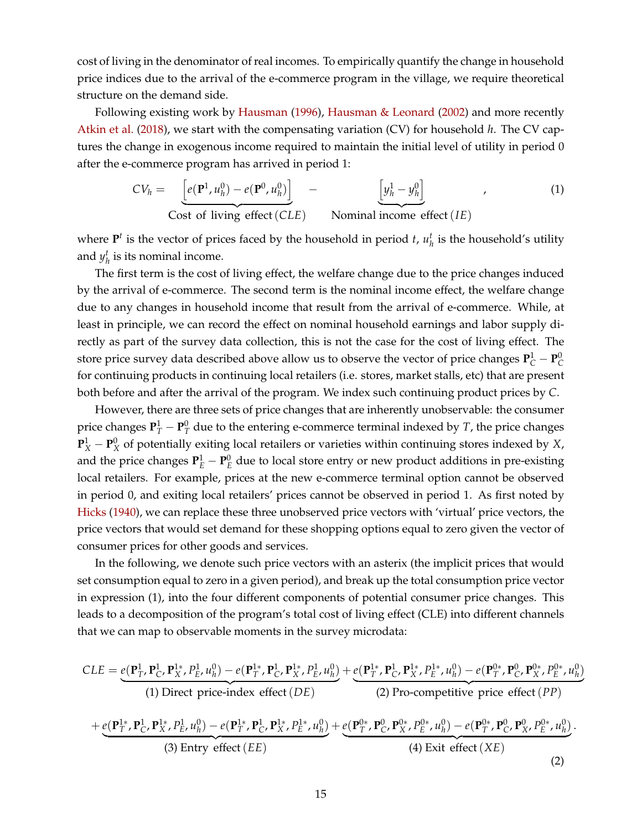cost of living in the denominator of real incomes. To empirically quantify the change in household price indices due to the arrival of the e-commerce program in the village, we require theoretical structure on the demand side.

Following existing work by [Hausman](#page-37-7) [\(1996\)](#page-37-7), [Hausman & Leonard](#page-37-17) [\(2002\)](#page-37-17) and more recently [Atkin et al.](#page-36-3) [\(2018\)](#page-36-3), we start with the compensating variation (CV) for household *h*. The CV captures the change in exogenous income required to maintain the initial level of utility in period 0 after the e-commerce program has arrived in period 1:

<span id="page-16-0"></span>
$$
CV_h = \underbrace{\left[e(\mathbf{P}^1, u_h^0) - e(\mathbf{P}^0, u_h^0)\right]}_{\text{Cost of living effect}(CLE)} - \underbrace{\left[y_h^1 - y_h^0\right]}_{\text{Nominal income effect}(IE)},
$$
\n(1)

where  $P<sup>t</sup>$  is the vector of prices faced by the household in period *t*,  $u<sub>h</sub><sup>t</sup>$  is the household's utility and  $y_h^t$  is its nominal income.

The first term is the cost of living effect, the welfare change due to the price changes induced by the arrival of e-commerce. The second term is the nominal income effect, the welfare change due to any changes in household income that result from the arrival of e-commerce. While, at least in principle, we can record the effect on nominal household earnings and labor supply directly as part of the survey data collection, this is not the case for the cost of living effect. The store price survey data described above allow us to observe the vector of price changes  $P^1_C - P^0_C$ for continuing products in continuing local retailers (i.e. stores, market stalls, etc) that are present both before and after the arrival of the program. We index such continuing product prices by *C*.

However, there are three sets of price changes that are inherently unobservable: the consumer price changes  $\mathbf{P}_T^1 - \mathbf{P}_T^0$  due to the entering e-commerce terminal indexed by *T*, the price changes  ${\bf P}_X^1 - {\bf P}_X^0$  of potentially exiting local retailers or varieties within continuing stores indexed by *X*, and the price changes  $P_E^1 - P_E^0$  due to local store entry or new product additions in pre-existing local retailers. For example, prices at the new e-commerce terminal option cannot be observed in period 0, and exiting local retailers' prices cannot be observed in period 1. As first noted by [Hicks](#page-37-18) [\(1940\)](#page-37-18), we can replace these three unobserved price vectors with 'virtual' price vectors, the price vectors that would set demand for these shopping options equal to zero given the vector of consumer prices for other goods and services.

In the following, we denote such price vectors with an asterix (the implicit prices that would set consumption equal to zero in a given period), and break up the total consumption price vector in expression (1), into the four different components of potential consumer price changes. This leads to a decomposition of the program's total cost of living effect (CLE) into different channels that we can map to observable moments in the survey microdata:

<span id="page-16-1"></span>
$$
CLE = e(\mathbf{P}_{T}^{1}, \mathbf{P}_{C}^{1}, \mathbf{P}_{X}^{1}, P_{E}^{1}, u_{h}^{0}) - e(\mathbf{P}_{T}^{1*}, \mathbf{P}_{C}^{1}, \mathbf{P}_{X}^{1*}, P_{E}^{1}, u_{h}^{0}) + e(\mathbf{P}_{T}^{1*}, \mathbf{P}_{C}^{1*}, \mathbf{P}_{X}^{1*}, P_{E}^{1*}, u_{h}^{0}) - e(\mathbf{P}_{T}^{0*}, \mathbf{P}_{C}^{0*}, \mathbf{P}_{X}^{0*}, P_{E}^{0*}, u_{h}^{0})
$$
\n(1) Direct price-index effect  $(DE)$   
\n(2) Pro-competitive price effect  $(PP)$   
\n
$$
+ e(\mathbf{P}_{T}^{1*}, \mathbf{P}_{C}^{1}, \mathbf{P}_{X}^{1*}, P_{E}^{1*}, u_{h}^{0}) - e(\mathbf{P}_{T}^{1*}, \mathbf{P}_{C}^{1*}, \mathbf{P}_{X}^{1*}, P_{E}^{1*}, u_{h}^{0}) + e(\mathbf{P}_{T}^{0*}, \mathbf{P}_{C}^{0*}, \mathbf{P}_{X}^{0*}, P_{E}^{0*}, u_{h}^{0}) - e(\mathbf{P}_{T}^{0*}, \mathbf{P}_{C}^{0}, \mathbf{P}_{X}^{0*}, P_{E}^{0*}, u_{h}^{0}).
$$
\n(3) Entry effect  $(EE)$   
\n(4) Exist effect  $(XE)$   
\n(2)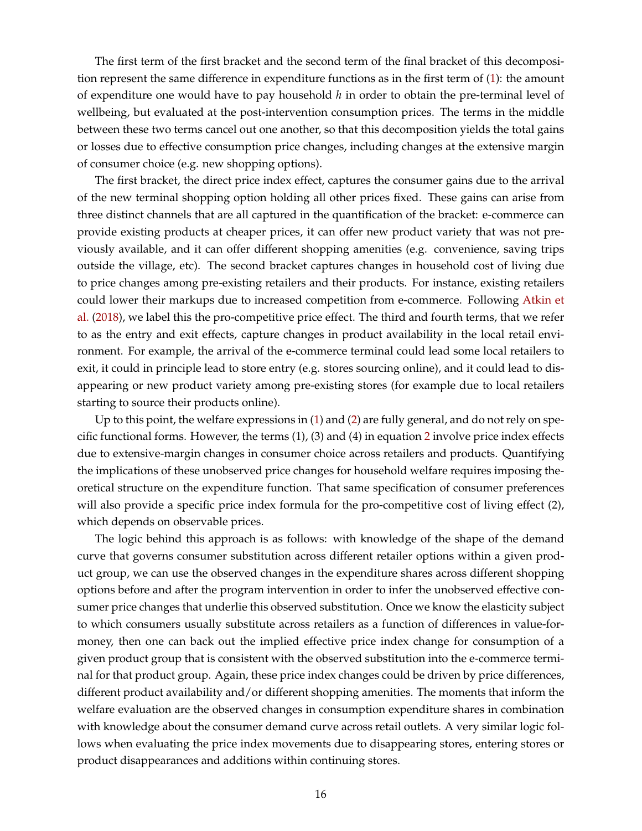The first term of the first bracket and the second term of the final bracket of this decomposition represent the same difference in expenditure functions as in the first term of [\(1\)](#page-16-0): the amount of expenditure one would have to pay household *h* in order to obtain the pre-terminal level of wellbeing, but evaluated at the post-intervention consumption prices. The terms in the middle between these two terms cancel out one another, so that this decomposition yields the total gains or losses due to effective consumption price changes, including changes at the extensive margin of consumer choice (e.g. new shopping options).

The first bracket, the direct price index effect, captures the consumer gains due to the arrival of the new terminal shopping option holding all other prices fixed. These gains can arise from three distinct channels that are all captured in the quantification of the bracket: e-commerce can provide existing products at cheaper prices, it can offer new product variety that was not previously available, and it can offer different shopping amenities (e.g. convenience, saving trips outside the village, etc). The second bracket captures changes in household cost of living due to price changes among pre-existing retailers and their products. For instance, existing retailers could lower their markups due to increased competition from e-commerce. Following [Atkin et](#page-36-3) [al.](#page-36-3) [\(2018\)](#page-36-3), we label this the pro-competitive price effect. The third and fourth terms, that we refer to as the entry and exit effects, capture changes in product availability in the local retail environment. For example, the arrival of the e-commerce terminal could lead some local retailers to exit, it could in principle lead to store entry (e.g. stores sourcing online), and it could lead to disappearing or new product variety among pre-existing stores (for example due to local retailers starting to source their products online).

Up to this point, the welfare expressions in [\(1\)](#page-16-0) and [\(2\)](#page-16-1) are fully general, and do not rely on specific functional forms. However, the terms (1), (3) and (4) in equation [2](#page-16-1) involve price index effects due to extensive-margin changes in consumer choice across retailers and products. Quantifying the implications of these unobserved price changes for household welfare requires imposing theoretical structure on the expenditure function. That same specification of consumer preferences will also provide a specific price index formula for the pro-competitive cost of living effect  $(2)$ , which depends on observable prices.

The logic behind this approach is as follows: with knowledge of the shape of the demand curve that governs consumer substitution across different retailer options within a given product group, we can use the observed changes in the expenditure shares across different shopping options before and after the program intervention in order to infer the unobserved effective consumer price changes that underlie this observed substitution. Once we know the elasticity subject to which consumers usually substitute across retailers as a function of differences in value-formoney, then one can back out the implied effective price index change for consumption of a given product group that is consistent with the observed substitution into the e-commerce terminal for that product group. Again, these price index changes could be driven by price differences, different product availability and/or different shopping amenities. The moments that inform the welfare evaluation are the observed changes in consumption expenditure shares in combination with knowledge about the consumer demand curve across retail outlets. A very similar logic follows when evaluating the price index movements due to disappearing stores, entering stores or product disappearances and additions within continuing stores.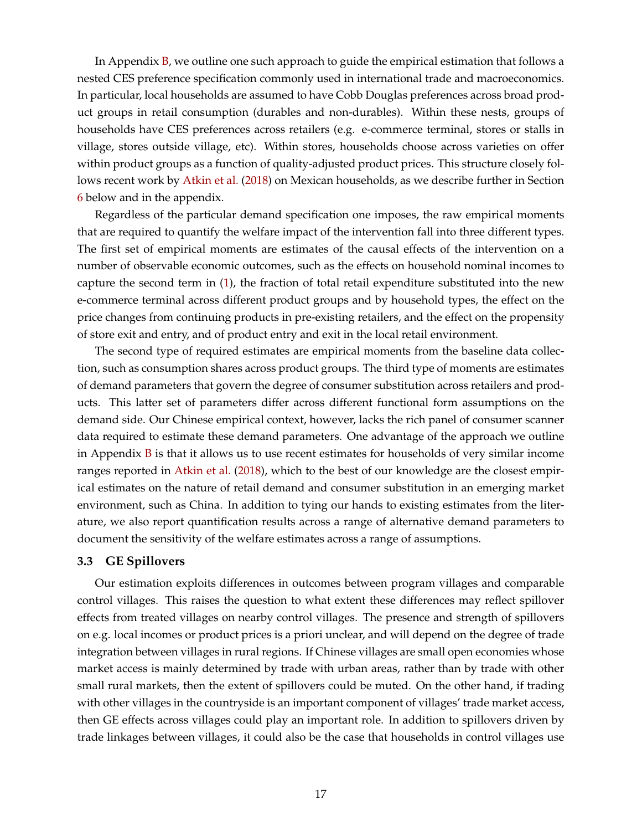In Appendix [B,](#page-63-0) we outline one such approach to guide the empirical estimation that follows a nested CES preference specification commonly used in international trade and macroeconomics. In particular, local households are assumed to have Cobb Douglas preferences across broad product groups in retail consumption (durables and non-durables). Within these nests, groups of households have CES preferences across retailers (e.g. e-commerce terminal, stores or stalls in village, stores outside village, etc). Within stores, households choose across varieties on offer within product groups as a function of quality-adjusted product prices. This structure closely follows recent work by [Atkin et al.](#page-36-3) [\(2018\)](#page-36-3) on Mexican households, as we describe further in Section [6](#page-31-0) below and in the appendix.

Regardless of the particular demand specification one imposes, the raw empirical moments that are required to quantify the welfare impact of the intervention fall into three different types. The first set of empirical moments are estimates of the causal effects of the intervention on a number of observable economic outcomes, such as the effects on household nominal incomes to capture the second term in [\(1\)](#page-16-0), the fraction of total retail expenditure substituted into the new e-commerce terminal across different product groups and by household types, the effect on the price changes from continuing products in pre-existing retailers, and the effect on the propensity of store exit and entry, and of product entry and exit in the local retail environment.

The second type of required estimates are empirical moments from the baseline data collection, such as consumption shares across product groups. The third type of moments are estimates of demand parameters that govern the degree of consumer substitution across retailers and products. This latter set of parameters differ across different functional form assumptions on the demand side. Our Chinese empirical context, however, lacks the rich panel of consumer scanner data required to estimate these demand parameters. One advantage of the approach we outline in Appendix [B](#page-63-0) is that it allows us to use recent estimates for households of very similar income ranges reported in [Atkin et al.](#page-36-3) [\(2018\)](#page-36-3), which to the best of our knowledge are the closest empirical estimates on the nature of retail demand and consumer substitution in an emerging market environment, such as China. In addition to tying our hands to existing estimates from the literature, we also report quantification results across a range of alternative demand parameters to document the sensitivity of the welfare estimates across a range of assumptions.

#### <span id="page-18-0"></span>**3.3 GE Spillovers**

Our estimation exploits differences in outcomes between program villages and comparable control villages. This raises the question to what extent these differences may reflect spillover effects from treated villages on nearby control villages. The presence and strength of spillovers on e.g. local incomes or product prices is a priori unclear, and will depend on the degree of trade integration between villages in rural regions. If Chinese villages are small open economies whose market access is mainly determined by trade with urban areas, rather than by trade with other small rural markets, then the extent of spillovers could be muted. On the other hand, if trading with other villages in the countryside is an important component of villages' trade market access, then GE effects across villages could play an important role. In addition to spillovers driven by trade linkages between villages, it could also be the case that households in control villages use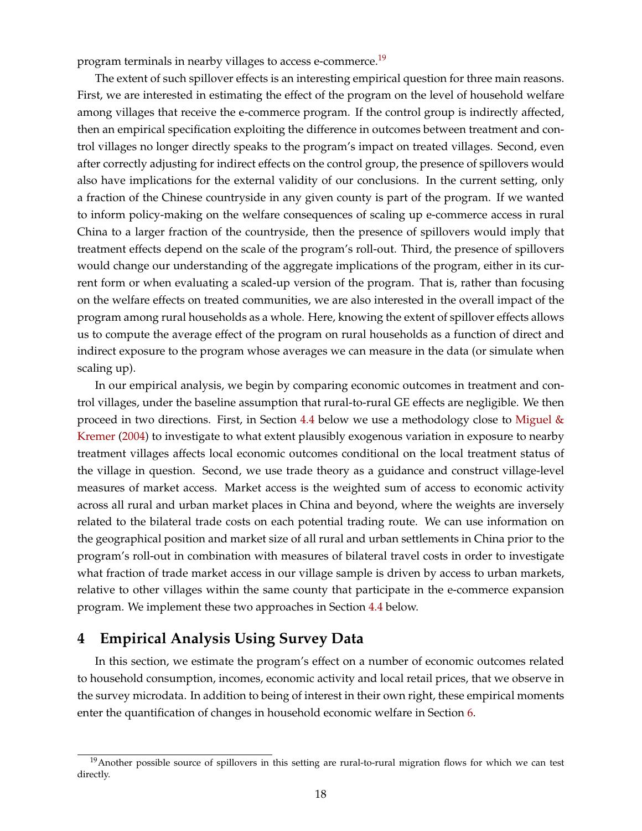program terminals in nearby villages to access e-commerce.<sup>[19](#page--1-0)</sup>

<span id="page-19-1"></span>The extent of such spillover effects is an interesting empirical question for three main reasons. First, we are interested in estimating the effect of the program on the level of household welfare among villages that receive the e-commerce program. If the control group is indirectly affected, then an empirical specification exploiting the difference in outcomes between treatment and control villages no longer directly speaks to the program's impact on treated villages. Second, even after correctly adjusting for indirect effects on the control group, the presence of spillovers would also have implications for the external validity of our conclusions. In the current setting, only a fraction of the Chinese countryside in any given county is part of the program. If we wanted to inform policy-making on the welfare consequences of scaling up e-commerce access in rural China to a larger fraction of the countryside, then the presence of spillovers would imply that treatment effects depend on the scale of the program's roll-out. Third, the presence of spillovers would change our understanding of the aggregate implications of the program, either in its current form or when evaluating a scaled-up version of the program. That is, rather than focusing on the welfare effects on treated communities, we are also interested in the overall impact of the program among rural households as a whole. Here, knowing the extent of spillover effects allows us to compute the average effect of the program on rural households as a function of direct and indirect exposure to the program whose averages we can measure in the data (or simulate when scaling up).

In our empirical analysis, we begin by comparing economic outcomes in treatment and control villages, under the baseline assumption that rural-to-rural GE effects are negligible. We then proceed in two directions. First, in Section [4.4](#page-25-0) below we use a methodology close to Miguel  $\&$ [Kremer](#page-37-19) [\(2004\)](#page-37-19) to investigate to what extent plausibly exogenous variation in exposure to nearby treatment villages affects local economic outcomes conditional on the local treatment status of the village in question. Second, we use trade theory as a guidance and construct village-level measures of market access. Market access is the weighted sum of access to economic activity across all rural and urban market places in China and beyond, where the weights are inversely related to the bilateral trade costs on each potential trading route. We can use information on the geographical position and market size of all rural and urban settlements in China prior to the program's roll-out in combination with measures of bilateral travel costs in order to investigate what fraction of trade market access in our village sample is driven by access to urban markets, relative to other villages within the same county that participate in the e-commerce expansion program. We implement these two approaches in Section [4.4](#page-25-0) below.

# <span id="page-19-0"></span>**4 Empirical Analysis Using Survey Data**

In this section, we estimate the program's effect on a number of economic outcomes related to household consumption, incomes, economic activity and local retail prices, that we observe in the survey microdata. In addition to being of interest in their own right, these empirical moments enter the quantification of changes in household economic welfare in Section [6.](#page-31-0)

<sup>&</sup>lt;sup>19</sup>Another possible source of spillovers in this setting are rural-to-rural migration flows for which we can test directly.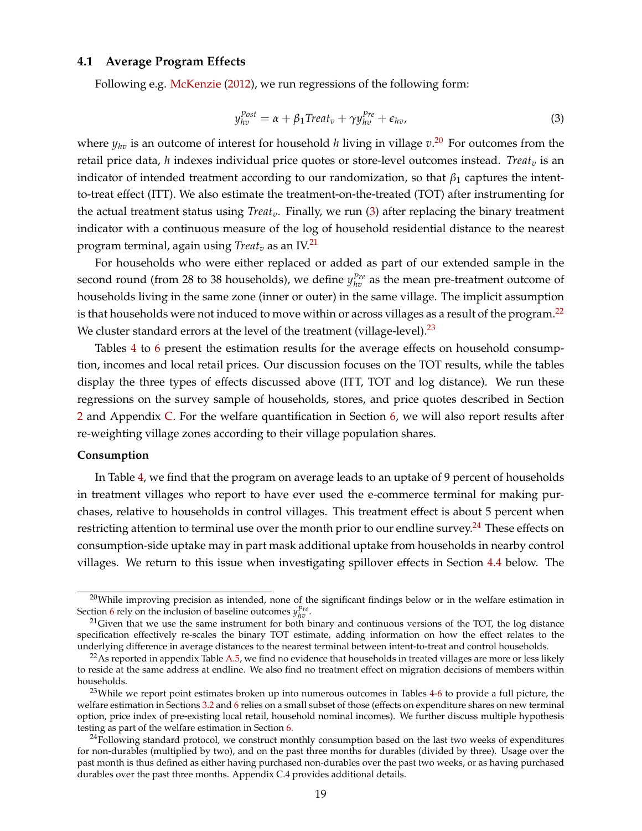# **4.1 Average Program Effects**

<span id="page-20-0"></span>Following e.g. [McKenzie](#page-37-20) [\(2012\)](#page-37-20), we run regressions of the following form:

<span id="page-20-1"></span>
$$
y_{hv}^{Post} = \alpha + \beta_1 Treat_v + \gamma y_{hv}^{Pre} + \epsilon_{hv}, \qquad (3)
$$

where *yhv* is an outcome of interest for household *h* living in village *v*. [20](#page--1-0) For outcomes from the retail price data, *h* indexes individual price quotes or store-level outcomes instead. *Treat<sup>v</sup>* is an indicator of intended treatment according to our randomization, so that  $\beta_1$  captures the intentto-treat effect (ITT). We also estimate the treatment-on-the-treated (TOT) after instrumenting for the actual treatment status using *Treatv*. Finally, we run [\(3\)](#page-20-0) after replacing the binary treatment indicator with a continuous measure of the log of household residential distance to the nearest program terminal, again using *Treat<sup>v</sup>* as an IV.[21](#page--1-0)

For households who were either replaced or added as part of our extended sample in the second round (from 28 to 38 households), we define  $y_{hv}^{Pre}$  as the mean pre-treatment outcome of households living in the same zone (inner or outer) in the same village. The implicit assumption is that households were not induced to move within or across villages as a result of the program.<sup>[22](#page--1-0)</sup> We cluster standard errors at the level of the treatment (village-level). $^{23}$  $^{23}$  $^{23}$ 

Tables [4](#page-45-0) to [6](#page-47-0) present the estimation results for the average effects on household consumption, incomes and local retail prices. Our discussion focuses on the TOT results, while the tables display the three types of effects discussed above (ITT, TOT and log distance). We run these regressions on the survey sample of households, stores, and price quotes described in Section [2](#page-8-0) and Appendix [C.](#page-64-0) For the welfare quantification in Section [6,](#page-31-0) we will also report results after re-weighting village zones according to their village population shares.

#### **Consumption**

In Table [4,](#page-45-0) we find that the program on average leads to an uptake of 9 percent of households in treatment villages who report to have ever used the e-commerce terminal for making purchases, relative to households in control villages. This treatment effect is about 5 percent when restricting attention to terminal use over the month prior to our endline survey.<sup>[24](#page--1-0)</sup> These effects on consumption-side uptake may in part mask additional uptake from households in nearby control villages. We return to this issue when investigating spillover effects in Section [4.4](#page-25-0) below. The

 $20$ While improving precision as intended, none of the significant findings below or in the welfare estimation in Section [6](#page-31-0) rely on the inclusion of baseline outcomes  $y_{hv}^{Pre}$ .

 $21$ Given that we use the same instrument for both binary and continuous versions of the TOT, the log distance specification effectively re-scales the binary TOT estimate, adding information on how the effect relates to the underlying difference in average distances to the nearest terminal between intent-to-treat and control households.

 $22$ As reported in appendix Table [A.5,](#page-57-0) we find no evidence that households in treated villages are more or less likely to reside at the same address at endline. We also find no treatment effect on migration decisions of members within households.

<sup>&</sup>lt;sup>23</sup>While we report point estimates broken up into numerous outcomes in Tables [4](#page-45-0)[-6](#page-47-0) to provide a full picture, the welfare estimation in Sections [3.2](#page-15-0) and [6](#page-31-0) relies on a small subset of those (effects on expenditure shares on new terminal option, price index of pre-existing local retail, household nominal incomes). We further discuss multiple hypothesis testing as part of the welfare estimation in Section [6.](#page-31-0)

 $24$ Following standard protocol, we construct monthly consumption based on the last two weeks of expenditures for non-durables (multiplied by two), and on the past three months for durables (divided by three). Usage over the past month is thus defined as either having purchased non-durables over the past two weeks, or as having purchased durables over the past three months. Appendix C.4 provides additional details.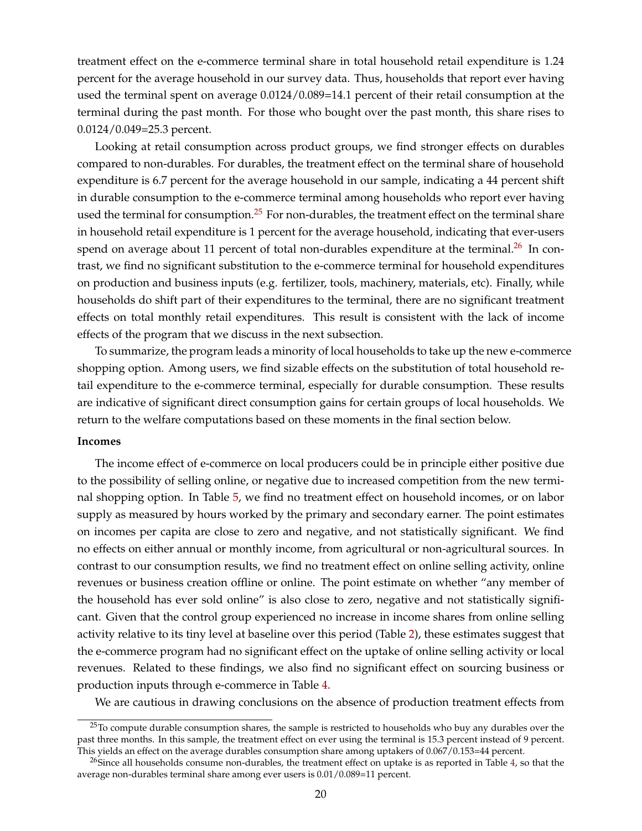treatment effect on the e-commerce terminal share in total household retail expenditure is 1.24 percent for the average household in our survey data. Thus, households that report ever having used the terminal spent on average 0.0124/0.089=14.1 percent of their retail consumption at the terminal during the past month. For those who bought over the past month, this share rises to 0.0124/0.049=25.3 percent.

Looking at retail consumption across product groups, we find stronger effects on durables compared to non-durables. For durables, the treatment effect on the terminal share of household expenditure is 6.7 percent for the average household in our sample, indicating a 44 percent shift in durable consumption to the e-commerce terminal among households who report ever having used the terminal for consumption.<sup>[25](#page--1-0)</sup> For non-durables, the treatment effect on the terminal share in household retail expenditure is 1 percent for the average household, indicating that ever-users spend on average about 11 percent of total non-durables expenditure at the terminal.<sup>[26](#page--1-0)</sup> In contrast, we find no significant substitution to the e-commerce terminal for household expenditures on production and business inputs (e.g. fertilizer, tools, machinery, materials, etc). Finally, while households do shift part of their expenditures to the terminal, there are no significant treatment effects on total monthly retail expenditures. This result is consistent with the lack of income effects of the program that we discuss in the next subsection.

To summarize, the program leads a minority of local households to take up the new e-commerce shopping option. Among users, we find sizable effects on the substitution of total household retail expenditure to the e-commerce terminal, especially for durable consumption. These results are indicative of significant direct consumption gains for certain groups of local households. We return to the welfare computations based on these moments in the final section below.

#### **Incomes**

The income effect of e-commerce on local producers could be in principle either positive due to the possibility of selling online, or negative due to increased competition from the new terminal shopping option. In Table [5,](#page-46-0) we find no treatment effect on household incomes, or on labor supply as measured by hours worked by the primary and secondary earner. The point estimates on incomes per capita are close to zero and negative, and not statistically significant. We find no effects on either annual or monthly income, from agricultural or non-agricultural sources. In contrast to our consumption results, we find no treatment effect on online selling activity, online revenues or business creation offline or online. The point estimate on whether "any member of the household has ever sold online" is also close to zero, negative and not statistically significant. Given that the control group experienced no increase in income shares from online selling activity relative to its tiny level at baseline over this period (Table [2\)](#page-43-0), these estimates suggest that the e-commerce program had no significant effect on the uptake of online selling activity or local revenues. Related to these findings, we also find no significant effect on sourcing business or production inputs through e-commerce in Table [4.](#page-45-0)

We are cautious in drawing conclusions on the absence of production treatment effects from

<sup>&</sup>lt;sup>25</sup>To compute durable consumption shares, the sample is restricted to households who buy any durables over the past three months. In this sample, the treatment effect on ever using the terminal is 15.3 percent instead of 9 percent. This yields an effect on the average durables consumption share among uptakers of 0.067/0.153=44 percent.

<sup>&</sup>lt;sup>26</sup>Since all households consume non-durables, the treatment effect on uptake is as reported in Table [4,](#page-45-0) so that the average non-durables terminal share among ever users is 0.01/0.089=11 percent.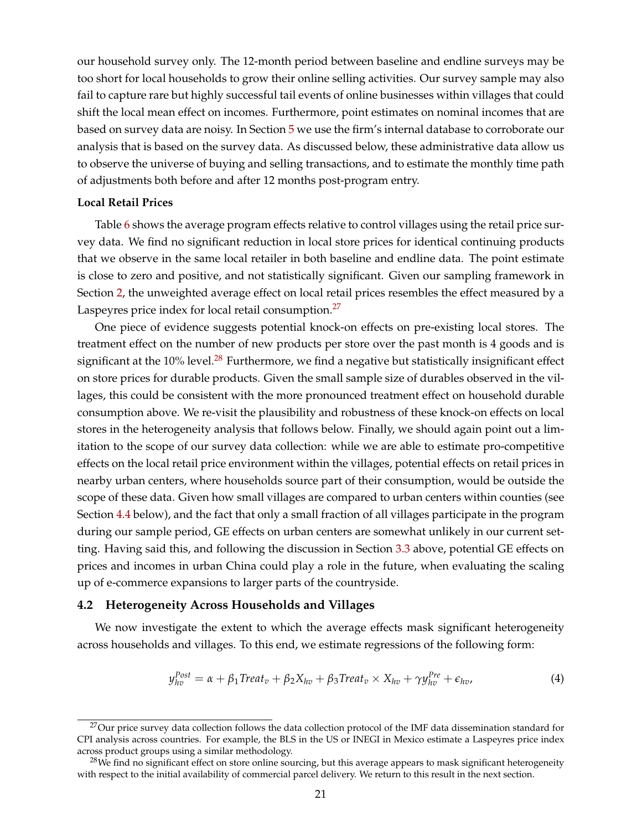<span id="page-22-1"></span>our household survey only. The 12-month period between baseline and endline surveys may be too short for local households to grow their online selling activities. Our survey sample may also fail to capture rare but highly successful tail events of online businesses within villages that could shift the local mean effect on incomes. Furthermore, point estimates on nominal incomes that are based on survey data are noisy. In Section [5](#page-28-0) we use the firm's internal database to corroborate our analysis that is based on the survey data. As discussed below, these administrative data allow us to observe the universe of buying and selling transactions, and to estimate the monthly time path of adjustments both before and after 12 months post-program entry.

#### **Local Retail Prices**

Table [6](#page-47-0) shows the average program effects relative to control villages using the retail price survey data. We find no significant reduction in local store prices for identical continuing products that we observe in the same local retailer in both baseline and endline data. The point estimate is close to zero and positive, and not statistically significant. Given our sampling framework in Section [2,](#page-8-0) the unweighted average effect on local retail prices resembles the effect measured by a Laspeyres price index for local retail consumption.<sup>[27](#page--1-0)</sup>

One piece of evidence suggests potential knock-on effects on pre-existing local stores. The treatment effect on the number of new products per store over the past month is 4 goods and is significant at the 10% level.<sup>[28](#page--1-0)</sup> Furthermore, we find a negative but statistically insignificant effect on store prices for durable products. Given the small sample size of durables observed in the villages, this could be consistent with the more pronounced treatment effect on household durable consumption above. We re-visit the plausibility and robustness of these knock-on effects on local stores in the heterogeneity analysis that follows below. Finally, we should again point out a limitation to the scope of our survey data collection: while we are able to estimate pro-competitive effects on the local retail price environment within the villages, potential effects on retail prices in nearby urban centers, where households source part of their consumption, would be outside the scope of these data. Given how small villages are compared to urban centers within counties (see Section [4.4](#page-25-0) below), and the fact that only a small fraction of all villages participate in the program during our sample period, GE effects on urban centers are somewhat unlikely in our current setting. Having said this, and following the discussion in Section [3.3](#page-18-0) above, potential GE effects on prices and incomes in urban China could play a role in the future, when evaluating the scaling up of e-commerce expansions to larger parts of the countryside.

#### **4.2 Heterogeneity Across Households and Villages**

<span id="page-22-0"></span>We now investigate the extent to which the average effects mask significant heterogeneity across households and villages. To this end, we estimate regressions of the following form:

$$
y_{hv}^{Post} = \alpha + \beta_1 Treat_v + \beta_2 X_{hv} + \beta_3 Treat_v \times X_{hv} + \gamma y_{hv}^{Pre} + \epsilon_{hv},
$$
\n(4)

<sup>&</sup>lt;sup>27</sup>Our price survey data collection follows the data collection protocol of the IMF data dissemination standard for CPI analysis across countries. For example, the BLS in the US or INEGI in Mexico estimate a Laspeyres price index across product groups using a similar methodology.

 $^{28}$ We find no significant effect on store online sourcing, but this average appears to mask significant heterogeneity with respect to the initial availability of commercial parcel delivery. We return to this result in the next section.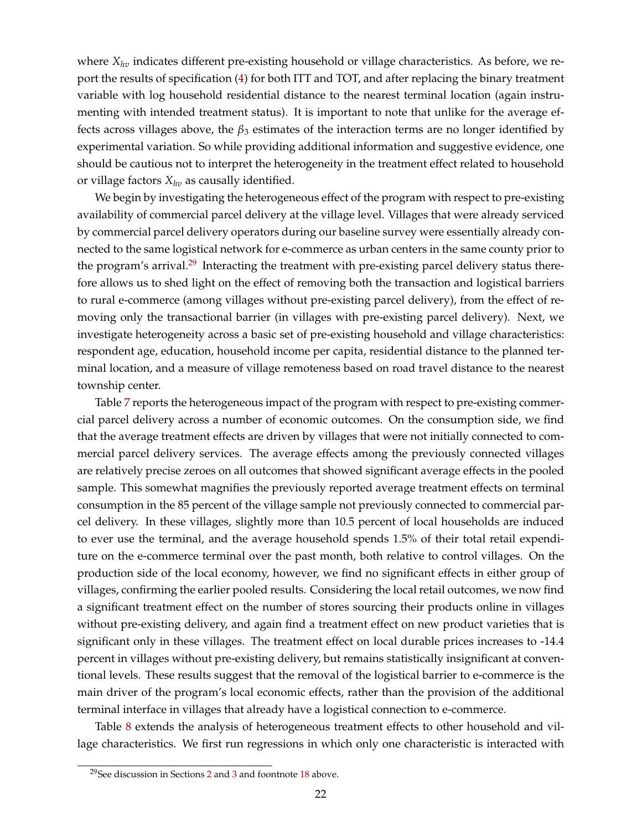where *Xhv* indicates different pre-existing household or village characteristics. As before, we report the results of specification [\(4\)](#page-22-0) for both ITT and TOT, and after replacing the binary treatment variable with log household residential distance to the nearest terminal location (again instrumenting with intended treatment status). It is important to note that unlike for the average effects across villages above, the  $\beta_3$  estimates of the interaction terms are no longer identified by experimental variation. So while providing additional information and suggestive evidence, one should be cautious not to interpret the heterogeneity in the treatment effect related to household or village factors *Xhv* as causally identified.

We begin by investigating the heterogeneous effect of the program with respect to pre-existing availability of commercial parcel delivery at the village level. Villages that were already serviced by commercial parcel delivery operators during our baseline survey were essentially already connected to the same logistical network for e-commerce as urban centers in the same county prior to the program's arrival.<sup>[29](#page--1-0)</sup> Interacting the treatment with pre-existing parcel delivery status therefore allows us to shed light on the effect of removing both the transaction and logistical barriers to rural e-commerce (among villages without pre-existing parcel delivery), from the effect of removing only the transactional barrier (in villages with pre-existing parcel delivery). Next, we investigate heterogeneity across a basic set of pre-existing household and village characteristics: respondent age, education, household income per capita, residential distance to the planned terminal location, and a measure of village remoteness based on road travel distance to the nearest township center.

Table [7](#page-48-0) reports the heterogeneous impact of the program with respect to pre-existing commercial parcel delivery across a number of economic outcomes. On the consumption side, we find that the average treatment effects are driven by villages that were not initially connected to commercial parcel delivery services. The average effects among the previously connected villages are relatively precise zeroes on all outcomes that showed significant average effects in the pooled sample. This somewhat magnifies the previously reported average treatment effects on terminal consumption in the 85 percent of the village sample not previously connected to commercial parcel delivery. In these villages, slightly more than 10.5 percent of local households are induced to ever use the terminal, and the average household spends 1.5% of their total retail expenditure on the e-commerce terminal over the past month, both relative to control villages. On the production side of the local economy, however, we find no significant effects in either group of villages, confirming the earlier pooled results. Considering the local retail outcomes, we now find a significant treatment effect on the number of stores sourcing their products online in villages without pre-existing delivery, and again find a treatment effect on new product varieties that is significant only in these villages. The treatment effect on local durable prices increases to -14.4 percent in villages without pre-existing delivery, but remains statistically insignificant at conventional levels. These results suggest that the removal of the logistical barrier to e-commerce is the main driver of the program's local economic effects, rather than the provision of the additional terminal interface in villages that already have a logistical connection to e-commerce.

Table [8](#page-49-0) extends the analysis of heterogeneous treatment effects to other household and village characteristics. We first run regressions in which only one characteristic is interacted with

<sup>29</sup>See discussion in Sections [2](#page-8-0) and [3](#page-14-0) and foontnote [18](#page-14-1) above.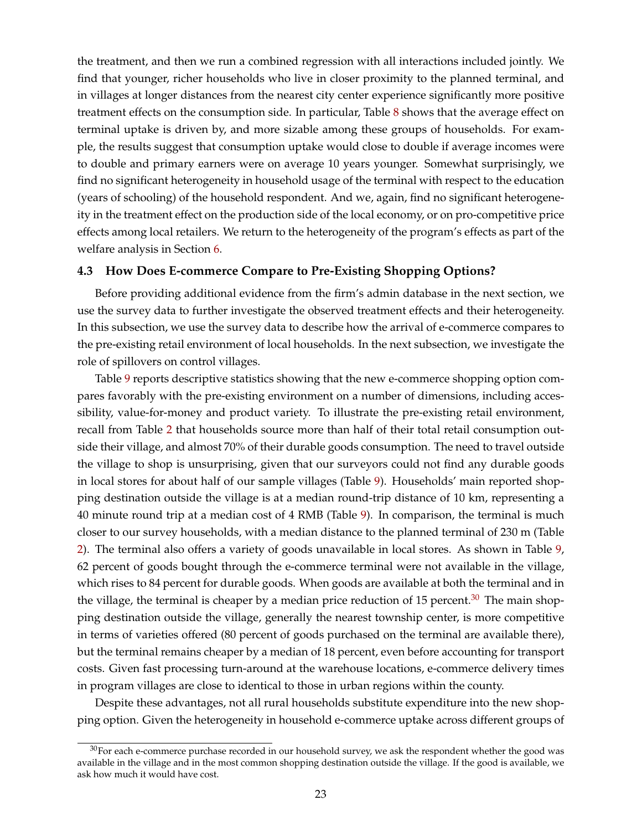the treatment, and then we run a combined regression with all interactions included jointly. We find that younger, richer households who live in closer proximity to the planned terminal, and in villages at longer distances from the nearest city center experience significantly more positive treatment effects on the consumption side. In particular, Table [8](#page-49-0) shows that the average effect on terminal uptake is driven by, and more sizable among these groups of households. For example, the results suggest that consumption uptake would close to double if average incomes were to double and primary earners were on average 10 years younger. Somewhat surprisingly, we find no significant heterogeneity in household usage of the terminal with respect to the education (years of schooling) of the household respondent. And we, again, find no significant heterogeneity in the treatment effect on the production side of the local economy, or on pro-competitive price effects among local retailers. We return to the heterogeneity of the program's effects as part of the welfare analysis in Section [6.](#page-31-0)

#### **4.3 How Does E-commerce Compare to Pre-Existing Shopping Options?**

Before providing additional evidence from the firm's admin database in the next section, we use the survey data to further investigate the observed treatment effects and their heterogeneity. In this subsection, we use the survey data to describe how the arrival of e-commerce compares to the pre-existing retail environment of local households. In the next subsection, we investigate the role of spillovers on control villages.

Table [9](#page-50-0) reports descriptive statistics showing that the new e-commerce shopping option compares favorably with the pre-existing environment on a number of dimensions, including accessibility, value-for-money and product variety. To illustrate the pre-existing retail environment, recall from Table [2](#page-43-0) that households source more than half of their total retail consumption outside their village, and almost 70% of their durable goods consumption. The need to travel outside the village to shop is unsurprising, given that our surveyors could not find any durable goods in local stores for about half of our sample villages (Table [9\)](#page-50-0). Households' main reported shopping destination outside the village is at a median round-trip distance of 10 km, representing a 40 minute round trip at a median cost of 4 RMB (Table [9\)](#page-50-0). In comparison, the terminal is much closer to our survey households, with a median distance to the planned terminal of 230 m (Table [2\)](#page-43-0). The terminal also offers a variety of goods unavailable in local stores. As shown in Table [9,](#page-50-0) 62 percent of goods bought through the e-commerce terminal were not available in the village, which rises to 84 percent for durable goods. When goods are available at both the terminal and in the village, the terminal is cheaper by a median price reduction of 15 percent.<sup>[30](#page--1-0)</sup> The main shopping destination outside the village, generally the nearest township center, is more competitive in terms of varieties offered (80 percent of goods purchased on the terminal are available there), but the terminal remains cheaper by a median of 18 percent, even before accounting for transport costs. Given fast processing turn-around at the warehouse locations, e-commerce delivery times in program villages are close to identical to those in urban regions within the county.

Despite these advantages, not all rural households substitute expenditure into the new shopping option. Given the heterogeneity in household e-commerce uptake across different groups of

 $30$ For each e-commerce purchase recorded in our household survey, we ask the respondent whether the good was available in the village and in the most common shopping destination outside the village. If the good is available, we ask how much it would have cost.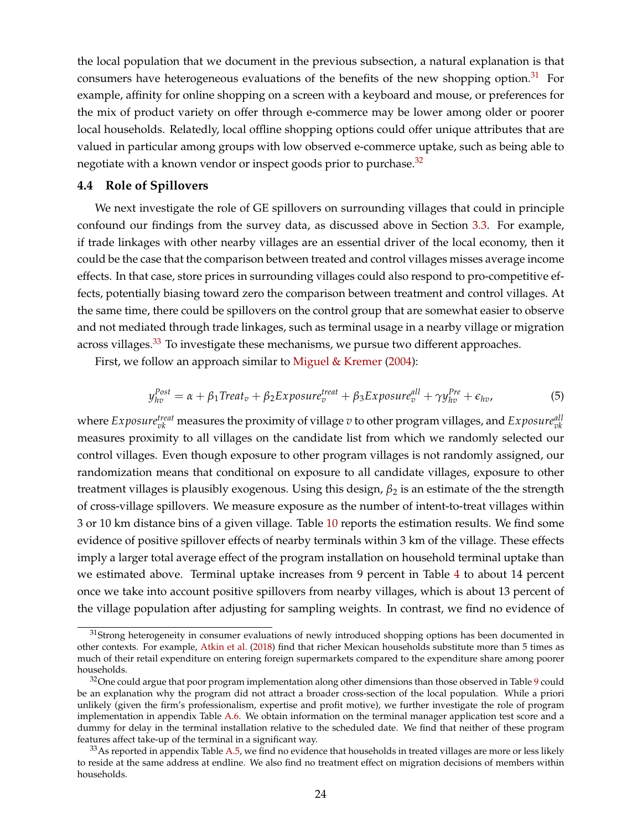<span id="page-25-2"></span>the local population that we document in the previous subsection, a natural explanation is that consumers have heterogeneous evaluations of the benefits of the new shopping option.<sup>[31](#page--1-0)</sup> For example, affinity for online shopping on a screen with a keyboard and mouse, or preferences for the mix of product variety on offer through e-commerce may be lower among older or poorer local households. Relatedly, local offline shopping options could offer unique attributes that are valued in particular among groups with low observed e-commerce uptake, such as being able to negotiate with a known vendor or inspect goods prior to purchase.<sup>[32](#page--1-0)</sup>

#### <span id="page-25-0"></span>**4.4 Role of Spillovers**

We next investigate the role of GE spillovers on surrounding villages that could in principle confound our findings from the survey data, as discussed above in Section [3.3.](#page-18-0) For example, if trade linkages with other nearby villages are an essential driver of the local economy, then it could be the case that the comparison between treated and control villages misses average income effects. In that case, store prices in surrounding villages could also respond to pro-competitive effects, potentially biasing toward zero the comparison between treatment and control villages. At the same time, there could be spillovers on the control group that are somewhat easier to observe and not mediated through trade linkages, such as terminal usage in a nearby village or migration across villages.<sup>[33](#page--1-0)</sup> To investigate these mechanisms, we pursue two different approaches.

<span id="page-25-1"></span>First, we follow an approach similar to [Miguel & Kremer](#page-37-19) [\(2004\)](#page-37-19):

$$
y_{hv}^{Post} = \alpha + \beta_1 Treat_v + \beta_2 Exposure_v^{treat} + \beta_3 Exposure_v^{all} + \gamma y_{hv}^{Pre} + \epsilon_{hv},
$$
\n(5)

where  $Exposure^{treat}_{vk}$  measures the proximity of village  $v$  to other program villages, and  $Exposure^{all}_{vk}$ measures proximity to all villages on the candidate list from which we randomly selected our control villages. Even though exposure to other program villages is not randomly assigned, our randomization means that conditional on exposure to all candidate villages, exposure to other treatment villages is plausibly exogenous. Using this design, *β*<sup>2</sup> is an estimate of the the strength of cross-village spillovers. We measure exposure as the number of intent-to-treat villages within 3 or 10 km distance bins of a given village. Table [10](#page-51-0) reports the estimation results. We find some evidence of positive spillover effects of nearby terminals within 3 km of the village. These effects imply a larger total average effect of the program installation on household terminal uptake than we estimated above. Terminal uptake increases from 9 percent in Table [4](#page-45-0) to about 14 percent once we take into account positive spillovers from nearby villages, which is about 13 percent of the village population after adjusting for sampling weights. In contrast, we find no evidence of

<sup>&</sup>lt;sup>31</sup>Strong heterogeneity in consumer evaluations of newly introduced shopping options has been documented in other contexts. For example, [Atkin et al.](#page-36-3) [\(2018\)](#page-36-3) find that richer Mexican households substitute more than 5 times as much of their retail expenditure on entering foreign supermarkets compared to the expenditure share among poorer households.

 $32$ One could argue that poor program implementation along other dimensions than those observed in Table [9](#page-50-0) could be an explanation why the program did not attract a broader cross-section of the local population. While a priori unlikely (given the firm's professionalism, expertise and profit motive), we further investigate the role of program implementation in appendix Table [A.6.](#page-58-0) We obtain information on the terminal manager application test score and a dummy for delay in the terminal installation relative to the scheduled date. We find that neither of these program features affect take-up of the terminal in a significant way.

 $33$ As reported in appendix Table [A.5,](#page-57-0) we find no evidence that households in treated villages are more or less likely to reside at the same address at endline. We also find no treatment effect on migration decisions of members within households.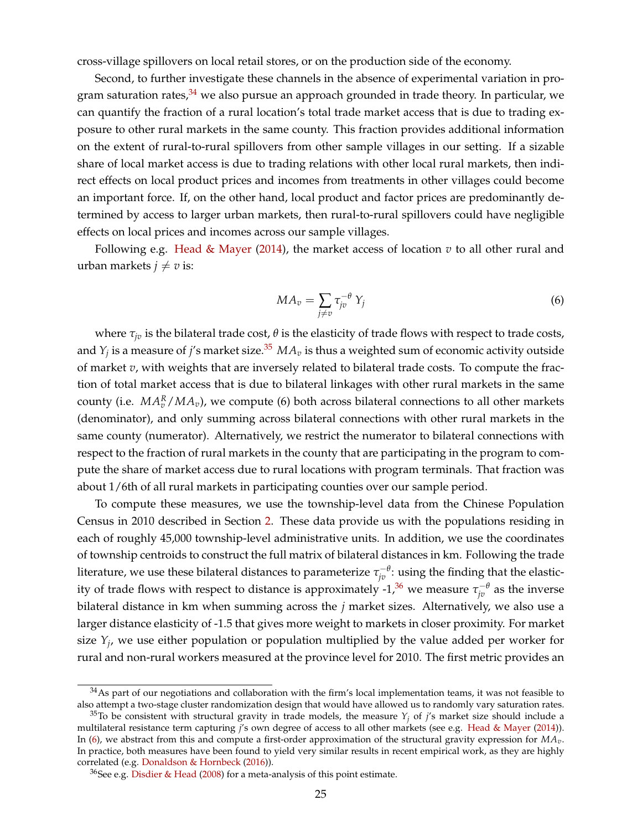cross-village spillovers on local retail stores, or on the production side of the economy.

Second, to further investigate these channels in the absence of experimental variation in pro-gram saturation rates,<sup>[34](#page--1-0)</sup> we also pursue an approach grounded in trade theory. In particular, we can quantify the fraction of a rural location's total trade market access that is due to trading exposure to other rural markets in the same county. This fraction provides additional information on the extent of rural-to-rural spillovers from other sample villages in our setting. If a sizable share of local market access is due to trading relations with other local rural markets, then indirect effects on local product prices and incomes from treatments in other villages could become an important force. If, on the other hand, local product and factor prices are predominantly determined by access to larger urban markets, then rural-to-rural spillovers could have negligible effects on local prices and incomes across our sample villages.

<span id="page-26-0"></span>Following e.g. [Head & Mayer](#page-37-21) [\(2014\)](#page-37-21), the market access of location  $v$  to all other rural and urban markets  $j \neq v$  is:

<span id="page-26-1"></span>
$$
MA_v = \sum_{j \neq v} \tau_{jv}^{-\theta} Y_j \tag{6}
$$

where  $\tau_{iv}$  is the bilateral trade cost,  $\theta$  is the elasticity of trade flows with respect to trade costs, and  $Y_j$  is a measure of  $j$ 's market size. $^{35}$  $^{35}$  $^{35}$   $MA_v$  is thus a weighted sum of economic activity outside of market *v*, with weights that are inversely related to bilateral trade costs. To compute the fraction of total market access that is due to bilateral linkages with other rural markets in the same county (i.e.  $MA_v^R/MA_v$ ), we compute (6) both across bilateral connections to all other markets (denominator), and only summing across bilateral connections with other rural markets in the same county (numerator). Alternatively, we restrict the numerator to bilateral connections with respect to the fraction of rural markets in the county that are participating in the program to compute the share of market access due to rural locations with program terminals. That fraction was about 1/6th of all rural markets in participating counties over our sample period.

To compute these measures, we use the township-level data from the Chinese Population Census in 2010 described in Section [2.](#page-8-0) These data provide us with the populations residing in each of roughly 45,000 township-level administrative units. In addition, we use the coordinates of township centroids to construct the full matrix of bilateral distances in km. Following the trade literature, we use these bilateral distances to parameterize  $\tau_{j v}^{-\theta}$ : using the finding that the elastic-ity of trade flows with respect to distance is approximately -1,<sup>[36](#page--1-0)</sup> we measure  $\tau_{jv}^{-\theta}$  as the inverse bilateral distance in km when summing across the *j* market sizes. Alternatively, we also use a larger distance elasticity of -1.5 that gives more weight to markets in closer proximity. For market size *Y<sup>j</sup>* , we use either population or population multiplied by the value added per worker for rural and non-rural workers measured at the province level for 2010. The first metric provides an

 $34$ As part of our negotiations and collaboration with the firm's local implementation teams, it was not feasible to also attempt a two-stage cluster randomization design that would have allowed us to randomly vary saturation rates.

<sup>&</sup>lt;sup>35</sup>To be consistent with structural gravity in trade models, the measure  $Y_i$  of *j*'s market size should include a multilateral resistance term capturing *j*'s own degree of access to all other markets (see e.g. [Head & Mayer](#page-37-21) [\(2014\)](#page-37-21)). In [\(6\)](#page-26-0), we abstract from this and compute a first-order approximation of the structural gravity expression for *MAv*. In practice, both measures have been found to yield very similar results in recent empirical work, as they are highly correlated (e.g. [Donaldson & Hornbeck](#page-36-15) [\(2016\)](#page-36-15)).

 $36$ See e.g. [Disdier & Head](#page-36-16) [\(2008\)](#page-36-16) for a meta-analysis of this point estimate.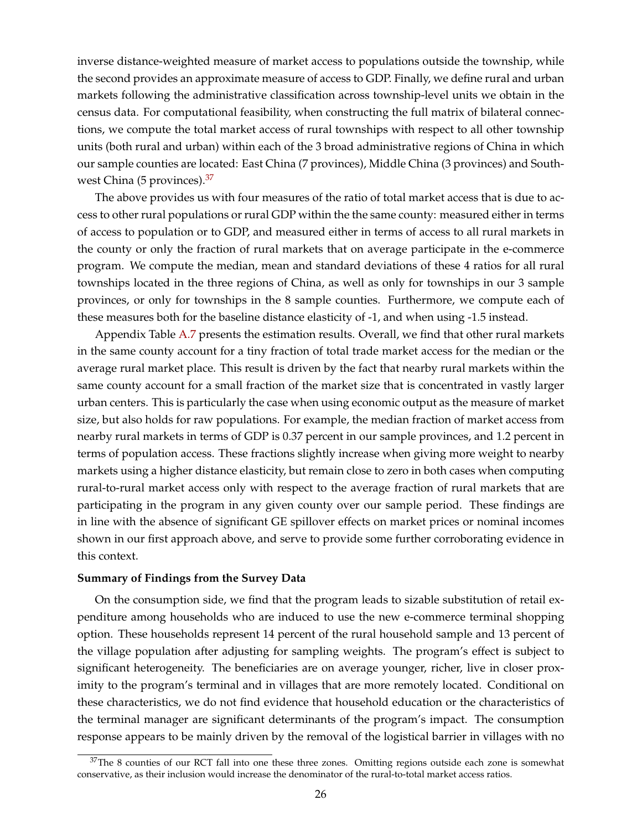inverse distance-weighted measure of market access to populations outside the township, while the second provides an approximate measure of access to GDP. Finally, we define rural and urban markets following the administrative classification across township-level units we obtain in the census data. For computational feasibility, when constructing the full matrix of bilateral connections, we compute the total market access of rural townships with respect to all other township units (both rural and urban) within each of the 3 broad administrative regions of China in which our sample counties are located: East China (7 provinces), Middle China (3 provinces) and South-west China (5 provinces).<sup>[37](#page--1-0)</sup>

The above provides us with four measures of the ratio of total market access that is due to access to other rural populations or rural GDP within the the same county: measured either in terms of access to population or to GDP, and measured either in terms of access to all rural markets in the county or only the fraction of rural markets that on average participate in the e-commerce program. We compute the median, mean and standard deviations of these 4 ratios for all rural townships located in the three regions of China, as well as only for townships in our 3 sample provinces, or only for townships in the 8 sample counties. Furthermore, we compute each of these measures both for the baseline distance elasticity of -1, and when using -1.5 instead.

Appendix Table [A.7](#page-59-0) presents the estimation results. Overall, we find that other rural markets in the same county account for a tiny fraction of total trade market access for the median or the average rural market place. This result is driven by the fact that nearby rural markets within the same county account for a small fraction of the market size that is concentrated in vastly larger urban centers. This is particularly the case when using economic output as the measure of market size, but also holds for raw populations. For example, the median fraction of market access from nearby rural markets in terms of GDP is 0.37 percent in our sample provinces, and 1.2 percent in terms of population access. These fractions slightly increase when giving more weight to nearby markets using a higher distance elasticity, but remain close to zero in both cases when computing rural-to-rural market access only with respect to the average fraction of rural markets that are participating in the program in any given county over our sample period. These findings are in line with the absence of significant GE spillover effects on market prices or nominal incomes shown in our first approach above, and serve to provide some further corroborating evidence in this context.

#### **Summary of Findings from the Survey Data**

On the consumption side, we find that the program leads to sizable substitution of retail expenditure among households who are induced to use the new e-commerce terminal shopping option. These households represent 14 percent of the rural household sample and 13 percent of the village population after adjusting for sampling weights. The program's effect is subject to significant heterogeneity. The beneficiaries are on average younger, richer, live in closer proximity to the program's terminal and in villages that are more remotely located. Conditional on these characteristics, we do not find evidence that household education or the characteristics of the terminal manager are significant determinants of the program's impact. The consumption response appears to be mainly driven by the removal of the logistical barrier in villages with no

 $37$ The 8 counties of our RCT fall into one these three zones. Omitting regions outside each zone is somewhat conservative, as their inclusion would increase the denominator of the rural-to-total market access ratios.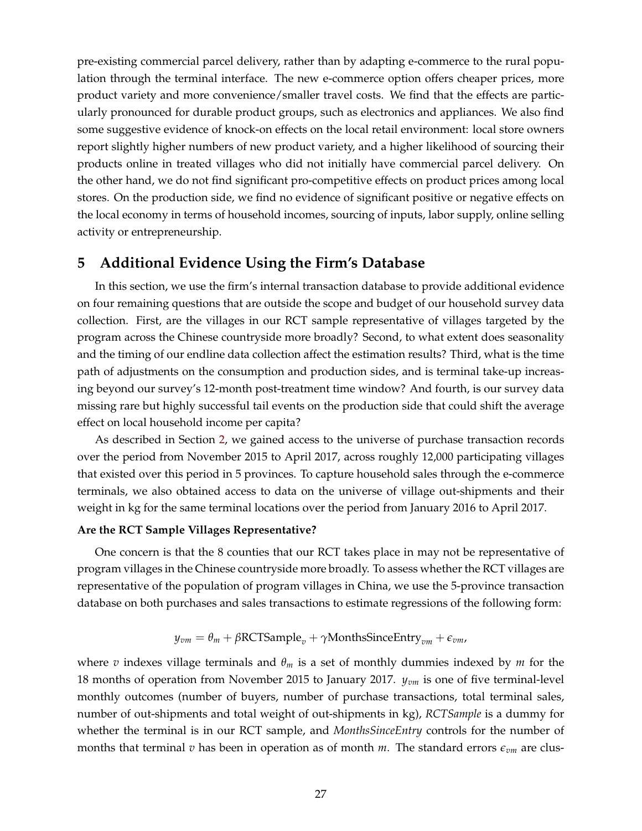<span id="page-28-1"></span>pre-existing commercial parcel delivery, rather than by adapting e-commerce to the rural population through the terminal interface. The new e-commerce option offers cheaper prices, more product variety and more convenience/smaller travel costs. We find that the effects are particularly pronounced for durable product groups, such as electronics and appliances. We also find some suggestive evidence of knock-on effects on the local retail environment: local store owners report slightly higher numbers of new product variety, and a higher likelihood of sourcing their products online in treated villages who did not initially have commercial parcel delivery. On the other hand, we do not find significant pro-competitive effects on product prices among local stores. On the production side, we find no evidence of significant positive or negative effects on the local economy in terms of household incomes, sourcing of inputs, labor supply, online selling activity or entrepreneurship.

# <span id="page-28-0"></span>**5 Additional Evidence Using the Firm's Database**

In this section, we use the firm's internal transaction database to provide additional evidence on four remaining questions that are outside the scope and budget of our household survey data collection. First, are the villages in our RCT sample representative of villages targeted by the program across the Chinese countryside more broadly? Second, to what extent does seasonality and the timing of our endline data collection affect the estimation results? Third, what is the time path of adjustments on the consumption and production sides, and is terminal take-up increasing beyond our survey's 12-month post-treatment time window? And fourth, is our survey data missing rare but highly successful tail events on the production side that could shift the average effect on local household income per capita?

As described in Section [2,](#page-8-0) we gained access to the universe of purchase transaction records over the period from November 2015 to April 2017, across roughly 12,000 participating villages that existed over this period in 5 provinces. To capture household sales through the e-commerce terminals, we also obtained access to data on the universe of village out-shipments and their weight in kg for the same terminal locations over the period from January 2016 to April 2017.

#### **Are the RCT Sample Villages Representative?**

One concern is that the 8 counties that our RCT takes place in may not be representative of program villages in the Chinese countryside more broadly. To assess whether the RCT villages are representative of the population of program villages in China, we use the 5-province transaction database on both purchases and sales transactions to estimate regressions of the following form:

$$
y_{vm} = \theta_m + \beta \text{RCTSample}_v + \gamma \text{MonthsSinceEntry}_{vm} + \epsilon_{vm},
$$

where *v* indexes village terminals and *θ<sup>m</sup>* is a set of monthly dummies indexed by *m* for the 18 months of operation from November 2015 to January 2017. *yvm* is one of five terminal-level monthly outcomes (number of buyers, number of purchase transactions, total terminal sales, number of out-shipments and total weight of out-shipments in kg), *RCTSample* is a dummy for whether the terminal is in our RCT sample, and *MonthsSinceEntry* controls for the number of months that terminal *v* has been in operation as of month *m*. The standard errors  $\epsilon_{vm}$  are clus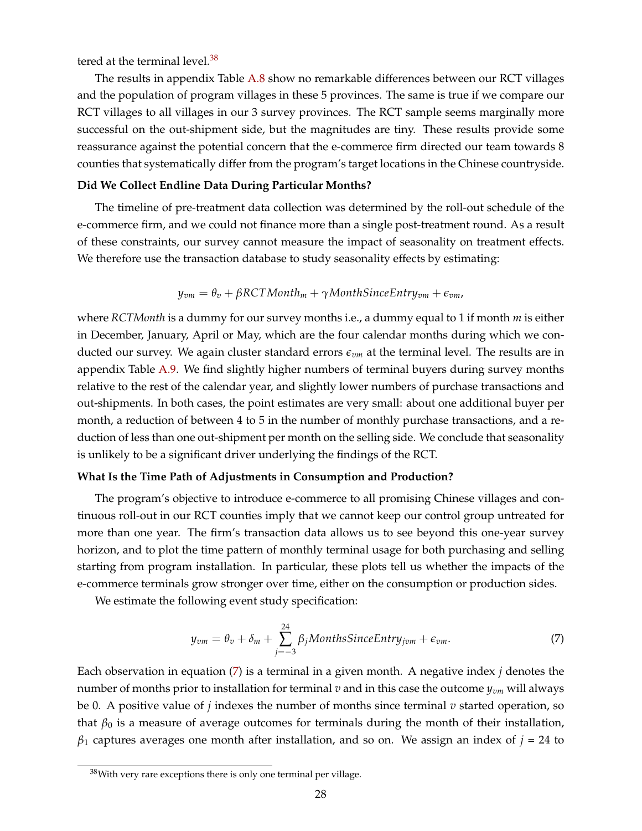tered at the terminal level.<sup>[38](#page--1-0)</sup>

The results in appendix Table [A.8](#page-60-0) show no remarkable differences between our RCT villages and the population of program villages in these 5 provinces. The same is true if we compare our RCT villages to all villages in our 3 survey provinces. The RCT sample seems marginally more successful on the out-shipment side, but the magnitudes are tiny. These results provide some reassurance against the potential concern that the e-commerce firm directed our team towards 8 counties that systematically differ from the program's target locations in the Chinese countryside.

#### **Did We Collect Endline Data During Particular Months?**

The timeline of pre-treatment data collection was determined by the roll-out schedule of the e-commerce firm, and we could not finance more than a single post-treatment round. As a result of these constraints, our survey cannot measure the impact of seasonality on treatment effects. We therefore use the transaction database to study seasonality effects by estimating:

$$
y_{vm} = \theta_v + \beta RCTMonth_m + \gamma MonthSinceEntry_{vm} + \epsilon_{vm},
$$

where *RCTMonth* is a dummy for our survey months i.e., a dummy equal to 1 if month *m* is either in December, January, April or May, which are the four calendar months during which we conducted our survey. We again cluster standard errors *evm* at the terminal level. The results are in appendix Table [A.9.](#page-61-0) We find slightly higher numbers of terminal buyers during survey months relative to the rest of the calendar year, and slightly lower numbers of purchase transactions and out-shipments. In both cases, the point estimates are very small: about one additional buyer per month, a reduction of between 4 to 5 in the number of monthly purchase transactions, and a reduction of less than one out-shipment per month on the selling side. We conclude that seasonality is unlikely to be a significant driver underlying the findings of the RCT.

#### **What Is the Time Path of Adjustments in Consumption and Production?**

The program's objective to introduce e-commerce to all promising Chinese villages and continuous roll-out in our RCT counties imply that we cannot keep our control group untreated for more than one year. The firm's transaction data allows us to see beyond this one-year survey horizon, and to plot the time pattern of monthly terminal usage for both purchasing and selling starting from program installation. In particular, these plots tell us whether the impacts of the e-commerce terminals grow stronger over time, either on the consumption or production sides.

<span id="page-29-0"></span>We estimate the following event study specification:

$$
y_{vm} = \theta_v + \delta_m + \sum_{j=-3}^{24} \beta_j \text{MonthsSince} \text{Entry}_{jvm} + \epsilon_{vm}.
$$
 (7)

Each observation in equation [\(7\)](#page-29-0) is a terminal in a given month. A negative index *j* denotes the number of months prior to installation for terminal *v* and in this case the outcome *yvm* will always be 0. A positive value of *j* indexes the number of months since terminal *v* started operation, so that  $\beta_0$  is a measure of average outcomes for terminals during the month of their installation,  $\beta_1$  captures averages one month after installation, and so on. We assign an index of  $j = 24$  to

 $38$ With very rare exceptions there is only one terminal per village.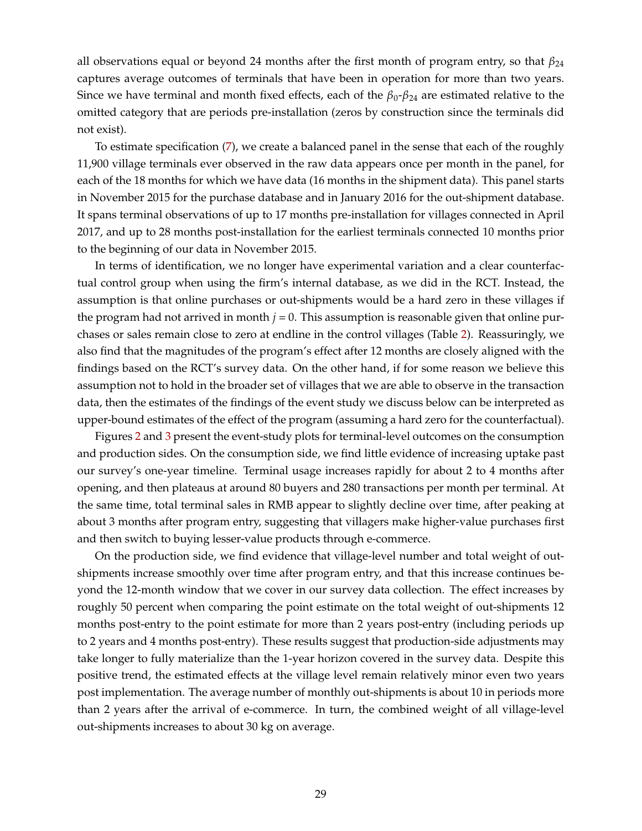all observations equal or beyond 24 months after the first month of program entry, so that  $\beta_{24}$ captures average outcomes of terminals that have been in operation for more than two years. Since we have terminal and month fixed effects, each of the  $\beta_0$ - $\beta_{24}$  are estimated relative to the omitted category that are periods pre-installation (zeros by construction since the terminals did not exist).

To estimate specification [\(7\)](#page-29-0), we create a balanced panel in the sense that each of the roughly 11,900 village terminals ever observed in the raw data appears once per month in the panel, for each of the 18 months for which we have data (16 months in the shipment data). This panel starts in November 2015 for the purchase database and in January 2016 for the out-shipment database. It spans terminal observations of up to 17 months pre-installation for villages connected in April 2017, and up to 28 months post-installation for the earliest terminals connected 10 months prior to the beginning of our data in November 2015.

In terms of identification, we no longer have experimental variation and a clear counterfactual control group when using the firm's internal database, as we did in the RCT. Instead, the assumption is that online purchases or out-shipments would be a hard zero in these villages if the program had not arrived in month  $j = 0$ . This assumption is reasonable given that online purchases or sales remain close to zero at endline in the control villages (Table [2\)](#page-43-0). Reassuringly, we also find that the magnitudes of the program's effect after 12 months are closely aligned with the findings based on the RCT's survey data. On the other hand, if for some reason we believe this assumption not to hold in the broader set of villages that we are able to observe in the transaction data, then the estimates of the findings of the event study we discuss below can be interpreted as upper-bound estimates of the effect of the program (assuming a hard zero for the counterfactual).

Figures [2](#page-39-0) and [3](#page-40-0) present the event-study plots for terminal-level outcomes on the consumption and production sides. On the consumption side, we find little evidence of increasing uptake past our survey's one-year timeline. Terminal usage increases rapidly for about 2 to 4 months after opening, and then plateaus at around 80 buyers and 280 transactions per month per terminal. At the same time, total terminal sales in RMB appear to slightly decline over time, after peaking at about 3 months after program entry, suggesting that villagers make higher-value purchases first and then switch to buying lesser-value products through e-commerce.

On the production side, we find evidence that village-level number and total weight of outshipments increase smoothly over time after program entry, and that this increase continues beyond the 12-month window that we cover in our survey data collection. The effect increases by roughly 50 percent when comparing the point estimate on the total weight of out-shipments 12 months post-entry to the point estimate for more than 2 years post-entry (including periods up to 2 years and 4 months post-entry). These results suggest that production-side adjustments may take longer to fully materialize than the 1-year horizon covered in the survey data. Despite this positive trend, the estimated effects at the village level remain relatively minor even two years post implementation. The average number of monthly out-shipments is about 10 in periods more than 2 years after the arrival of e-commerce. In turn, the combined weight of all village-level out-shipments increases to about 30 kg on average.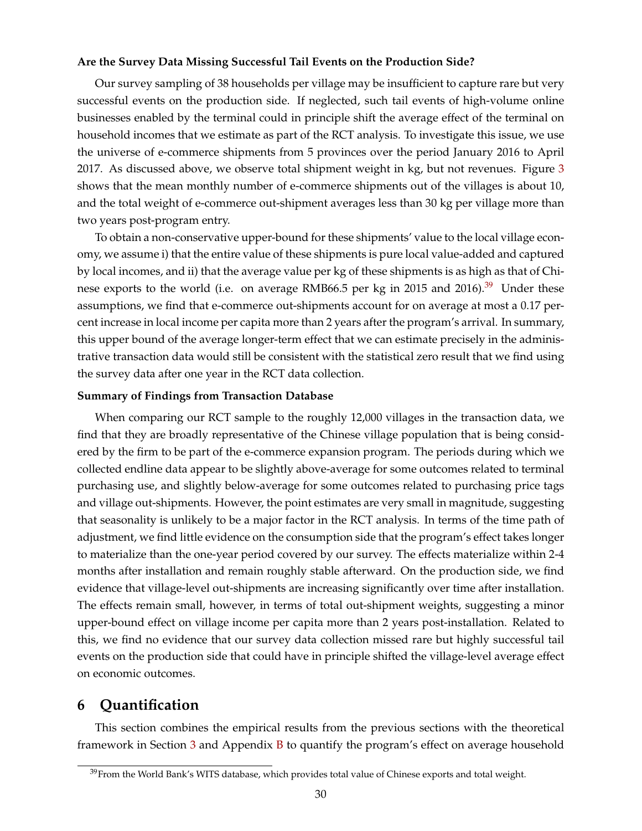#### **Are the Survey Data Missing Successful Tail Events on the Production Side?**

<span id="page-31-1"></span>Our survey sampling of 38 households per village may be insufficient to capture rare but very successful events on the production side. If neglected, such tail events of high-volume online businesses enabled by the terminal could in principle shift the average effect of the terminal on household incomes that we estimate as part of the RCT analysis. To investigate this issue, we use the universe of e-commerce shipments from 5 provinces over the period January 2016 to April 2017. As discussed above, we observe total shipment weight in kg, but not revenues. Figure [3](#page-40-0) shows that the mean monthly number of e-commerce shipments out of the villages is about 10, and the total weight of e-commerce out-shipment averages less than 30 kg per village more than two years post-program entry.

To obtain a non-conservative upper-bound for these shipments' value to the local village economy, we assume i) that the entire value of these shipments is pure local value-added and captured by local incomes, and ii) that the average value per kg of these shipments is as high as that of Chi-nese exports to the world (i.e. on average RMB66.5 per kg in 2015 and 2016).<sup>[39](#page--1-0)</sup> Under these assumptions, we find that e-commerce out-shipments account for on average at most a 0.17 percent increase in local income per capita more than 2 years after the program's arrival. In summary, this upper bound of the average longer-term effect that we can estimate precisely in the administrative transaction data would still be consistent with the statistical zero result that we find using the survey data after one year in the RCT data collection.

#### **Summary of Findings from Transaction Database**

When comparing our RCT sample to the roughly 12,000 villages in the transaction data, we find that they are broadly representative of the Chinese village population that is being considered by the firm to be part of the e-commerce expansion program. The periods during which we collected endline data appear to be slightly above-average for some outcomes related to terminal purchasing use, and slightly below-average for some outcomes related to purchasing price tags and village out-shipments. However, the point estimates are very small in magnitude, suggesting that seasonality is unlikely to be a major factor in the RCT analysis. In terms of the time path of adjustment, we find little evidence on the consumption side that the program's effect takes longer to materialize than the one-year period covered by our survey. The effects materialize within 2-4 months after installation and remain roughly stable afterward. On the production side, we find evidence that village-level out-shipments are increasing significantly over time after installation. The effects remain small, however, in terms of total out-shipment weights, suggesting a minor upper-bound effect on village income per capita more than 2 years post-installation. Related to this, we find no evidence that our survey data collection missed rare but highly successful tail events on the production side that could have in principle shifted the village-level average effect on economic outcomes.

# <span id="page-31-0"></span>**6 Quantification**

This section combines the empirical results from the previous sections with the theoretical framework in Section [3](#page-14-0) and Appendix [B](#page-63-0) to quantify the program's effect on average household

 $39$ From the World Bank's WITS database, which provides total value of Chinese exports and total weight.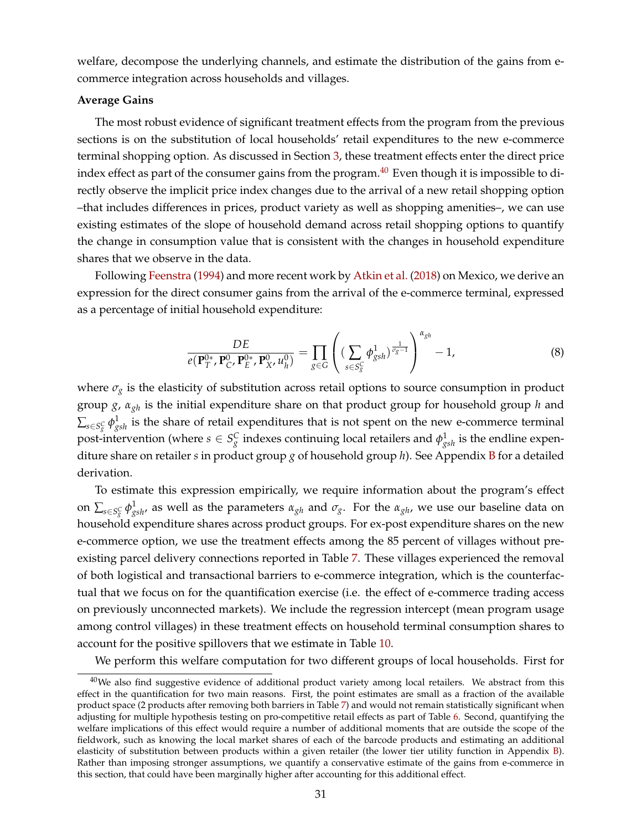welfare, decompose the underlying channels, and estimate the distribution of the gains from ecommerce integration across households and villages.

#### **Average Gains**

The most robust evidence of significant treatment effects from the program from the previous sections is on the substitution of local households' retail expenditures to the new e-commerce terminal shopping option. As discussed in Section [3,](#page-14-0) these treatment effects enter the direct price index effect as part of the consumer gains from the program.<sup>[40](#page--1-0)</sup> Even though it is impossible to directly observe the implicit price index changes due to the arrival of a new retail shopping option –that includes differences in prices, product variety as well as shopping amenities–, we can use existing estimates of the slope of household demand across retail shopping options to quantify the change in consumption value that is consistent with the changes in household expenditure shares that we observe in the data.

<span id="page-32-0"></span>Following [Feenstra](#page-36-2) [\(1994\)](#page-36-2) and more recent work by [Atkin et al.](#page-36-3) [\(2018\)](#page-36-3) on Mexico, we derive an expression for the direct consumer gains from the arrival of the e-commerce terminal, expressed as a percentage of initial household expenditure:

<span id="page-32-1"></span>
$$
\frac{DE}{e(\mathbf{P}_{T}^{0*}, \mathbf{P}_{C'}^{0*}, \mathbf{P}_{E'}^{0*}, \mathbf{P}_{X'}^{0*}, u_h^0)} = \prod_{g \in G} \left( \left( \sum_{s \in S_g^C} \phi_{gsh}^1 \right)^{\frac{1}{\sigma_g - 1}} \right)^{\alpha_{gh}} - 1, \tag{8}
$$

where  $\sigma_g$  is the elasticity of substitution across retail options to source consumption in product group *g*, *αgh* is the initial expenditure share on that product group for household group *h* and  $\sum_{s\in S^C_g}\phi^1_{gsh}$  is the share of retail expenditures that is not spent on the new e-commerce terminal post-intervention (where  $s \in S_g^C$  indexes continuing local retailers and  $\phi_{gsh}^1$  is the endline expenditure share on retailer *s* in product group *g* of household group *h*). See Appendix [B](#page-63-0) for a detailed derivation.

To estimate this expression empirically, we require information about the program's effect on  $\sum_{s\in S^C_g}\phi^1_{gsh}$ , as well as the parameters  $\alpha_{gh}$  and  $\sigma_g$ . For the  $\alpha_{gh}$ , we use our baseline data on household expenditure shares across product groups. For ex-post expenditure shares on the new e-commerce option, we use the treatment effects among the 85 percent of villages without preexisting parcel delivery connections reported in Table [7.](#page-48-0) These villages experienced the removal of both logistical and transactional barriers to e-commerce integration, which is the counterfactual that we focus on for the quantification exercise (i.e. the effect of e-commerce trading access on previously unconnected markets). We include the regression intercept (mean program usage among control villages) in these treatment effects on household terminal consumption shares to account for the positive spillovers that we estimate in Table [10.](#page-51-0)

We perform this welfare computation for two different groups of local households. First for

 $40$ We also find suggestive evidence of additional product variety among local retailers. We abstract from this effect in the quantification for two main reasons. First, the point estimates are small as a fraction of the available product space (2 products after removing both barriers in Table [7\)](#page-48-0) and would not remain statistically significant when adjusting for multiple hypothesis testing on pro-competitive retail effects as part of Table [6.](#page-47-0) Second, quantifying the welfare implications of this effect would require a number of additional moments that are outside the scope of the fieldwork, such as knowing the local market shares of each of the barcode products and estimating an additional elasticity of substitution between products within a given retailer (the lower tier utility function in Appendix [B\)](#page-63-0). Rather than imposing stronger assumptions, we quantify a conservative estimate of the gains from e-commerce in this section, that could have been marginally higher after accounting for this additional effect.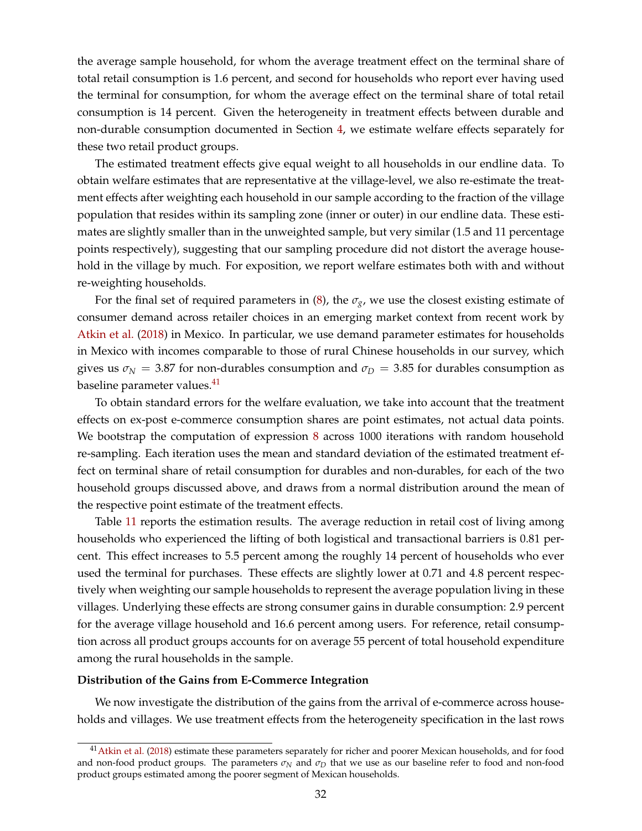the average sample household, for whom the average treatment effect on the terminal share of total retail consumption is 1.6 percent, and second for households who report ever having used the terminal for consumption, for whom the average effect on the terminal share of total retail consumption is 14 percent. Given the heterogeneity in treatment effects between durable and non-durable consumption documented in Section [4,](#page-19-0) we estimate welfare effects separately for these two retail product groups.

The estimated treatment effects give equal weight to all households in our endline data. To obtain welfare estimates that are representative at the village-level, we also re-estimate the treatment effects after weighting each household in our sample according to the fraction of the village population that resides within its sampling zone (inner or outer) in our endline data. These estimates are slightly smaller than in the unweighted sample, but very similar (1.5 and 11 percentage points respectively), suggesting that our sampling procedure did not distort the average household in the village by much. For exposition, we report welfare estimates both with and without re-weighting households.

For the final set of required parameters in [\(8\)](#page-32-0), the  $\sigma_{\gamma}$ , we use the closest existing estimate of consumer demand across retailer choices in an emerging market context from recent work by [Atkin et al.](#page-36-3) [\(2018\)](#page-36-3) in Mexico. In particular, we use demand parameter estimates for households in Mexico with incomes comparable to those of rural Chinese households in our survey, which gives us  $\sigma_N = 3.87$  for non-durables consumption and  $\sigma_D = 3.85$  for durables consumption as baseline parameter values.<sup>[41](#page--1-0)</sup>

To obtain standard errors for the welfare evaluation, we take into account that the treatment effects on ex-post e-commerce consumption shares are point estimates, not actual data points. We bootstrap the computation of expression [8](#page-32-0) across 1000 iterations with random household re-sampling. Each iteration uses the mean and standard deviation of the estimated treatment effect on terminal share of retail consumption for durables and non-durables, for each of the two household groups discussed above, and draws from a normal distribution around the mean of the respective point estimate of the treatment effects.

Table [11](#page-52-0) reports the estimation results. The average reduction in retail cost of living among households who experienced the lifting of both logistical and transactional barriers is 0.81 percent. This effect increases to 5.5 percent among the roughly 14 percent of households who ever used the terminal for purchases. These effects are slightly lower at 0.71 and 4.8 percent respectively when weighting our sample households to represent the average population living in these villages. Underlying these effects are strong consumer gains in durable consumption: 2.9 percent for the average village household and 16.6 percent among users. For reference, retail consumption across all product groups accounts for on average 55 percent of total household expenditure among the rural households in the sample.

#### **Distribution of the Gains from E-Commerce Integration**

We now investigate the distribution of the gains from the arrival of e-commerce across households and villages. We use treatment effects from the heterogeneity specification in the last rows

<sup>&</sup>lt;sup>41</sup> [Atkin et al.](#page-36-3) [\(2018\)](#page-36-3) estimate these parameters separately for richer and poorer Mexican households, and for food and non-food product groups. The parameters  $\sigma_N$  and  $\sigma_D$  that we use as our baseline refer to food and non-food product groups estimated among the poorer segment of Mexican households.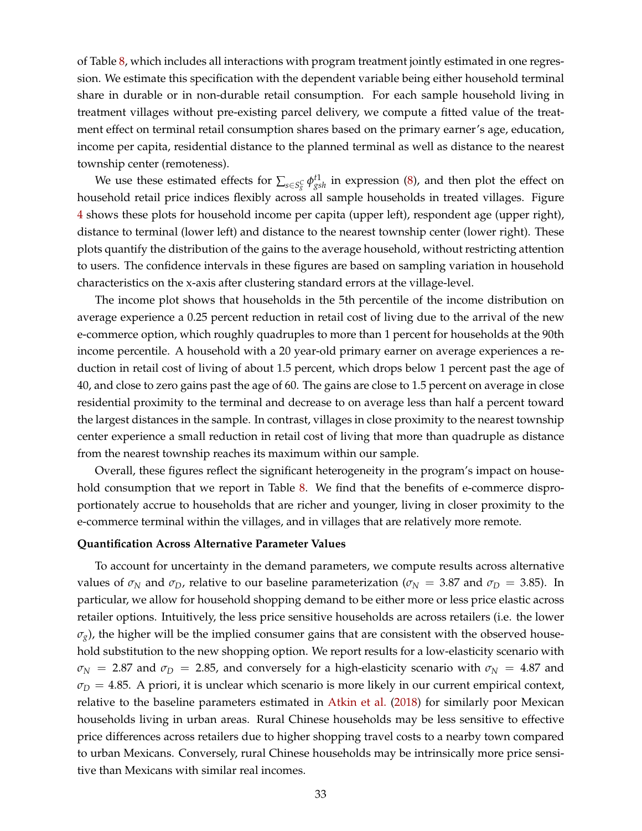of Table [8,](#page-49-0) which includes all interactions with program treatment jointly estimated in one regression. We estimate this specification with the dependent variable being either household terminal share in durable or in non-durable retail consumption. For each sample household living in treatment villages without pre-existing parcel delivery, we compute a fitted value of the treatment effect on terminal retail consumption shares based on the primary earner's age, education, income per capita, residential distance to the planned terminal as well as distance to the nearest township center (remoteness).

We use these estimated effects for  $\sum_{s \in S_g^C} \phi_{gsh}^{t1}$  in expression [\(8\)](#page-32-0), and then plot the effect on household retail price indices flexibly across all sample households in treated villages. Figure [4](#page-41-0) shows these plots for household income per capita (upper left), respondent age (upper right), distance to terminal (lower left) and distance to the nearest township center (lower right). These plots quantify the distribution of the gains to the average household, without restricting attention to users. The confidence intervals in these figures are based on sampling variation in household characteristics on the x-axis after clustering standard errors at the village-level.

The income plot shows that households in the 5th percentile of the income distribution on average experience a 0.25 percent reduction in retail cost of living due to the arrival of the new e-commerce option, which roughly quadruples to more than 1 percent for households at the 90th income percentile. A household with a 20 year-old primary earner on average experiences a reduction in retail cost of living of about 1.5 percent, which drops below 1 percent past the age of 40, and close to zero gains past the age of 60. The gains are close to 1.5 percent on average in close residential proximity to the terminal and decrease to on average less than half a percent toward the largest distances in the sample. In contrast, villages in close proximity to the nearest township center experience a small reduction in retail cost of living that more than quadruple as distance from the nearest township reaches its maximum within our sample.

Overall, these figures reflect the significant heterogeneity in the program's impact on house-hold consumption that we report in Table [8.](#page-49-0) We find that the benefits of e-commerce disproportionately accrue to households that are richer and younger, living in closer proximity to the e-commerce terminal within the villages, and in villages that are relatively more remote.

#### **Quantification Across Alternative Parameter Values**

To account for uncertainty in the demand parameters, we compute results across alternative values of  $\sigma_N$  and  $\sigma_D$ , relative to our baseline parameterization ( $\sigma_N$  = 3.87 and  $\sigma_D$  = 3.85). In particular, we allow for household shopping demand to be either more or less price elastic across retailer options. Intuitively, the less price sensitive households are across retailers (i.e. the lower  $\sigma_{g}$ ), the higher will be the implied consumer gains that are consistent with the observed household substitution to the new shopping option. We report results for a low-elasticity scenario with  $\sigma_N$  = 2.87 and  $\sigma_D$  = 2.85, and conversely for a high-elasticity scenario with  $\sigma_N$  = 4.87 and  $\sigma_D = 4.85$ . A priori, it is unclear which scenario is more likely in our current empirical context, relative to the baseline parameters estimated in [Atkin et al.](#page-36-3) [\(2018\)](#page-36-3) for similarly poor Mexican households living in urban areas. Rural Chinese households may be less sensitive to effective price differences across retailers due to higher shopping travel costs to a nearby town compared to urban Mexicans. Conversely, rural Chinese households may be intrinsically more price sensitive than Mexicans with similar real incomes.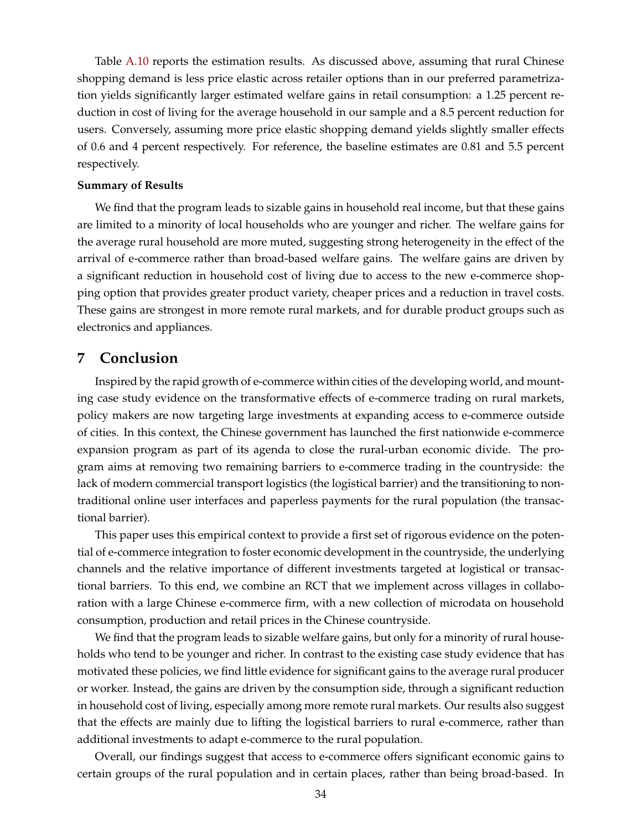Table [A.10](#page-62-0) reports the estimation results. As discussed above, assuming that rural Chinese shopping demand is less price elastic across retailer options than in our preferred parametrization yields significantly larger estimated welfare gains in retail consumption: a 1.25 percent reduction in cost of living for the average household in our sample and a 8.5 percent reduction for users. Conversely, assuming more price elastic shopping demand yields slightly smaller effects of 0.6 and 4 percent respectively. For reference, the baseline estimates are 0.81 and 5.5 percent respectively.

#### **Summary of Results**

We find that the program leads to sizable gains in household real income, but that these gains are limited to a minority of local households who are younger and richer. The welfare gains for the average rural household are more muted, suggesting strong heterogeneity in the effect of the arrival of e-commerce rather than broad-based welfare gains. The welfare gains are driven by a significant reduction in household cost of living due to access to the new e-commerce shopping option that provides greater product variety, cheaper prices and a reduction in travel costs. These gains are strongest in more remote rural markets, and for durable product groups such as electronics and appliances.

## <span id="page-35-0"></span>**7 Conclusion**

Inspired by the rapid growth of e-commerce within cities of the developing world, and mounting case study evidence on the transformative effects of e-commerce trading on rural markets, policy makers are now targeting large investments at expanding access to e-commerce outside of cities. In this context, the Chinese government has launched the first nationwide e-commerce expansion program as part of its agenda to close the rural-urban economic divide. The program aims at removing two remaining barriers to e-commerce trading in the countryside: the lack of modern commercial transport logistics (the logistical barrier) and the transitioning to nontraditional online user interfaces and paperless payments for the rural population (the transactional barrier).

This paper uses this empirical context to provide a first set of rigorous evidence on the potential of e-commerce integration to foster economic development in the countryside, the underlying channels and the relative importance of different investments targeted at logistical or transactional barriers. To this end, we combine an RCT that we implement across villages in collaboration with a large Chinese e-commerce firm, with a new collection of microdata on household consumption, production and retail prices in the Chinese countryside.

We find that the program leads to sizable welfare gains, but only for a minority of rural households who tend to be younger and richer. In contrast to the existing case study evidence that has motivated these policies, we find little evidence for significant gains to the average rural producer or worker. Instead, the gains are driven by the consumption side, through a significant reduction in household cost of living, especially among more remote rural markets. Our results also suggest that the effects are mainly due to lifting the logistical barriers to rural e-commerce, rather than additional investments to adapt e-commerce to the rural population.

Overall, our findings suggest that access to e-commerce offers significant economic gains to certain groups of the rural population and in certain places, rather than being broad-based. In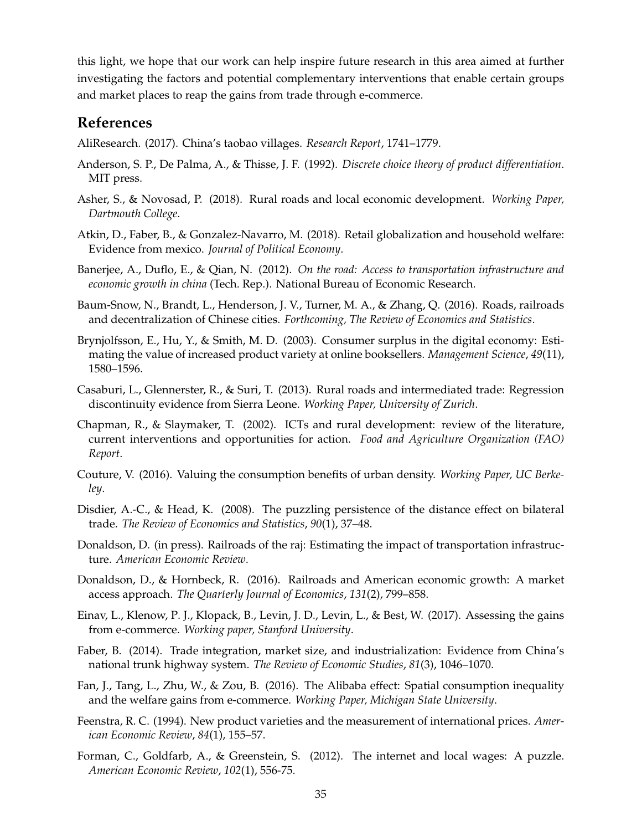this light, we hope that our work can help inspire future research in this area aimed at further investigating the factors and potential complementary interventions that enable certain groups and market places to reap the gains from trade through e-commerce.

# **References**

<span id="page-36-0"></span>AliResearch. (2017). China's taobao villages. *Research Report*, 1741–1779.

- <span id="page-36-17"></span>Anderson, S. P., De Palma, A., & Thisse, J. F. (1992). *Discrete choice theory of product differentiation*. MIT press.
- <span id="page-36-5"></span>Asher, S., & Novosad, P. (2018). Rural roads and local economic development. *Working Paper, Dartmouth College*.
- <span id="page-36-3"></span>Atkin, D., Faber, B., & Gonzalez-Navarro, M. (2018). Retail globalization and household welfare: Evidence from mexico. *Journal of Political Economy*.
- <span id="page-36-9"></span>Banerjee, A., Duflo, E., & Qian, N. (2012). *On the road: Access to transportation infrastructure and economic growth in china* (Tech. Rep.). National Bureau of Economic Research.
- <span id="page-36-10"></span>Baum-Snow, N., Brandt, L., Henderson, J. V., Turner, M. A., & Zhang, Q. (2016). Roads, railroads and decentralization of Chinese cities. *Forthcoming, The Review of Economics and Statistics*.
- <span id="page-36-12"></span>Brynjolfsson, E., Hu, Y., & Smith, M. D. (2003). Consumer surplus in the digital economy: Estimating the value of increased product variety at online booksellers. *Management Science*, *49*(11), 1580–1596.
- <span id="page-36-4"></span>Casaburi, L., Glennerster, R., & Suri, T. (2013). Rural roads and intermediated trade: Regression discontinuity evidence from Sierra Leone. *Working Paper, University of Zurich*.
- <span id="page-36-6"></span>Chapman, R., & Slaymaker, T. (2002). ICTs and rural development: review of the literature, current interventions and opportunities for action. *Food and Agriculture Organization (FAO) Report*.
- <span id="page-36-14"></span>Couture, V. (2016). Valuing the consumption benefits of urban density. *Working Paper, UC Berkeley*.
- <span id="page-36-16"></span>Disdier, A.-C., & Head, K. (2008). The puzzling persistence of the distance effect on bilateral trade. *The Review of Economics and Statistics*, *90*(1), 37–48.
- <span id="page-36-8"></span>Donaldson, D. (in press). Railroads of the raj: Estimating the impact of transportation infrastructure. *American Economic Review*.
- <span id="page-36-15"></span>Donaldson, D., & Hornbeck, R. (2016). Railroads and American economic growth: A market access approach. *The Quarterly Journal of Economics*, *131*(2), 799–858.
- <span id="page-36-13"></span>Einav, L., Klenow, P. J., Klopack, B., Levin, J. D., Levin, L., & Best, W. (2017). Assessing the gains from e-commerce. *Working paper, Stanford University*.
- <span id="page-36-11"></span>Faber, B. (2014). Trade integration, market size, and industrialization: Evidence from China's national trunk highway system. *The Review of Economic Studies*, *81*(3), 1046–1070.
- <span id="page-36-1"></span>Fan, J., Tang, L., Zhu, W., & Zou, B. (2016). The Alibaba effect: Spatial consumption inequality and the welfare gains from e-commerce. *Working Paper, Michigan State University*.
- <span id="page-36-2"></span>Feenstra, R. C. (1994). New product varieties and the measurement of international prices. *American Economic Review*, *84*(1), 155–57.
- <span id="page-36-7"></span>Forman, C., Goldfarb, A., & Greenstein, S. (2012). The internet and local wages: A puzzle. *American Economic Review*, *102*(1), 556-75.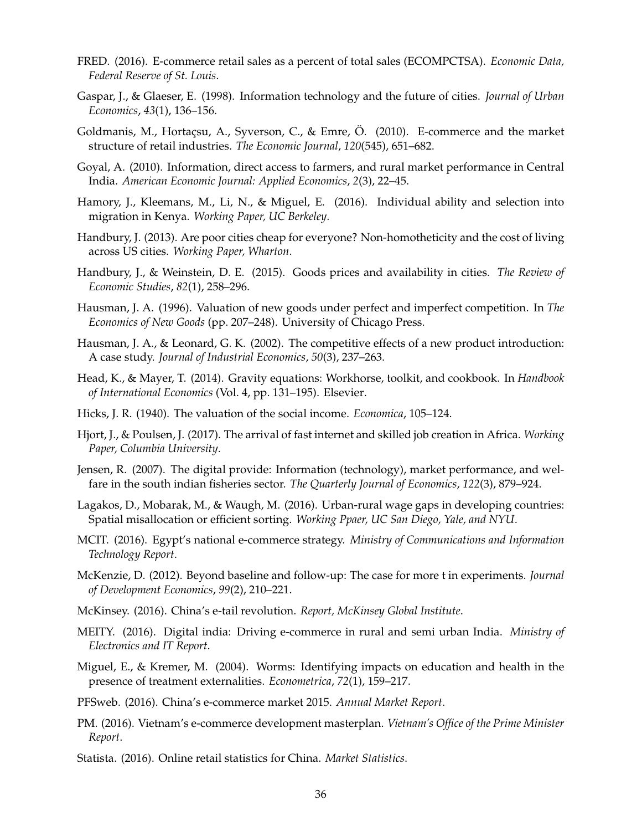- <span id="page-37-5"></span>FRED. (2016). E-commerce retail sales as a percent of total sales (ECOMPCTSA). *Economic Data, Federal Reserve of St. Louis*.
- <span id="page-37-11"></span>Gaspar, J., & Glaeser, E. (1998). Information technology and the future of cities. *Journal of Urban Economics*, *43*(1), 136–156.
- <span id="page-37-12"></span>Goldmanis, M., Hortaçsu, A., Syverson, C., & Emre, Ö. (2010). E-commerce and the market structure of retail industries. *The Economic Journal*, *120*(545), 651–682.
- <span id="page-37-10"></span>Goyal, A. (2010). Information, direct access to farmers, and rural market performance in Central India. *American Economic Journal: Applied Economics*, *2*(3), 22–45.
- <span id="page-37-16"></span>Hamory, J., Kleemans, M., Li, N., & Miguel, E. (2016). Individual ability and selection into migration in Kenya. *Working Paper, UC Berkeley*.
- <span id="page-37-13"></span>Handbury, J. (2013). Are poor cities cheap for everyone? Non-homotheticity and the cost of living across US cities. *Working Paper, Wharton*.
- <span id="page-37-14"></span>Handbury, J., & Weinstein, D. E. (2015). Goods prices and availability in cities. *The Review of Economic Studies*, *82*(1), 258–296.
- <span id="page-37-7"></span>Hausman, J. A. (1996). Valuation of new goods under perfect and imperfect competition. In *The Economics of New Goods* (pp. 207–248). University of Chicago Press.
- <span id="page-37-17"></span>Hausman, J. A., & Leonard, G. K. (2002). The competitive effects of a new product introduction: A case study. *Journal of Industrial Economics*, *50*(3), 237–263.
- <span id="page-37-21"></span>Head, K., & Mayer, T. (2014). Gravity equations: Workhorse, toolkit, and cookbook. In *Handbook of International Economics* (Vol. 4, pp. 131–195). Elsevier.
- <span id="page-37-18"></span>Hicks, J. R. (1940). The valuation of the social income. *Economica*, 105–124.
- <span id="page-37-9"></span>Hjort, J., & Poulsen, J. (2017). The arrival of fast internet and skilled job creation in Africa. *Working Paper, Columbia University*.
- <span id="page-37-8"></span>Jensen, R. (2007). The digital provide: Information (technology), market performance, and welfare in the south indian fisheries sector. *The Quarterly Journal of Economics*, *122*(3), 879–924.
- <span id="page-37-15"></span>Lagakos, D., Mobarak, M., & Waugh, M. (2016). Urban-rural wage gaps in developing countries: Spatial misallocation or efficient sorting. *Working Ppaer, UC San Diego, Yale, and NYU*.
- <span id="page-37-3"></span>MCIT. (2016). Egypt's national e-commerce strategy. *Ministry of Communications and Information Technology Report*.
- <span id="page-37-20"></span>McKenzie, D. (2012). Beyond baseline and follow-up: The case for more t in experiments. *Journal of Development Economics*, *99*(2), 210–221.
- <span id="page-37-6"></span>McKinsey. (2016). China's e-tail revolution. *Report, McKinsey Global Institute*.
- <span id="page-37-2"></span>MEITY. (2016). Digital india: Driving e-commerce in rural and semi urban India. *Ministry of Electronics and IT Report*.
- <span id="page-37-19"></span>Miguel, E., & Kremer, M. (2004). Worms: Identifying impacts on education and health in the presence of treatment externalities. *Econometrica*, *72*(1), 159–217.
- <span id="page-37-0"></span>PFSweb. (2016). China's e-commerce market 2015. *Annual Market Report*.
- <span id="page-37-4"></span>PM. (2016). Vietnam's e-commerce development masterplan. *Vietnam's Office of the Prime Minister Report*.
- <span id="page-37-1"></span>Statista. (2016). Online retail statistics for China. *Market Statistics*.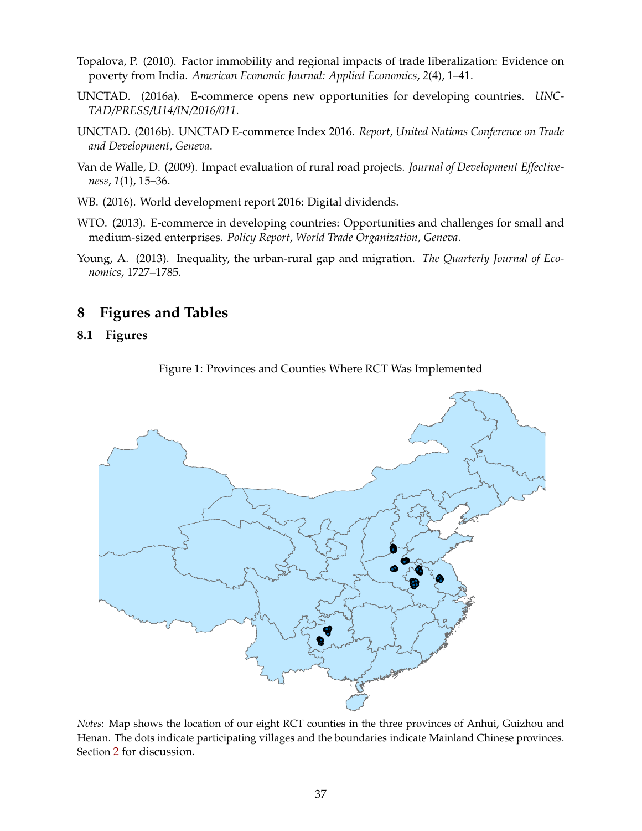- <span id="page-38-5"></span>Topalova, P. (2010). Factor immobility and regional impacts of trade liberalization: Evidence on poverty from India. *American Economic Journal: Applied Economics*, *2*(4), 1–41.
- <span id="page-38-2"></span>UNCTAD. (2016a). E-commerce opens new opportunities for developing countries. *UNC-TAD/PRESS/U14/IN/2016/011*.
- <span id="page-38-1"></span>UNCTAD. (2016b). UNCTAD E-commerce Index 2016. *Report, United Nations Conference on Trade and Development, Geneva*.
- <span id="page-38-3"></span>Van de Walle, D. (2009). Impact evaluation of rural road projects. *Journal of Development Effectiveness*, *1*(1), 15–36.
- <span id="page-38-4"></span>WB. (2016). World development report 2016: Digital dividends.
- <span id="page-38-0"></span>WTO. (2013). E-commerce in developing countries: Opportunities and challenges for small and medium-sized enterprises. *Policy Report, World Trade Organization, Geneva*.
- <span id="page-38-6"></span>Young, A. (2013). Inequality, the urban-rural gap and migration. *The Quarterly Journal of Economics*, 1727–1785.

# **8 Figures and Tables**

#### <span id="page-38-7"></span>**8.1 Figures**

Figure 1: Provinces and Counties Where RCT Was Implemented



*Notes*: Map shows the location of our eight RCT counties in the three provinces of Anhui, Guizhou and Henan. The dots indicate participating villages and the boundaries indicate Mainland Chinese provinces. Section [2](#page-8-0) for discussion.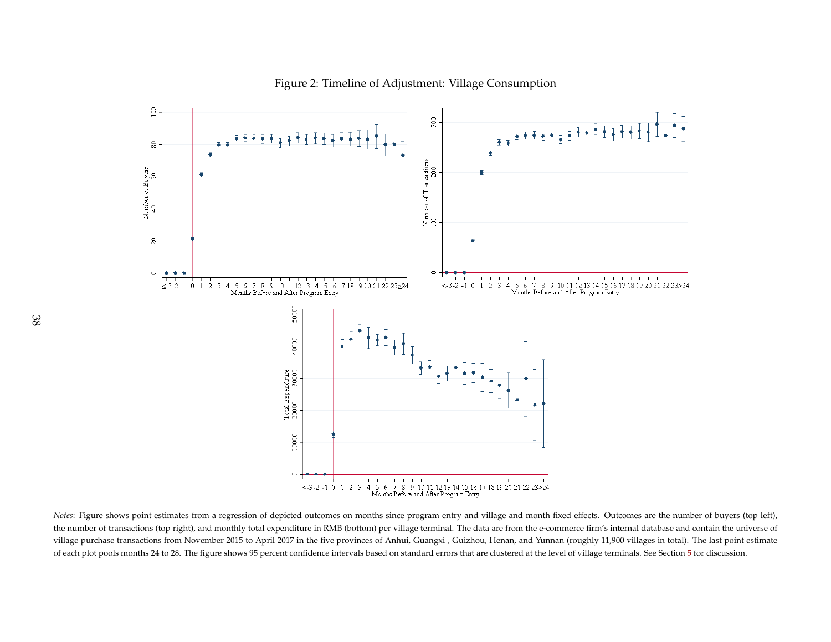

<span id="page-39-0"></span>*Notes*: Figure shows point estimates from a regression of depicted outcomes on months since program entry and village and month fixed effects. Outcomes are the number of buyers (top left), the number of transactions (top right), and monthly total expenditure in RMB (bottom) per village terminal. The data are from the e-commerce firm's internal database and contain the universe ofvillage purchase transactions from November 2015 to April 2017 in the five provinces of Anhui, Guangxi , Guizhou, Henan, and Yunnan (roughly 11,900 villages in total). The last point estimateof each plot pools months 24 to 28. The figure shows 9[5](#page-28-1) percent confidence intervals based on standard errors that are clustered at the level of village terminals. See Section 5 for discussion.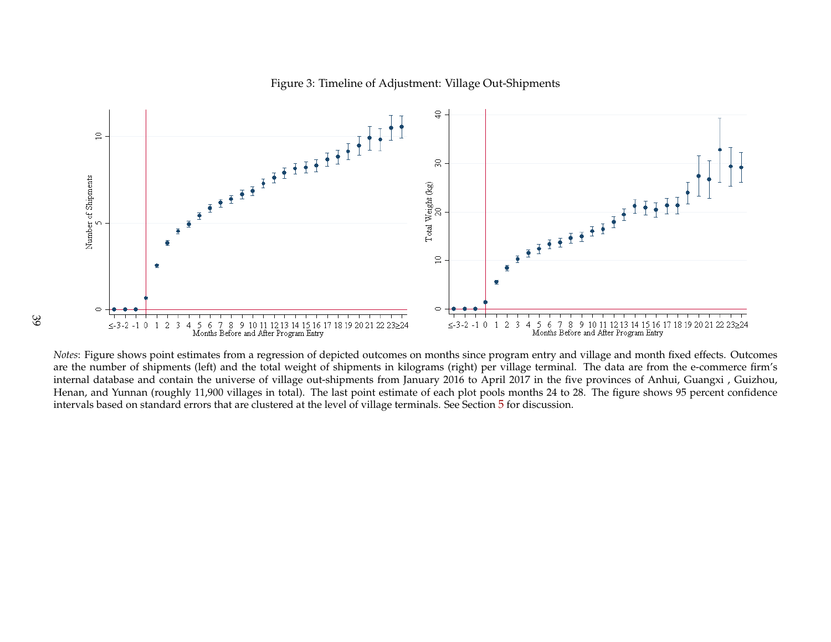

#### <span id="page-40-0"></span>Figure 3: Timeline of Adjustment: Village Out-Shipments

*Notes*: Figure shows point estimates from <sup>a</sup> regression of depicted outcomes on months since program entry and village and month fixed effects. Outcomes are the number of shipments (left) and the total weight of shipments in kilograms (right) per village terminal. The data are from the e-commerce firm's internal database and contain the universe of village out-shipments from January 2016 to April 2017 in the five provinces of Anhui, Guangxi , Guizhou, Henan, and Yunnan (roughly 11,900 villages in total). The last point estimate of each plot pools months <sup>24</sup> to 28. The figure shows 95 percen<sup>t</sup> confidenceintervals based on standard errors that are clustered at the level of village terminals. See Section [5](#page-28-1) for discussion.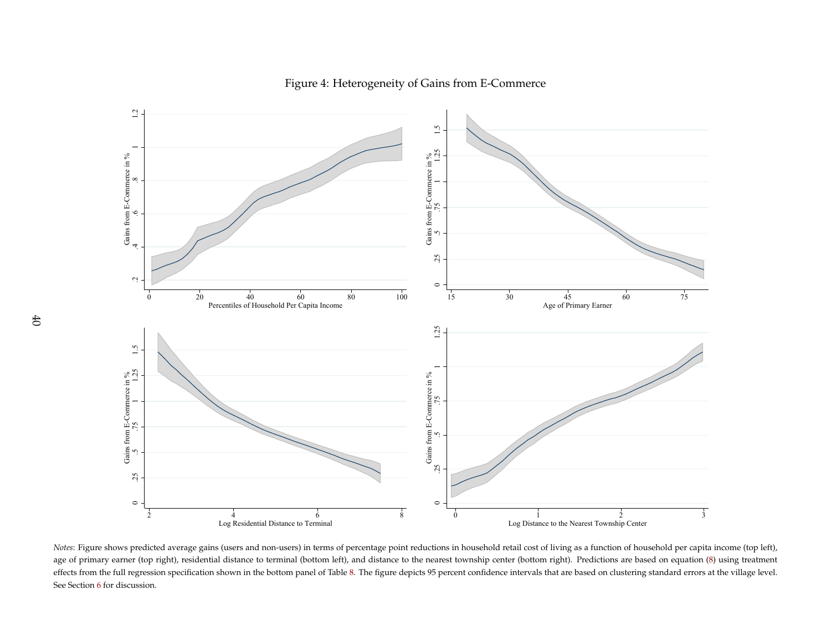

Figure 4: Heterogeneity of Gains from E-Commerce

<span id="page-41-0"></span>1<br>
Log Residential Distance to Terminal<br>
Distance to Terminal<br>
Distance to Terminal<br>
Distance to Terminal<br>
Distance to Terminal<br>
Distance to Terminal<br>
Distance to the Nearest Town<br>
The Nearest Town<br>
Distance to the Nearest <sup>4</sup><br>Log Residential Distance to Terminal<br>predicted average gains (users and non-users) in terms of percentage poir<br>er (top right), residential distance to terminal (bottom left), and distance t<br>regression specification sho <sup>8</sup><br>
1<br>
s of percentage point reductic<br>
left), and distance to the near<br>
fable 8. The figure depicts 95 p  $\frac{1}{2}$ <br>Log Distance to the Nearest Township Center<br>tions in household retail cost of living as a function of household per capi<br>earest township center (bottom right). Predictions are based on equation<br>5 percent confide *Notes*: Figure shows predicted average gains (users and non-users) in terms of percentage point reductions in household retail cost of living as <sup>a</sup> function of household per capita income (top left), age of primary earner (top right), residential distance to terminal (bottom left), and distance to the nearest township center (bottom right). Predictions are based on equation [\(8\)](#page-32-1) using treatment effects from the full regression specification shown in the bottom panel of Table [8.](#page-49-1) The figure depicts <sup>95</sup> percen<sup>t</sup> confidence intervals that are based on clustering standard errors at the village level. See Section [6](#page-31-1) for discussion.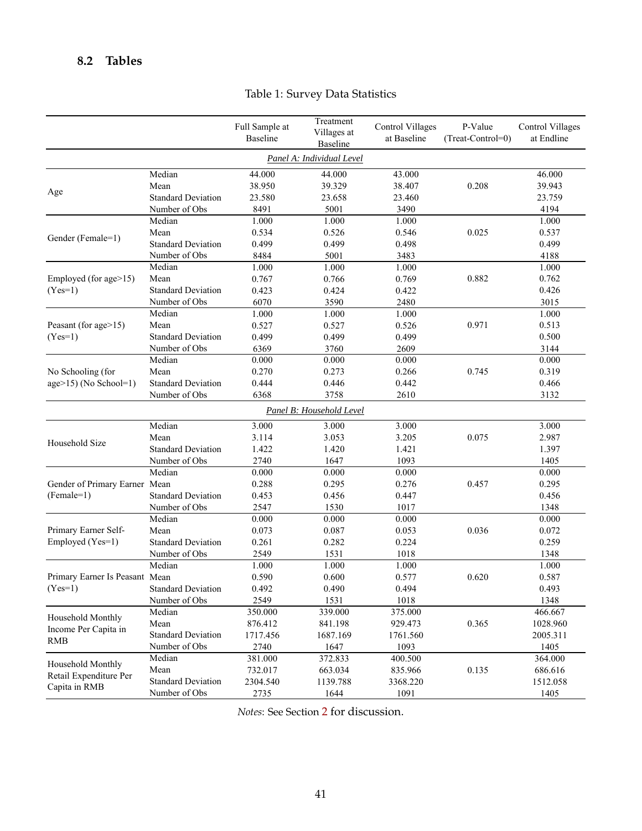# <span id="page-42-0"></span>**8.2 Tables**

|                                             |                                   | Full Sample at<br>Baseline | Treatment<br>Villages at<br>Baseline | <b>Control Villages</b><br>at Baseline | P-Value<br>(Treat-Control=0) | <b>Control Villages</b><br>at Endline |
|---------------------------------------------|-----------------------------------|----------------------------|--------------------------------------|----------------------------------------|------------------------------|---------------------------------------|
|                                             |                                   |                            | Panel A: Individual Level            |                                        |                              |                                       |
|                                             | Median                            | 44.000                     | 44.000                               | 43.000                                 |                              | 46.000                                |
|                                             | Mean                              | 38.950                     | 39.329                               | 38.407                                 | 0.208                        | 39.943                                |
| Age                                         | <b>Standard Deviation</b>         | 23.580                     | 23.658                               | 23.460                                 |                              | 23.759                                |
|                                             | Number of Obs                     | 8491                       | 5001                                 | 3490                                   |                              | 4194                                  |
|                                             | Median                            | 1.000                      | 1.000                                | 1.000                                  |                              | 1.000                                 |
|                                             | Mean                              | 0.534                      | 0.526                                | 0.546                                  | 0.025                        | 0.537                                 |
| Gender (Female=1)                           | <b>Standard Deviation</b>         | 0.499                      | 0.499                                | 0.498                                  |                              | 0.499                                 |
|                                             | Number of Obs                     | 8484                       | 5001                                 | 3483                                   |                              | 4188                                  |
|                                             | Median                            | 1.000                      | 1.000                                | 1.000                                  |                              | 1.000                                 |
| Employed (for age>15)                       | Mean                              | 0.767                      | 0.766                                | 0.769                                  | 0.882                        | 0.762                                 |
| $(Yes=1)$                                   | <b>Standard Deviation</b>         | 0.423                      | 0.424                                | 0.422                                  |                              | 0.426                                 |
|                                             | Number of Obs                     | 6070                       | 3590                                 | 2480                                   |                              | 3015                                  |
|                                             | Median                            | 1.000                      | 1.000                                | 1.000                                  |                              | 1.000                                 |
| Peasant (for age>15)                        | Mean                              | 0.527                      | 0.527                                | 0.526                                  | 0.971                        | 0.513                                 |
| $(Yes=1)$                                   | <b>Standard Deviation</b>         | 0.499                      | 0.499                                | 0.499                                  |                              | 0.500                                 |
|                                             | Number of Obs                     | 6369                       | 3760                                 | 2609                                   |                              | 3144                                  |
|                                             | Median                            | 0.000                      | 0.000                                | 0.000                                  |                              | 0.000                                 |
| No Schooling (for<br>$age>15$ (No School=1) | Mean                              | 0.270                      | 0.273                                | 0.266                                  | 0.745                        | 0.319                                 |
|                                             | <b>Standard Deviation</b>         | 0.444                      | 0.446                                | 0.442                                  |                              | 0.466                                 |
|                                             | Number of Obs                     | 6368                       | 3758                                 | 2610                                   |                              | 3132                                  |
|                                             |                                   |                            | Panel B: Household Level             |                                        |                              |                                       |
|                                             | Median<br>3.000<br>3.000<br>3.000 |                            |                                      |                                        |                              | 3.000                                 |
|                                             | Mean                              | 3.114                      | 3.053                                | 3.205                                  | 0.075                        | 2.987                                 |
| Household Size                              | <b>Standard Deviation</b>         | 1.422                      | 1.420                                | 1.421                                  |                              | 1.397                                 |
|                                             | Number of Obs                     | 2740                       | 1647                                 | 1093                                   |                              | 1405                                  |
|                                             | Median                            | 0.000                      | 0.000                                | 0.000                                  |                              | 0.000                                 |
| Gender of Primary Earner Mean               |                                   | 0.288                      | 0.295                                | 0.276                                  | 0.457                        | 0.295                                 |
| $(Female=1)$                                | <b>Standard Deviation</b>         | 0.453                      | 0.456                                | 0.447                                  |                              | 0.456                                 |
|                                             | Number of Obs                     | 2547                       | 1530                                 | 1017                                   |                              | 1348                                  |
|                                             | Median                            | 0.000                      | 0.000                                | 0.000                                  |                              | 0.000                                 |
| Primary Earner Self-                        | Mean                              | 0.073                      | 0.087                                | 0.053                                  | 0.036                        | 0.072                                 |
| Employed (Yes=1)                            | <b>Standard Deviation</b>         | 0.261                      | 0.282                                | 0.224                                  |                              | 0.259                                 |
|                                             | Number of Obs                     | 2549                       | 1531                                 | 1018                                   |                              | 1348                                  |
|                                             | Median                            | 1.000                      | 1.000                                | 1.000                                  |                              | 1.000                                 |
| Primary Earner Is Peasant Mean              |                                   | 0.590                      | 0.600                                | 0.577                                  | 0.620                        | 0.587                                 |
| $(Yes=1)$                                   | <b>Standard Deviation</b>         | 0.492                      | 0.490                                | 0.494                                  |                              | 0.493                                 |
|                                             | Number of Obs                     | 2549                       | 1531                                 | 1018                                   |                              | 1348                                  |
| Household Monthly                           | Median                            | 350.000                    | 339.000                              | 375.000                                |                              | 466.667                               |
| Income Per Capita in                        | Mean                              | 876.412                    | 841.198                              | 929.473                                | 0.365                        | 1028.960                              |
| <b>RMB</b>                                  | <b>Standard Deviation</b>         | 1717.456                   | 1687.169                             | 1761.560                               |                              | 2005.311                              |
|                                             | Number of Obs                     | 2740                       | 1647                                 | 1093                                   |                              | 1405                                  |
| Household Monthly                           | Median                            | 381.000                    | 372.833                              | 400.500                                |                              | 364.000                               |
| Retail Expenditure Per                      | Mean                              | 732.017                    | 663.034                              | 835.966                                | 0.135                        | 686.616                               |
| Capita in RMB                               | <b>Standard Deviation</b>         | 2304.540                   | 1139.788                             | 3368.220                               |                              | 1512.058                              |
|                                             | Number of Obs                     | 2735                       | 1644                                 | 1091                                   |                              | 1405                                  |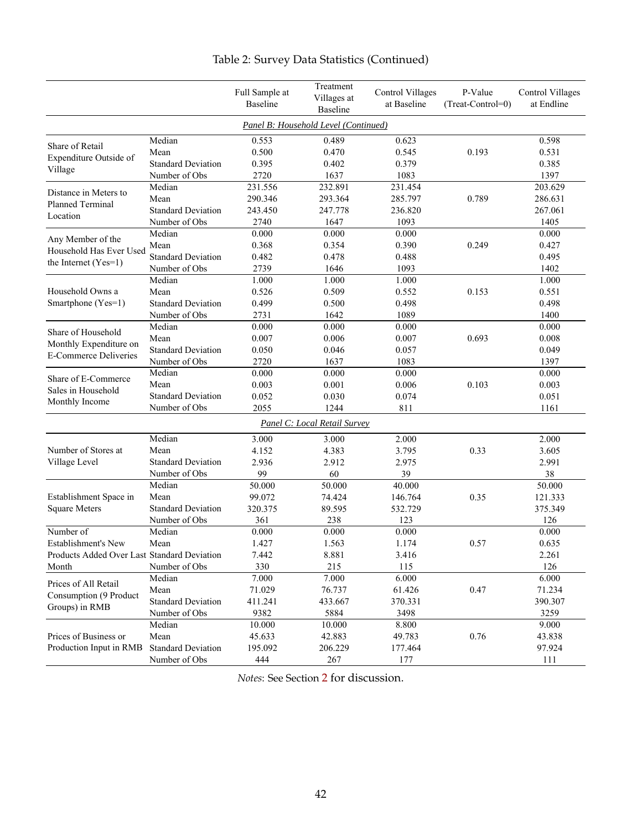<span id="page-43-0"></span>

|                                                        |                           | Full Sample at<br><b>Baseline</b> | Treatment<br>Villages at<br><b>Baseline</b> | <b>Control Villages</b><br>at Baseline | P-Value<br>(Treat-Control=0) | <b>Control Villages</b><br>at Endline |
|--------------------------------------------------------|---------------------------|-----------------------------------|---------------------------------------------|----------------------------------------|------------------------------|---------------------------------------|
|                                                        |                           |                                   | Panel B: Household Level (Continued)        |                                        |                              |                                       |
| Share of Retail                                        | Median                    | 0.553                             | 0.489                                       | 0.623                                  |                              | 0.598                                 |
| Expenditure Outside of                                 | Mean                      | 0.500                             | 0.470                                       | 0.545                                  | 0.193                        | 0.531                                 |
|                                                        | <b>Standard Deviation</b> | 0.395                             | 0.402                                       | 0.379                                  |                              | 0.385                                 |
| Village                                                | Number of Obs             | 2720                              | 1637                                        | 1083                                   |                              | 1397                                  |
| Distance in Meters to                                  | Median                    | 231.556                           | 232.891                                     | 231.454                                |                              | 203.629                               |
| <b>Planned Terminal</b>                                | Mean                      | 290.346                           | 293.364                                     | 285.797                                | 0.789                        | 286.631                               |
| Location                                               | <b>Standard Deviation</b> | 243.450                           | 247.778                                     | 236.820                                |                              | 267.061                               |
|                                                        | Number of Obs             | 2740                              | 1647                                        | 1093                                   |                              | 1405                                  |
| Any Member of the                                      | Median                    | 0.000                             | 0.000                                       | 0.000                                  |                              | 0.000                                 |
| Household Has Ever Used                                | Mean                      | 0.368                             | 0.354                                       | 0.390                                  | 0.249                        | 0.427                                 |
| the Internet (Yes=1)                                   | <b>Standard Deviation</b> | 0.482                             | 0.478                                       | 0.488                                  |                              | 0.495                                 |
|                                                        | Number of Obs             | 2739                              | 1646                                        | 1093                                   |                              | 1402                                  |
|                                                        | Median                    | 1.000                             | 1.000                                       | 1.000                                  |                              | 1.000                                 |
| Household Owns a                                       | Mean                      | 0.526                             | 0.509                                       | 0.552                                  | 0.153                        | 0.551                                 |
| Smartphone (Yes=1)                                     | <b>Standard Deviation</b> | 0.499                             | 0.500                                       | 0.498                                  |                              | 0.498                                 |
|                                                        | Number of Obs             | 2731                              | 1642                                        | 1089                                   |                              | 1400                                  |
| Share of Household                                     | Median                    | 0.000                             | 0.000                                       | 0.000                                  |                              | 0.000                                 |
| Monthly Expenditure on<br><b>E-Commerce Deliveries</b> | Mean                      | 0.007                             | 0.006                                       | 0.007                                  | 0.693                        | 0.008                                 |
|                                                        | <b>Standard Deviation</b> | 0.050                             | 0.046                                       | 0.057                                  |                              | 0.049                                 |
|                                                        | Number of Obs             | 2720                              | 1637                                        | 1083                                   |                              | 1397                                  |
| Share of E-Commerce                                    | Median                    | 0.000                             | 0.000                                       | 0.000                                  |                              | 0.000                                 |
| Sales in Household                                     | Mean                      | 0.003                             | 0.001                                       | 0.006                                  | 0.103                        | 0.003                                 |
| Monthly Income                                         | <b>Standard Deviation</b> | 0.052                             | 0.030                                       | 0.074                                  |                              | 0.051                                 |
|                                                        | Number of Obs             | 2055                              | 1244                                        | 811                                    |                              | 1161                                  |
|                                                        |                           |                                   | Panel C: Local Retail Survey                |                                        |                              |                                       |
|                                                        | Median                    | 3.000                             | 3.000                                       | 2.000                                  |                              | 2.000                                 |
| Number of Stores at                                    | Mean                      | 4.152                             | 4.383                                       | 3.795                                  | 0.33                         | 3.605                                 |
| Village Level                                          | <b>Standard Deviation</b> | 2.936                             | 2.912                                       | 2.975                                  |                              | 2.991                                 |
|                                                        | Number of Obs             | 99                                | 60                                          | 39                                     |                              | 38                                    |
|                                                        | Median                    | 50.000                            | 50.000                                      | 40.000                                 |                              | 50.000                                |
| Establishment Space in                                 | Mean                      | 99.072                            | 74.424                                      | 146.764                                | 0.35                         | 121.333                               |
| <b>Square Meters</b>                                   | <b>Standard Deviation</b> | 320.375                           | 89.595                                      | 532.729                                |                              | 375.349                               |
|                                                        | Number of Obs             | 361                               | 238                                         | 123                                    |                              | 126                                   |
| Number of                                              | Median                    | 0.000                             | 0.000                                       | 0.000                                  |                              | 0.000                                 |
| Establishment's New                                    | Mean                      | 1.427                             | 1.563                                       | 1.174                                  | 0.57                         | 0.635                                 |
| Products Added Over Last Standard Deviation            |                           | 7.442                             | 8.881                                       | 3.416                                  |                              | 2.261                                 |
| Month                                                  | Number of Obs             | 330                               | 215                                         | 115                                    |                              | 126                                   |
| Prices of All Retail                                   | Median                    | $\overline{7.000}$                | 7.000                                       | 6.000                                  |                              | 6.000                                 |
| Consumption (9 Product                                 | Mean                      | 71.029                            | 76.737                                      | 61.426                                 | 0.47                         | 71.234                                |
| Groups) in RMB                                         | <b>Standard Deviation</b> | 411.241                           | 433.667                                     | 370.331                                |                              | 390.307                               |
|                                                        | Number of Obs             | 9382                              | 5884                                        | 3498                                   |                              | 3259                                  |
|                                                        | Median                    | 10.000                            | 10.000                                      | 8.800                                  |                              | 9.000                                 |
| Prices of Business or                                  | Mean                      | 45.633                            | 42.883                                      | 49.783                                 | 0.76                         | 43.838                                |
| Production Input in RMB                                | <b>Standard Deviation</b> | 195.092                           | 206.229                                     | 177.464                                |                              | 97.924                                |
|                                                        | Number of Obs             | 444                               | 267                                         | 177                                    |                              | 111                                   |

# Table 2: Survey Data Statistics (Continued)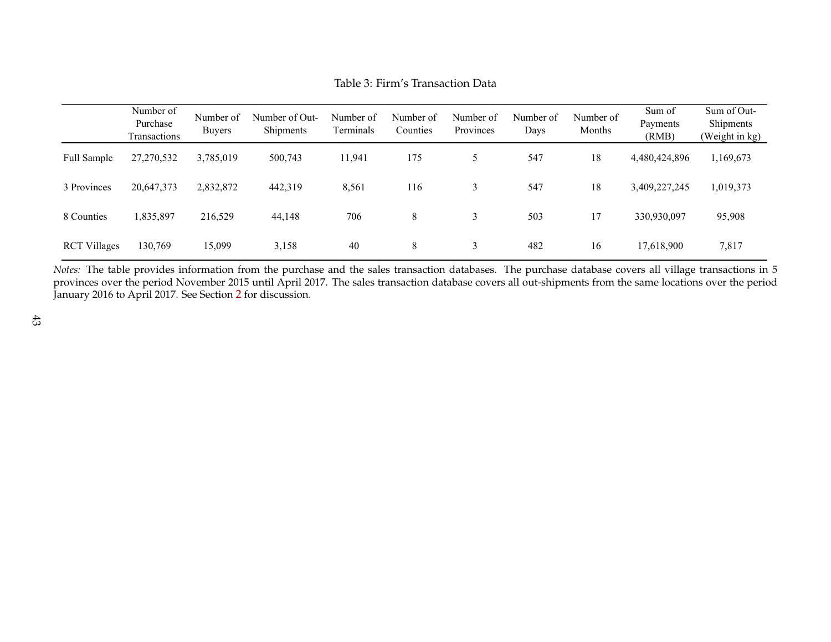|                     | Number of<br>Purchase<br>Transactions | Number of<br><b>Buvers</b> | Number of Out-<br>Shipments | Number of<br>Terminals | Number of<br>Counties | Number of<br>Provinces | Number of<br>Days | Number of<br>Months | Sum of<br>Payments<br>(RMB) | Sum of Out-<br>Shipments<br>(Weight in kg) |
|---------------------|---------------------------------------|----------------------------|-----------------------------|------------------------|-----------------------|------------------------|-------------------|---------------------|-----------------------------|--------------------------------------------|
| Full Sample         | 27,270,532                            | 3,785,019                  | 500,743                     | 11,941                 | 175                   |                        | 547               | 18                  | 4,480,424,896               | 1,169,673                                  |
| 3 Provinces         | 20,647,373                            | 2,832,872                  | 442,319                     | 8,561                  | 116                   |                        | 547               | 18                  | 3,409,227,245               | 1,019,373                                  |
| 8 Counties          | 1,835,897                             | 216,529                    | 44,148                      | 706                    | 8                     |                        | 503               |                     | 330,930,097                 | 95,908                                     |
| <b>RCT Villages</b> | 130,769                               | 15,099                     | 3,158                       | 40                     | 8                     |                        | 482               | 16                  | 17,618,900                  | 7,817                                      |

Table 3: Firm's Transaction Data

<span id="page-44-0"></span>*Notes*: The table provides information from the purchase and the sales transaction databases. The purchase database covers all village transactions in 5 provinces over the period November 2015 until April 2017. The sales transaction database covers all out-shipments from the same locations over the periodJanuary 2016 to April 2017. See Section [2](#page-8-1) for discussion.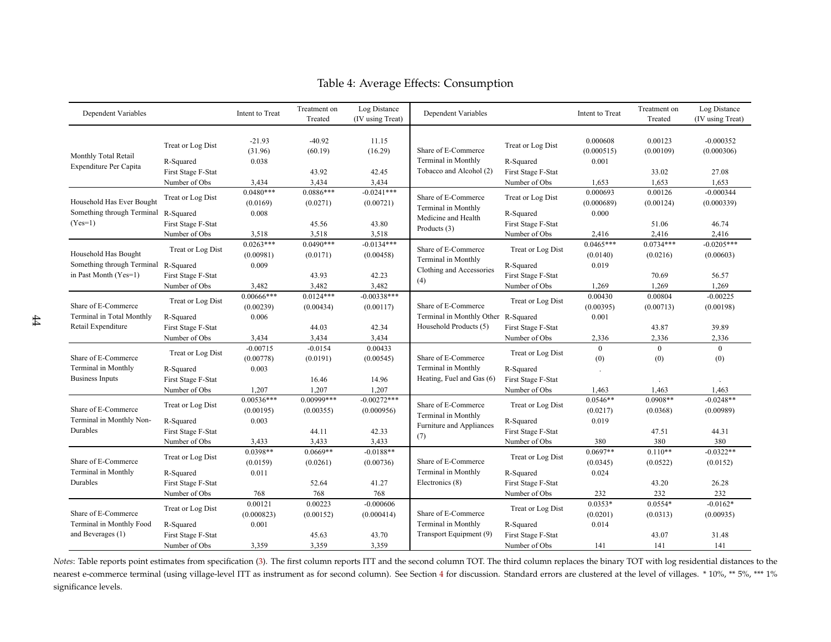<span id="page-45-1"></span>

| Dependent Variables                                                         |                                                  | Intent to Treat            | Treatment on<br>Treated   | Log Distance<br>(IV using Treat) | Dependent Variables                                                                  |                                                  | Intent to Treat         | Treatment on<br>Treated | Log Distance<br>(IV using Treat) |
|-----------------------------------------------------------------------------|--------------------------------------------------|----------------------------|---------------------------|----------------------------------|--------------------------------------------------------------------------------------|--------------------------------------------------|-------------------------|-------------------------|----------------------------------|
| Monthly Total Retail                                                        | Treat or Log Dist                                | $-21.93$<br>(31.96)        | $-40.92$<br>(60.19)       | 11.15<br>(16.29)                 | Share of E-Commerce                                                                  | 0.000608<br>Treat or Log Dist<br>(0.000515)      |                         | 0.00123<br>(0.00109)    | $-0.000352$<br>(0.000306)        |
| Expenditure Per Capita                                                      | R-Squared<br>First Stage F-Stat<br>Number of Obs | 0.038<br>3,434             | 43.92<br>3,434            | 42.45<br>3,434                   | Terminal in Monthly<br>Tobacco and Alcohol (2)                                       | R-Squared<br>First Stage F-Stat<br>Number of Obs | 0.001<br>1,653          | 33.02<br>1,653          | 27.08<br>1,653                   |
| Household Has Ever Bought                                                   | Treat or Log Dist                                | $0.0480***$<br>(0.0169)    | $0.0886***$<br>(0.0271)   | $-0.0241***$<br>(0.00721)        | Share of E-Commerce<br>Terminal in Monthly                                           | Treat or Log Dist                                | 0.000693<br>(0.000689)  | 0.00126<br>(0.00124)    | $-0.000344$<br>(0.000339)        |
| Something through Terminal<br>$(Yes=1)$                                     | R-Squared<br>First Stage F-Stat<br>Number of Obs | 0.008<br>3,518             | 45.56<br>3,518            | 43.80<br>3,518                   | Medicine and Health<br>Products (3)                                                  | R-Squared<br>First Stage F-Stat<br>Number of Obs | 0.000<br>2,416          | 51.06<br>2,416          | 46.74<br>2,416                   |
| Household Has Bought<br>Something through Terminal<br>in Past Month (Yes=1) | Treat or Log Dist                                | $0.0263***$<br>(0.00981)   | $0.0490***$<br>(0.0171)   | $-0.0134***$<br>(0.00458)        | Share of E-Commerce<br>Terminal in Monthly<br>Clothing and Accessories<br>(4)        | Treat or Log Dist                                | $0.0465***$<br>(0.0140) | $0.0734***$<br>(0.0216) | $-0.0205***$<br>(0.00603)        |
|                                                                             | R-Squared<br>First Stage F-Stat<br>Number of Obs | 0.009<br>3,482             | 43.93<br>3,482            | 42.23<br>3,482                   |                                                                                      | R-Squared<br>First Stage F-Stat<br>Number of Obs | 0.019<br>1,269          | 70.69<br>1,269          | 56.57<br>1,269                   |
| Share of E-Commerce<br>Terminal in Total Monthly<br>Retail Expenditure      | Treat or Log Dist                                | $0.00666$ ***<br>(0.00239) | $0.0124***$<br>(0.00434)  | $-0.00338***$<br>(0.00117)       | Share of E-Commerce<br>Terminal in Monthly Other R-Squared<br>Household Products (5) | Treat or Log Dist                                | 0.00430<br>(0.00395)    | 0.00804<br>(0.00713)    | $-0.00225$<br>(0.00198)          |
|                                                                             | R-Squared<br>First Stage F-Stat<br>Number of Obs | 0.006<br>3,434             | 44.03<br>3,434            | 42.34<br>3,434                   |                                                                                      | First Stage F-Stat<br>Number of Obs              | 0.001<br>2,336          | 43.87<br>2,336          | 39.89<br>2,336                   |
| Share of E-Commerce                                                         | Treat or Log Dist                                | $-0.00715$<br>(0.00778)    | $-0.0154$<br>(0.0191)     | 0.00433<br>(0.00545)             | Share of E-Commerce                                                                  | Treat or Log Dist                                | $\overline{0}$<br>(0)   | $\overline{0}$<br>(0)   | $\overline{0}$<br>(0)            |
| Terminal in Monthly<br><b>Business Inputs</b>                               | R-Squared<br>First Stage F-Stat<br>Number of Obs | 0.003<br>1,207             | 16.46<br>1,207            | 14.96<br>1,207                   | Terminal in Monthly<br>Heating, Fuel and Gas (6)                                     | R-Squared<br>First Stage F-Stat<br>Number of Obs | 1,463                   | 1,463                   | 1,463                            |
| Share of E-Commerce                                                         | Treat or Log Dist                                | $0.00536***$<br>(0.00195)  | $0.00999***$<br>(0.00355) | $-0.00272***$<br>(0.000956)      | Share of E-Commerce<br>Terminal in Monthly                                           | Treat or Log Dist                                | $0.0546**$<br>(0.0217)  | $0.0908**$<br>(0.0368)  | $-0.0248**$<br>(0.00989)         |
| Terminal in Monthly Non-<br>Durables                                        | R-Squared<br>First Stage F-Stat<br>Number of Obs | 0.003<br>3,433             | 44.11<br>3,433            | 42.33<br>3,433                   | Furniture and Appliances<br>(7)                                                      | R-Squared<br>First Stage F-Stat<br>Number of Obs | 0.019<br>380            | 47.51<br>380            | 44.31<br>380                     |
| Share of E-Commerce                                                         | Treat or Log Dist                                | $0.0398**$<br>(0.0159)     | $0.0669**$<br>(0.0261)    | $-0.0188**$<br>(0.00736)         | Share of E-Commerce                                                                  | Treat or Log Dist                                | $0.0697**$<br>(0.0345)  | $0.110**$<br>(0.0522)   | $-0.0322**$<br>(0.0152)          |
| Terminal in Monthly<br>Durables                                             | R-Squared<br>First Stage F-Stat<br>Number of Obs | 0.011<br>768               | 52.64<br>768              | 41.27<br>768                     | Terminal in Monthly<br>Electronics (8)                                               | R-Squared<br>First Stage F-Stat<br>Number of Obs | 0.024<br>232            | 43.20<br>232            | 26.28<br>232                     |
| Share of E-Commerce                                                         | Treat or Log Dist                                | 0.00121<br>(0.000823)      | 0.00223<br>(0.00152)      | $-0.000606$<br>(0.000414)        | Share of E-Commerce                                                                  | Treat or Log Dist                                | $0.0353*$<br>(0.0201)   | $0.0554*$<br>(0.0313)   | $-0.0162*$<br>(0.00935)          |
| Terminal in Monthly Food<br>and Beverages (1)                               | R-Squared<br>First Stage F-Stat<br>Number of Obs | 0.001<br>3,359             | 45.63<br>3,359            | 43.70<br>3,359                   | Terminal in Monthly<br>Transport Equipment (9)                                       | R-Squared<br>First Stage F-Stat<br>Number of Obs | 0.014<br>141            | 43.07<br>141            | 31.48<br>141                     |

Table 4: Average Effects: Consumption

<span id="page-45-0"></span>*Notes*: Table reports point estimates from specification [\(3\)](#page-20-1). The first column reports ITT and the second column TOT. The third column replaces the binary TOT with log residential distances to thenearest e-commerce terminal (using village-level ITT as instrument as for second column). See Section [4](#page-19-1) for discussion. Standard errors are clustered at the level of villages. \* 10%, \*\* 5%, \*\*\* 1% significance levels.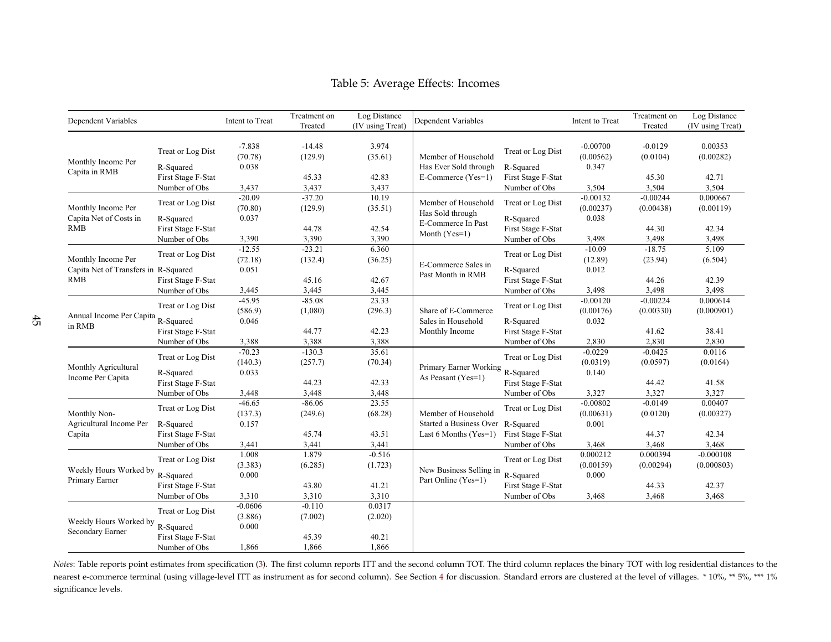| Dependent Variables                                        |                                                  | Intent to Treat              | Treatment on<br>Treated | Log Distance<br>(IV using Treat) | Dependent Variables                                                        |                                     | Intent to Treat                  | Treatment on<br>Treated | Log Distance<br>(IV using Treat) |
|------------------------------------------------------------|--------------------------------------------------|------------------------------|-------------------------|----------------------------------|----------------------------------------------------------------------------|-------------------------------------|----------------------------------|-------------------------|----------------------------------|
| Monthly Income Per                                         | Treat or Log Dist<br>R-Squared                   | $-7.838$<br>(70.78)<br>0.038 | $-14.48$<br>(129.9)     | 3.974<br>(35.61)                 | Member of Household<br>Has Ever Sold through                               | Treat or Log Dist<br>R-Squared      | $-0.00700$<br>(0.00562)<br>0.347 | $-0.0129$<br>(0.0104)   | 0.00353<br>(0.00282)             |
| Capita in RMB                                              | First Stage F-Stat                               |                              | 45.33                   | 42.83                            | E-Commerce (Yes=1)                                                         | First Stage F-Stat                  |                                  | 45.30                   | 42.71                            |
|                                                            | Number of Obs                                    | 3,437                        | 3,437                   | 3,437                            |                                                                            | Number of Obs                       | 3,504                            | 3,504                   | 3,504                            |
| Monthly Income Per<br>Capita Net of Costs in               | Treat or Log Dist<br>R-Squared                   | $-20.09$<br>(70.80)<br>0.037 | $-37.20$<br>(129.9)     | 10.19<br>(35.51)                 | Member of Household<br>Has Sold through                                    | Treat or Log Dist<br>R-Squared      | $-0.00132$<br>(0.00237)<br>0.038 | $-0.00244$<br>(0.00438) | 0.000667<br>(0.00119)            |
| <b>RMB</b>                                                 | First Stage F-Stat                               |                              | 44.78                   | 42.54                            | E-Commerce In Past                                                         | First Stage F-Stat                  |                                  | 44.30                   | 42.34                            |
|                                                            | Number of Obs                                    | 3,390                        | 3,390                   | 3,390                            | Month (Yes=1)                                                              | Number of Obs                       | 3,498                            | 3,498                   | 3,498                            |
|                                                            |                                                  | $-12.55$                     | $-23.21$                | 6.360                            |                                                                            |                                     | $-10.09$                         | $-18.75$                | 5.109                            |
| Monthly Income Per<br>Capita Net of Transfers in R-Squared | Treat or Log Dist                                | (72.18)<br>0.051             | (132.4)                 | (36.25)                          | Treat or Log Dist<br>E-Commerce Sales in<br>R-Squared<br>Past Month in RMB | (12.89)<br>0.012                    | (23.94)                          | (6.504)                 |                                  |
| <b>RMB</b>                                                 | First Stage F-Stat                               |                              | 45.16                   | 42.67                            |                                                                            | First Stage F-Stat                  |                                  | 44.26                   | 42.39                            |
|                                                            | Number of Obs                                    | 3,445                        | 3,445                   | 3,445                            |                                                                            | Number of Obs                       | 3,498                            | 3,498                   | 3,498                            |
| Annual Income Per Capita<br>in RMB                         | Treat or Log Dist                                | $-45.95$<br>(586.9)          | $-85.08$<br>(1,080)     | 23.33<br>(296.3)                 | Share of E-Commerce                                                        | Treat or Log Dist                   | $-0.00120$<br>(0.00176)          | $-0.00224$<br>(0.00330) | 0.000614<br>(0.000901)           |
|                                                            | R-Squared                                        | 0.046                        |                         |                                  | Sales in Household                                                         | R-Squared                           | 0.032                            |                         |                                  |
|                                                            | First Stage F-Stat                               |                              | 44.77                   | 42.23                            | Monthly Income                                                             | First Stage F-Stat                  |                                  | 41.62                   | 38.41                            |
|                                                            | Number of Obs                                    | 3,388                        | 3,388                   | 3,388                            |                                                                            | Number of Obs                       | 2,830                            | 2,830                   | 2,830                            |
|                                                            | Treat or Log Dist                                | $-70.23$<br>(140.3)          | $-130.3$<br>(257.7)     | 35.61<br>(70.34)                 |                                                                            | Treat or Log Dist                   | $-0.0229$<br>(0.0319)            | $-0.0425$<br>(0.0597)   | 0.0116<br>(0.0164)               |
| Monthly Agricultural<br>Income Per Capita                  | R-Squared<br>First Stage F-Stat                  | 0.033                        | 44.23                   | 42.33                            | Primary Earner Working R-Squared<br>As Peasant (Yes=1)                     | First Stage F-Stat                  | 0.140                            | 44.42                   | 41.58                            |
|                                                            | Number of Obs                                    | 3,448                        | 3,448                   | 3,448                            |                                                                            | Number of Obs                       | 3,327                            | 3,327                   | 3,327                            |
| Monthly Non-                                               | Treat or Log Dist                                | $-46.65$<br>(137.3)          | $-86.06$<br>(249.6)     | 23.55<br>(68.28)                 | Member of Household                                                        | Treat or Log Dist                   | $-0.00802$<br>(0.00631)          | $-0.0149$<br>(0.0120)   | 0.00407<br>(0.00327)             |
| Agricultural Income Per<br>Capita                          | R-Squared<br>First Stage F-Stat                  | 0.157                        | 45.74                   | 43.51                            | Started a Business Over R-Squared<br>Last 6 Months $(Yes=1)$               | First Stage F-Stat                  | 0.001                            | 44.37                   | 42.34                            |
|                                                            | Number of Obs                                    | 3,441                        | 3,441                   | 3,441                            |                                                                            | Number of Obs                       | 3,468                            | 3,468                   | 3,468                            |
| Weekly Hours Worked by                                     | Treat or Log Dist<br>R-Squared                   | 1.008<br>(3.383)<br>0.000    | 1.879<br>(6.285)        | $-0.516$<br>(1.723)              | New Business Selling in                                                    | Treat or Log Dist<br>R-Squared      | 0.000212<br>(0.00159)<br>0.000   | 0.000394<br>(0.00294)   | $-0.000108$<br>(0.000803)        |
| Primary Earner                                             | First Stage F-Stat<br>Number of Obs              | 3,310                        | 43.80<br>3,310          | 41.21<br>3,310                   | Part Online (Yes=1)                                                        | First Stage F-Stat<br>Number of Obs | 3,468                            | 44.33<br>3,468          | 42.37<br>3,468                   |
|                                                            |                                                  | $-0.0606$                    | $-0.110$                | 0.0317                           |                                                                            |                                     |                                  |                         |                                  |
| Weekly Hours Worked by<br>Secondary Earner                 | Treat or Log Dist                                | (3.886)                      | (7.002)                 | (2.020)                          |                                                                            |                                     |                                  |                         |                                  |
|                                                            | R-Squared<br>First Stage F-Stat<br>Number of Obs | 0.000<br>1,866               | 45.39<br>1,866          | 40.21<br>1,866                   |                                                                            |                                     |                                  |                         |                                  |

Table 5: Average Effects: Incomes

<span id="page-46-0"></span>*Notes*: Table reports point estimates from specification [\(3\)](#page-20-1). The first column reports ITT and the second column TOT. The third column replaces the binary TOT with log residential distances to the nearest e-commerce terminal (using village-level ITT as instrument as for second column). See Section [4](#page-19-1) for discussion. Standard errors are clustered at the level of villages. \* 10%, \*\* 5%, \*\*\* 1% significance levels.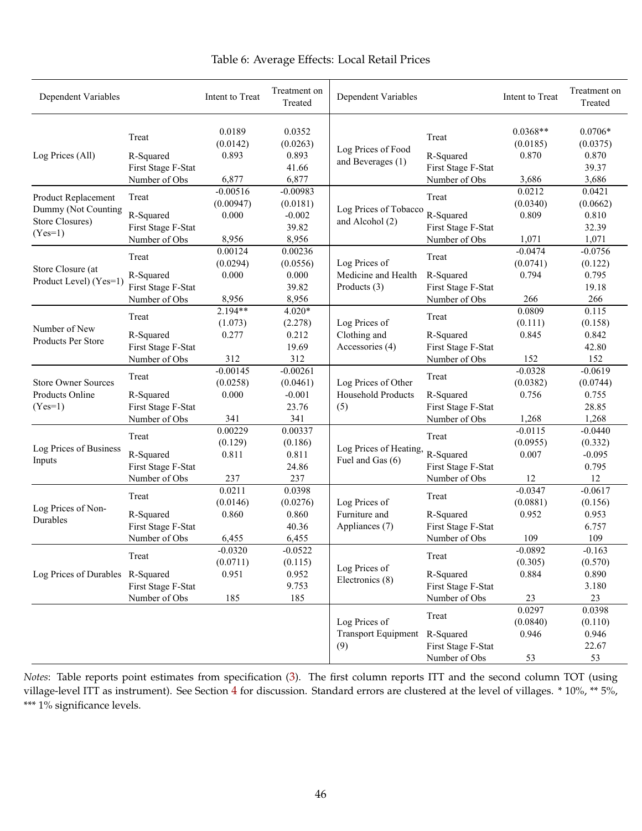<span id="page-47-0"></span>

| Dependent Variables              |                    | Intent to Treat    | Treatment on<br>Treated | Dependent Variables        |                    | Intent to Treat        | Treatment on<br>Treated |
|----------------------------------|--------------------|--------------------|-------------------------|----------------------------|--------------------|------------------------|-------------------------|
|                                  | Treat              | 0.0189<br>(0.0142) | 0.0352<br>(0.0263)      | Log Prices of Food         | Treat              | $0.0368**$<br>(0.0185) | $0.0706*$<br>(0.0375)   |
| Log Prices (All)                 | R-Squared          | 0.893              | 0.893                   | and Beverages (1)          | R-Squared          | 0.870                  | 0.870                   |
|                                  | First Stage F-Stat |                    | 41.66                   |                            | First Stage F-Stat |                        | 39.37                   |
|                                  | Number of Obs      | 6,877              | 6,877                   |                            | Number of Obs      | 3,686                  | 3,686                   |
| Product Replacement              | Treat              | $-0.00516$         | $-0.00983$              |                            | Treat              | 0.0212                 | 0.0421                  |
| Dummy (Not Counting              |                    | (0.00947)          | (0.0181)                | Log Prices of Tobacco      |                    | (0.0340)               | (0.0662)                |
| Store Closures)                  | R-Squared          | 0.000              | $-0.002$                | and Alcohol (2)            | R-Squared          | 0.809                  | 0.810                   |
| $(Yes=1)$                        | First Stage F-Stat | 8,956              | 39.82<br>8,956          |                            | First Stage F-Stat |                        | 32.39<br>1,071          |
|                                  | Number of Obs      | 0.00124            | 0.00236                 |                            | Number of Obs      | 1,071<br>$-0.0474$     | $-0.0756$               |
|                                  | Treat              | (0.0294)           | (0.0556)                | Log Prices of              | Treat              | (0.0741)               | (0.122)                 |
| Store Closure (at                | R-Squared          | 0.000              | 0.000                   | Medicine and Health        | R-Squared          | 0.794                  | 0.795                   |
| Product Level) (Yes=1)           | First Stage F-Stat |                    | 39.82                   | Products (3)               | First Stage F-Stat |                        | 19.18                   |
|                                  | Number of Obs      | 8,956              | 8,956                   |                            | Number of Obs      | 266                    | 266                     |
|                                  |                    | $2.194**$          | $4.020*$                |                            |                    | 0.0809                 | 0.115                   |
|                                  | Treat              | (1.073)            | (2.278)                 | Log Prices of              | Treat              | (0.111)                | (0.158)                 |
| Number of New                    | R-Squared          | 0.277              | 0.212                   | Clothing and               | R-Squared          | 0.845                  | 0.842                   |
| <b>Products Per Store</b>        | First Stage F-Stat |                    | 19.69                   | Accessories (4)            | First Stage F-Stat |                        | 42.80                   |
|                                  | Number of Obs      | 312                | 312                     |                            | Number of Obs      | 152                    | 152                     |
|                                  |                    | $-0.00145$         | $-0.00261$              |                            |                    | $-0.0328$              | $-0.0619$               |
| <b>Store Owner Sources</b>       | Treat              | (0.0258)           | (0.0461)                | Log Prices of Other        | Treat              | (0.0382)               | (0.0744)                |
| Products Online                  | R-Squared          | 0.000              | $-0.001$                | Household Products         | R-Squared          | 0.756                  | 0.755                   |
| $(Yes=1)$                        | First Stage F-Stat |                    | 23.76                   | (5)                        | First Stage F-Stat |                        | 28.85                   |
|                                  | Number of Obs      | 341                | 341                     |                            | Number of Obs      | 1,268                  | 1,268                   |
|                                  |                    | 0.00229            | 0.00337                 |                            |                    | $-0.0115$              | $-0.0440$               |
|                                  | Treat              | (0.129)            | (0.186)                 |                            | Treat              | (0.0955)               | (0.332)                 |
| Log Prices of Business           | R-Squared          | 0.811              | 0.811                   | Log Prices of Heating,     | R-Squared          | 0.007                  | $-0.095$                |
| Inputs                           | First Stage F-Stat |                    | 24.86                   | Fuel and Gas (6)           | First Stage F-Stat |                        | 0.795                   |
|                                  | Number of Obs      | 237                | 237                     |                            | Number of Obs      | 12                     | 12                      |
|                                  | Treat              | 0.0211             | 0.0398                  |                            |                    | $-0.0347$              | $-0.0617$               |
| Log Prices of Non-               |                    | (0.0146)           | (0.0276)                | Log Prices of              | Treat              | (0.0881)               | (0.156)                 |
| Durables                         | R-Squared          | 0.860              | 0.860                   | Furniture and              | R-Squared          | 0.952                  | 0.953                   |
|                                  | First Stage F-Stat |                    | 40.36                   | Appliances (7)             | First Stage F-Stat |                        | 6.757                   |
|                                  | Number of Obs      | 6,455              | 6,455                   |                            | Number of Obs      | 109                    | 109                     |
|                                  | Treat              | $-0.0320$          | $-0.0522$               |                            | Treat              | $-0.0892$              | $-0.163$                |
|                                  |                    | (0.0711)           | (0.115)                 | Log Prices of              |                    | (0.305)                | (0.570)                 |
| Log Prices of Durables R-Squared |                    | 0.951              | 0.952                   | Electronics (8)            | R-Squared          | 0.884                  | 0.890                   |
|                                  | First Stage F-Stat |                    | 9.753                   |                            | First Stage F-Stat |                        | 3.180                   |
|                                  | Number of Obs      | 185                | 185                     |                            | Number of Obs      | 23                     | 23                      |
|                                  |                    |                    |                         |                            | Treat              | 0.0297                 | 0.0398                  |
|                                  |                    |                    |                         | Log Prices of              |                    | (0.0840)               | (0.110)                 |
|                                  |                    |                    |                         | <b>Transport Equipment</b> | R-Squared          | 0.946                  | 0.946                   |
|                                  |                    |                    |                         | (9)                        | First Stage F-Stat |                        | 22.67                   |
|                                  |                    |                    |                         |                            | Number of Obs      | 53                     | 53                      |

# Table 6: Average Effects: Local Retail Prices

*Notes*: Table reports point estimates from specification ([3](#page-20-0)). The first column reports ITT and the second column TOT (using village-level ITT as instrument). See Section [4](#page-19-0) for discussion. Standard errors are clustered at the level of villages. \* 10%, \*\* 5%, \*\*\* 1% significance levels.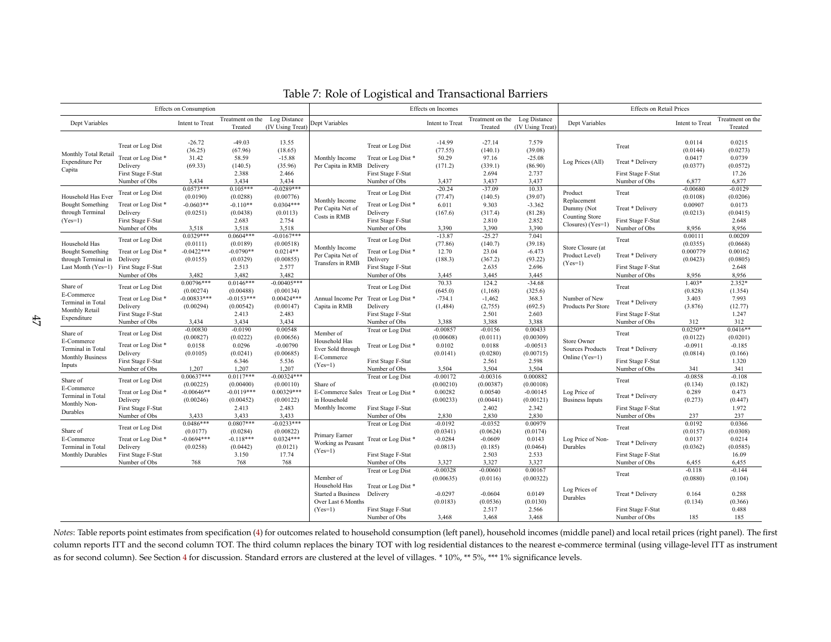|                                                                                       |                                                                                                             | Effects on Consumption                                           |                                                                         |                                                                            |                                                                                     |                                                                                                              | Effects on Incomes                                              |                                                                        |                                                                            |                                                                             | <b>Effects on Retail Prices</b>                                                   |                                                               |                                                                      |
|---------------------------------------------------------------------------------------|-------------------------------------------------------------------------------------------------------------|------------------------------------------------------------------|-------------------------------------------------------------------------|----------------------------------------------------------------------------|-------------------------------------------------------------------------------------|--------------------------------------------------------------------------------------------------------------|-----------------------------------------------------------------|------------------------------------------------------------------------|----------------------------------------------------------------------------|-----------------------------------------------------------------------------|-----------------------------------------------------------------------------------|---------------------------------------------------------------|----------------------------------------------------------------------|
| Dept Variables                                                                        |                                                                                                             | Intent to Treat                                                  | Treatment on the<br>Treated                                             | Log Distance<br>(IV Using Treat)                                           | Dept Variables                                                                      |                                                                                                              | Intent to Treat                                                 | Treatment on the<br>Treated                                            | Log Distance<br>(IV Using Treat)                                           | Dept Variables                                                              |                                                                                   | Intent to Treat                                               | Treatment on the<br>Treated                                          |
| Monthly Total Retail<br><b>Expenditure Per</b><br>Capita                              | Treat or Log Dist<br>Treat or Log Dist*<br>Delivery<br>First Stage F-Stat                                   | $-26.72$<br>(36.25)<br>31.42<br>(69.33)                          | $-49.03$<br>(67.96)<br>58.59<br>(140.5)<br>2.388                        | 13.55<br>(18.65)<br>$-15.88$<br>(35.96)<br>2.466                           | Monthly Income<br>Per Capita in RMB Delivery                                        | Treat or Log Dist<br>Treat or Log Dist*<br>First Stage F-Stat                                                | $-14.99$<br>(77.55)<br>50.29<br>(171.2)                         | $-27.14$<br>(140.1)<br>97.16<br>(339.1)<br>2.694                       | 7.579<br>(39.08)<br>$-25.08$<br>(86.90)<br>2.737                           | Log Prices (All)                                                            | Treat<br>Treat * Delivery<br>First Stage F-Stat                                   | 0.0114<br>(0.0144)<br>0.0417<br>(0.0377)                      | 0.0215<br>(0.0273)<br>0.0739<br>(0.0572)<br>17.26                    |
| Household Has Ever<br><b>Bought Something</b><br>through Terminal<br>$(Yes=1)$        | Number of Obs<br>Treat or Log Dist<br>Treat or Log Dist*<br>Delivery<br>First Stage F-Stat                  | 3.434<br>$0.0573***$<br>(0.0190)<br>$-0.0603**$<br>(0.0251)      | 3,434<br>$0.105***$<br>(0.0288)<br>$-0.110**$<br>(0.0438)<br>2.683      | 3.434<br>$-0.0289***$<br>(0.00776)<br>$0.0304***$<br>(0.0113)<br>2.754     | Monthly Income<br>Per Capita Net of<br>Costs in RMB                                 | Number of Obs<br>Treat or Log Dist<br>Treat or Log Dist*<br>Delivery<br>First Stage F-Stat                   | 3,437<br>$-20.24$<br>(77.47)<br>6.011<br>(167.6)                | 3,437<br>$-37.09$<br>(140.5)<br>9.303<br>(317.4)<br>2.810              | 3,437<br>10.33<br>(39.07)<br>$-3.362$<br>(81.28)<br>2.852                  | Product<br>Replacement<br>Dummy (Not<br>Counting Store<br>Closures) (Yes=1) | Number of Obs<br>Treat<br>Treat * Delivery<br>First Stage F-Stat                  | 6,877<br>$-0.00680$<br>(0.0108)<br>0.00907<br>(0.0213)        | 6.877<br>$-0.0129$<br>(0.0206)<br>0.0173<br>(0.0415)<br>2.648        |
| Household Has<br><b>Bought Something</b><br>through Terminal in<br>Last Month (Yes=1) | Number of Obs<br>Treat or Log Dist<br>Treat or Log Dist*<br>Delivery<br>First Stage F-Stat                  | 3,518<br>$0.0329***$<br>(0.0111)<br>$-0.0422***$<br>(0.0155)     | 3,518<br>$0.0604***$<br>(0.0189)<br>$-0.0790**$<br>(0.0329)<br>2.513    | 3,518<br>$-0.0167***$<br>(0.00518)<br>$0.0214**$<br>(0.00855)<br>2.577     | Monthly Income<br>Per Capita Net of<br>Transfers in RMB                             | Number of Obs<br>Treat or Log Dist<br>Treat or Log Dist*<br>Delivery<br>First Stage F-Stat                   | 3,390<br>$-13.87$<br>(77.86)<br>12.70<br>(188.3)                | 3,390<br>$-25.27$<br>(140.7)<br>23.04<br>(367.2)<br>2.635              | 3,390<br>7.041<br>(39.18)<br>$-6.473$<br>(93.22)<br>2.696                  | Store Closure (at<br>Product Level)<br>$(Yes=1)$                            | Number of Obs<br>Treat<br>Treat * Delivery<br>First Stage F-Stat                  | 8,956<br>0.00111<br>(0.0355)<br>0.000779<br>(0.0423)          | 8,956<br>0.00209<br>(0.0668)<br>0.00162<br>(0.0805)<br>2.648         |
| Share of<br>E-Commerce<br>Terminal in Total<br>Monthly Retail<br>Expenditure          | Number of Obs<br>Treat or Log Dist<br>Treat or Log Dist*<br>Delivery<br>First Stage F-Stat                  | 3.482<br>$0.00796***$<br>(0.00274)<br>$-0.00833***$<br>(0.00294) | 3.482<br>$0.0146***$<br>(0.00488)<br>$-0.0153***$<br>(0.00542)<br>2.413 | 3.482<br>$-0.00405***$<br>(0.00134)<br>$0.00424***$<br>(0.00147)<br>2.483  | Capita in RMB                                                                       | Number of Obs<br>Treat or Log Dist<br>Annual Income Per Treat or Log Dist*<br>Delivery<br>First Stage F-Stat | 3.445<br>70.33<br>(645.0)<br>$-734.1$<br>(1, 484)               | 3.445<br>124.2<br>(1, 168)<br>$-1,462$<br>(2,755)<br>2.501             | 3.445<br>$-34.68$<br>(325.6)<br>368.3<br>(692.5)<br>2.603                  | Number of New<br>Products Per Store                                         | Number of Obs<br>Treat<br>Treat * Delivery<br>First Stage F-Stat                  | 8.956<br>$1.403*$<br>(0.828)<br>3.403<br>(3.876)              | 8,956<br>2.352*<br>(1.354)<br>7.993<br>(12.77)<br>1.247              |
| Share of<br>E-Commerce<br>Terminal in Total<br><b>Monthly Business</b><br>Inputs      | Number of Obs<br>Treat or Log Dist<br>Treat or Log Dist*<br>Delivery<br>First Stage F-Stat<br>Number of Obs | 3,434<br>$-0.00830$<br>(0.00827)<br>0.0158<br>(0.0105)<br>1,207  | 3,434<br>$-0.0190$<br>(0.0222)<br>0.0296<br>(0.0241)<br>6.346<br>1,207  | 3,434<br>0.00548<br>(0.00656)<br>$-0.00790$<br>(0.00685)<br>5.536<br>1,207 | Member of<br>Household Has<br>Ever Sold through<br>E-Commerce<br>$(Yes=1)$          | Number of Obs<br>Treat or Log Dist<br>Treat or Log Dist*<br>First Stage F-Stat<br>Number of Obs              | 3,388<br>$-0.00857$<br>(0.00608)<br>0.0102<br>(0.0141)<br>3,504 | 3,388<br>$-0.0156$<br>(0.0111)<br>0.0188<br>(0.0280)<br>2.561<br>3,504 | 3,388<br>0.00433<br>(0.00309)<br>$-0.00513$<br>(0.00715)<br>2.598<br>3,504 | <b>Store Owner</b><br><b>Sources Products</b><br>Online (Yes=1)             | Number of Obs<br>Treat<br>Treat * Delivery<br>First Stage F-Stat<br>Number of Obs | 312<br>$0.0250**$<br>(0.0122)<br>$-0.0911$<br>(0.0814)<br>341 | 312<br>$0.0416**$<br>(0.0201)<br>$-0.185$<br>(0.166)<br>1.320<br>341 |
| Share of<br>E-Commerce<br>Terminal in Total<br>Monthly Non-<br>Durables               | Treat or Log Dist<br>Treat or Log Dist*<br>Delivery<br>First Stage F-Stat<br>Number of Obs                  | $0.00637***$<br>(0.00225)<br>$-0.00646**$<br>(0.00246)<br>3,433  | $0.0117***$<br>(0.00400)<br>$-0.0119***$<br>(0.00452)<br>2.413<br>3,433 | $-0.00324***$<br>(0.00110)<br>$0.00329***$<br>(0.00122)<br>2.483<br>3,433  | Share of<br>in Household<br>Monthly Income                                          | Treat or Log Dist<br>E-Commerce Sales Treat or Log Dist*<br>First Stage F-Stat<br>Number of Obs              | $-0.00172$<br>(0.00210)<br>0.00282<br>(0.00233)<br>2,830        | $-0.00316$<br>(0.00387)<br>0.00540<br>(0.00441)<br>2.402<br>2,830      | 0.000882<br>(0.00108)<br>$-0.00145$<br>(0.00121)<br>2.342<br>2,830         | Log Price of<br><b>Business Inputs</b>                                      | Treat<br>Treat * Delivery<br>First Stage F-Stat<br>Number of Obs                  | $-0.0858$<br>(0.134)<br>0.289<br>(0.273)<br>237               | $-0.108$<br>(0.182)<br>0.473<br>(0.447)<br>1.972<br>237              |
| Share of<br>E-Commerce<br>Terminal in Total<br>Monthly Durables                       | Treat or Log Dist<br>Treat or Log Dist*<br>Delivery<br>First Stage F-Stat<br>Number of Obs                  | $0.0486***$<br>(0.0177)<br>$-0.0694***$<br>(0.0258)<br>768       | $0.0807***$<br>(0.0284)<br>$-0.118***$<br>(0.0442)<br>3.150<br>768      | $-0.0233***$<br>(0.00822)<br>$0.0324***$<br>(0.0121)<br>17.74<br>768       | Primary Earner<br>Working as Peasant<br>$(Yes=1)$                                   | Treat or Log Dist<br>Treat or Log Dist*<br>First Stage F-Stat<br>Number of Obs                               | $-0.0192$<br>(0.0341)<br>$-0.0284$<br>(0.0813)<br>3,327         | $-0.0352$<br>(0.0624)<br>$-0.0609$<br>(0.185)<br>2.503<br>3,327        | 0.00979<br>(0.0174)<br>0.0143<br>(0.0464)<br>2.533<br>3,327                | Log Price of Non-<br>Durables                                               | Treat<br>Treat * Delivery<br>First Stage F-Stat<br>Number of Obs                  | 0.0192<br>(0.0157)<br>0.0137<br>(0.0362)<br>6,455             | 0.0366<br>(0.0308)<br>0.0214<br>(0.0585)<br>16.09<br>6,455           |
|                                                                                       |                                                                                                             |                                                                  |                                                                         |                                                                            | Member of<br>Household Has<br>Started a Business<br>Over Last 6 Months<br>$(Yes=1)$ | Treat or Log Dist<br>Treat or Log Dist*<br>Delivery<br>First Stage F-Stat<br>Number of Obs                   | $-0.00328$<br>(0.00635)<br>$-0.0297$<br>(0.0183)<br>3,468       | $-0.00601$<br>(0.0116)<br>$-0.0604$<br>(0.0536)<br>2.517<br>3,468      | 0.00167<br>(0.00322)<br>0.0149<br>(0.0130)<br>2.566<br>3,468               | Log Prices of<br>Durables                                                   | Treat<br>Treat * Delivery<br>First Stage F-Stat<br>Number of Obs                  | $-0.118$<br>(0.0880)<br>0.164<br>(0.134)<br>185               | $-0.144$<br>(0.104)<br>0.288<br>(0.366)<br>0.488<br>185              |

# <span id="page-48-0"></span>Table 7: Role of Logistical and Transactional Barriers

*Notes*: Table reports point estimates from specification [\(4\)](#page-22-1) for outcomes related to household consumption (left panel), household incomes (middle panel) and local retail prices (right panel). The first column reports ITT and the second column TOT. The third column replaces the binary TOT with log residential distances to the nearest e-commerce terminal (using village-level ITT as instrumentas for second column). See Section [4](#page-19-1) for discussion. Standard errors are clustered at the level of villages. \* 10%, \*\* 5%, \*\*\* 1% significance levels.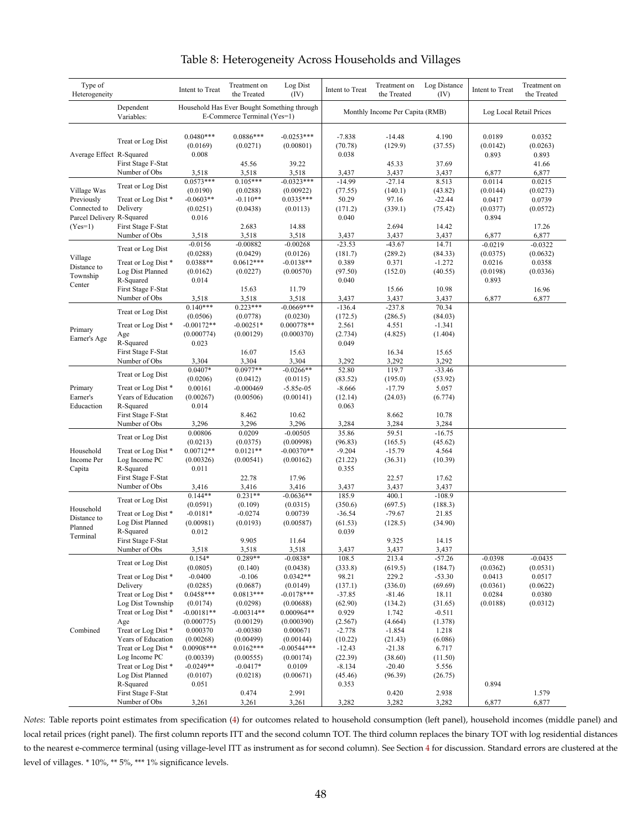<span id="page-49-0"></span>

| Type of<br>Heterogeneity                  |                                     | Intent to Treat                  | Treatment on<br>the Treated                                                | Log Dist<br>(IV)          | Intent to Treat              | Treatment on<br>the Treated     | Log Distance<br>(IV) | Intent to Treat             | Treatment on<br>the Treated |
|-------------------------------------------|-------------------------------------|----------------------------------|----------------------------------------------------------------------------|---------------------------|------------------------------|---------------------------------|----------------------|-----------------------------|-----------------------------|
|                                           | Dependent<br>Variables:             |                                  | Household Has Ever Bought Something through<br>E-Commerce Terminal (Yes=1) |                           |                              | Monthly Income Per Capita (RMB) |                      | Log Local Retail Prices     |                             |
| Average Effect R-Squared                  | Treat or Log Dist                   | $0.0480***$<br>(0.0169)<br>0.008 | $0.0886***$<br>(0.0271)                                                    | $-0.0253***$<br>(0.00801) | $-7.838$<br>(70.78)<br>0.038 | $-14.48$<br>(129.9)             | 4.190<br>(37.55)     | 0.0189<br>(0.0142)<br>0.893 | 0.0352<br>(0.0263)<br>0.893 |
|                                           | First Stage F-Stat<br>Number of Obs | 3,518                            | 45.56<br>3,518                                                             | 39.22<br>3,518            | 3,437                        | 45.33<br>3,437                  | 37.69<br>3,437       | 6,877                       | 41.66<br>6,877              |
|                                           | Treat or Log Dist                   | $0.0573***$                      | $0.105***$                                                                 | $-0.0323***$              | $-14.99$                     | $-27.14$                        | 8.513                | 0.0114                      | 0.0215                      |
| Village Was                               |                                     | (0.0190)                         | (0.0288)                                                                   | (0.00922)                 | (77.55)                      | (140.1)                         | (43.82)              | (0.0144)                    | (0.0273)                    |
| Previously                                | Treat or Log Dist*                  | $-0.0603**$                      | $-0.110**$                                                                 | $0.0335***$               | 50.29                        | 97.16                           | $-22.44$             | 0.0417                      | 0.0739                      |
| Connected to<br>Parcel Delivery R-Squared | Delivery                            | (0.0251)<br>0.016                | (0.0438)                                                                   | (0.0113)                  | (171.2)<br>0.040             | (339.1)                         | (75.42)              | (0.0377)<br>0.894           | (0.0572)                    |
| $(Yes=1)$                                 | First Stage F-Stat                  |                                  | 2.683                                                                      | 14.88                     |                              | 2.694                           | 14.42                |                             | 17.26                       |
|                                           | Number of Obs                       | 3,518                            | 3,518                                                                      | 3,518                     | 3,437                        | 3,437                           | 3,437                | 6,877                       | 6,877                       |
|                                           | Treat or Log Dist                   | $-0.0156$                        | $-0.00882$                                                                 | $-0.00268$                | $-23.53$                     | $-43.67$                        | 14.71                | $-0.0219$                   | $-0.0322$                   |
| Village                                   |                                     | (0.0288)                         | (0.0429)                                                                   | (0.0126)                  | (181.7)                      | (289.2)                         | (84.33)              | (0.0375)                    | (0.0632)                    |
| Distance to                               | Treat or Log Dist*                  | $0.0388**$                       | $0.0612***$                                                                | $-0.0138**$               | 0.389                        | 0.371                           | $-1.272$             | 0.0216                      | 0.0358                      |
| Township                                  | Log Dist Planned<br>R-Squared       | (0.0162)<br>0.014                | (0.0227)                                                                   | (0.00570)                 | (97.50)<br>0.040             | (152.0)                         | (40.55)              | (0.0198)<br>0.893           | (0.0336)                    |
| Center                                    | First Stage F-Stat                  |                                  | 15.63                                                                      | 11.79                     |                              | 15.66                           | 10.98                |                             | 16.96                       |
|                                           | Number of Obs                       | 3,518                            | 3,518                                                                      | 3,518                     | 3,437                        | 3,437                           | 3,437                | 6,877                       | 6,877                       |
|                                           | Treat or Log Dist                   | $0.140***$                       | $0.223***$                                                                 | $-0.0669***$              | $-136.4$                     | $-237.8$                        | 70.34                |                             |                             |
|                                           |                                     | (0.0506)                         | (0.0778)                                                                   | (0.0230)                  | (172.5)                      | (286.5)                         | (84.03)              |                             |                             |
| Primary                                   | Treat or Log Dist*                  | $-0.00172**$                     | $-0.00251*$                                                                | 0.000778**                | 2.561                        | 4.551                           | $-1.341$             |                             |                             |
| Earner's Age                              | Age<br>R-Squared                    | (0.000774)                       | (0.00129)                                                                  | (0.000370)                | (2.734)                      | (4.825)                         | (1.404)              |                             |                             |
|                                           | First Stage F-Stat                  | 0.023                            | 16.07                                                                      | 15.63                     | 0.049                        | 16.34                           | 15.65                |                             |                             |
|                                           | Number of Obs                       | 3,304                            | 3,304                                                                      | 3,304                     | 3,292                        | 3,292                           | 3,292                |                             |                             |
|                                           |                                     | $0.0407*$                        | $0.0977**$                                                                 | $-0.0266**$               | 52.80                        | 119.7                           | $-33.46$             |                             |                             |
|                                           | Treat or Log Dist                   | (0.0206)                         | (0.0412)                                                                   | (0.0115)                  | (83.52)                      | (195.0)                         | (53.92)              |                             |                             |
| Primary                                   | Treat or Log Dist*                  | 0.00161                          | $-0.000469$                                                                | $-5.85e-05$               | $-8.666$                     | $-17.79$                        | 5.057                |                             |                             |
| Earner's                                  | Years of Education                  | (0.00267)                        | (0.00506)                                                                  | (0.00141)                 | (12.14)                      | (24.03)                         | (6.774)              |                             |                             |
| Educaction                                | R-Squared<br>First Stage F-Stat     | 0.014                            | 8.462                                                                      | 10.62                     | 0.063                        | 8.662                           | 10.78                |                             |                             |
|                                           | Number of Obs                       | 3,296                            | 3,296                                                                      | 3,296                     | 3,284                        | 3,284                           | 3,284                |                             |                             |
|                                           |                                     | 0.00806                          | 0.0209                                                                     | $-0.00505$                | 35.86                        | 59.51                           | $-16.75$             |                             |                             |
|                                           | Treat or Log Dist                   | (0.0213)                         | (0.0375)                                                                   | (0.00998)                 | (96.83)                      | (165.5)                         | (45.62)              |                             |                             |
| Household                                 | Treat or Log Dist*                  | $0.00712**$                      | $0.0121**$                                                                 | $-0.00370**$              | $-9.204$                     | $-15.79$                        | 4.564                |                             |                             |
| Income Per                                | Log Income PC                       | (0.00326)                        | (0.00541)                                                                  | (0.00162)                 | (21.22)                      | (36.31)                         | (10.39)              |                             |                             |
| Capita                                    | R-Squared                           | 0.011                            |                                                                            |                           | 0.355                        |                                 |                      |                             |                             |
|                                           | First Stage F-Stat<br>Number of Obs | 3,416                            | 22.78<br>3,416                                                             | 17.96<br>3,416            | 3,437                        | 22.57<br>3,437                  | 17.62<br>3,437       |                             |                             |
|                                           |                                     | $0.144**$                        | $0.231**$                                                                  | $-0.0636**$               | 185.9                        | 400.1                           | $-108.9$             |                             |                             |
|                                           | Treat or Log Dist                   | (0.0591)                         | (0.109)                                                                    | (0.0315)                  | (350.6)                      | (697.5)                         | (188.3)              |                             |                             |
| Household<br>Distance to                  | Treat or Log Dist*                  | $-0.0181*$                       | $-0.0274$                                                                  | 0.00739                   | $-36.54$                     | $-79.67$                        | 21.85                |                             |                             |
| Planned                                   | Log Dist Planned                    | (0.00981)                        | (0.0193)                                                                   | (0.00587)                 | (61.53)                      | (128.5)                         | (34.90)              |                             |                             |
| Terminal                                  | R-Squared                           | 0.012                            |                                                                            |                           | 0.039                        |                                 |                      |                             |                             |
|                                           | First Stage F-Stat                  | 3,518                            | 9.905                                                                      | 11.64                     | 3,437                        | 9.325                           | 14.15                |                             |                             |
|                                           | Number of Obs                       | $0.154*$                         | 3,518<br>$0.289**$                                                         | 3,518<br>$-0.0838*$       | 108.5                        | 3,437<br>213.4                  | 3,437<br>$-57.26$    | $-0.0398$                   | $-0.0435$                   |
|                                           | Treat or Log Dist                   | (0.0805)                         | (0.140)                                                                    | (0.0438)                  | (333.8)                      | (619.5)                         | (184.7)              | (0.0362)                    | (0.0531)                    |
|                                           | Treat or Log Dist*                  | $-0.0400$                        | $-0.106$                                                                   | $0.0342**$                | 98.21                        | 229.2                           | $-53.30$             | 0.0413                      | 0.0517                      |
|                                           | Delivery                            | (0.0285)                         | (0.0687)                                                                   | (0.0149)                  | (137.1)                      | (336.0)                         | (69.69)              | (0.0361)                    | (0.0622)                    |
|                                           | Treat or Log Dist*                  | $0.0458***$                      | $0.0813***$                                                                | $-0.0178***$              | $-37.85$                     | $-81.46$                        | 18.11                | 0.0284                      | 0.0380                      |
|                                           | Log Dist Township                   | (0.0174)                         | (0.0298)                                                                   | (0.00688)                 | (62.90)                      | (134.2)                         | (31.65)              | (0.0188)                    | (0.0312)                    |
|                                           | Treat or Log Dist*<br>Age           | $-0.00181**$<br>(0.000775)       | $-0.00314**$<br>(0.00129)                                                  | 0.000964**<br>(0.000390)  | 0.929<br>(2.567)             | 1.742<br>(4.664)                | $-0.511$<br>(1.378)  |                             |                             |
| Combined                                  | Treat or Log Dist*                  | 0.000370                         | $-0.00380$                                                                 | 0.000671                  | $-2.778$                     | $-1.854$                        | 1.218                |                             |                             |
|                                           | Years of Education                  | (0.00268)                        | (0.00499)                                                                  | (0.00144)                 | (10.22)                      | (21.43)                         | (6.086)              |                             |                             |
|                                           | Treat or Log Dist*                  | $0.00908***$                     | $0.0162***$                                                                | $-0.00544***$             | $-12.43$                     | $-21.38$                        | 6.717                |                             |                             |
|                                           | Log Income PC                       | (0.00339)                        | (0.00555)                                                                  | (0.00174)                 | (22.39)                      | (38.60)                         | (11.50)              |                             |                             |
|                                           | Treat or Log Dist*                  | $-0.0249**$                      | $-0.0417*$                                                                 | 0.0109                    | $-8.134$                     | $-20.40$                        | 5.556                |                             |                             |
|                                           | Log Dist Planned                    | (0.0107)                         | (0.0218)                                                                   | (0.00671)                 | (45.46)                      | (96.39)                         | (26.75)              |                             |                             |
|                                           | R-Squared                           | 0.051                            | 0.474                                                                      | 2.991                     | 0.353                        |                                 |                      | 0.894                       | 1.579                       |
|                                           | First Stage F-Stat<br>Number of Obs | 3,261                            | 3,261                                                                      | 3,261                     | 3,282                        | 0.420<br>3,282                  | 2.938<br>3,282       | 6,877                       | 6,877                       |
|                                           |                                     |                                  |                                                                            |                           |                              |                                 |                      |                             |                             |

# <span id="page-49-1"></span>Table 8: Heterogeneity Across Households and Villages

*Notes*: Table reports point estimates from specification [\(4\)](#page-22-0) for outcomes related to household consumption (left panel), household incomes (middle panel) and local retail prices (right panel). The first column reports ITT and the second column TOT. The third column replaces the binary TOT with log residential distances to the nearest e-commerce terminal (using village-level ITT as instrument as for second column). See Section [4](#page-19-0) for discussion. Standard errors are clustered at the level of villages. \* 10%, \*\* 5%, \*\*\* 1% significance levels.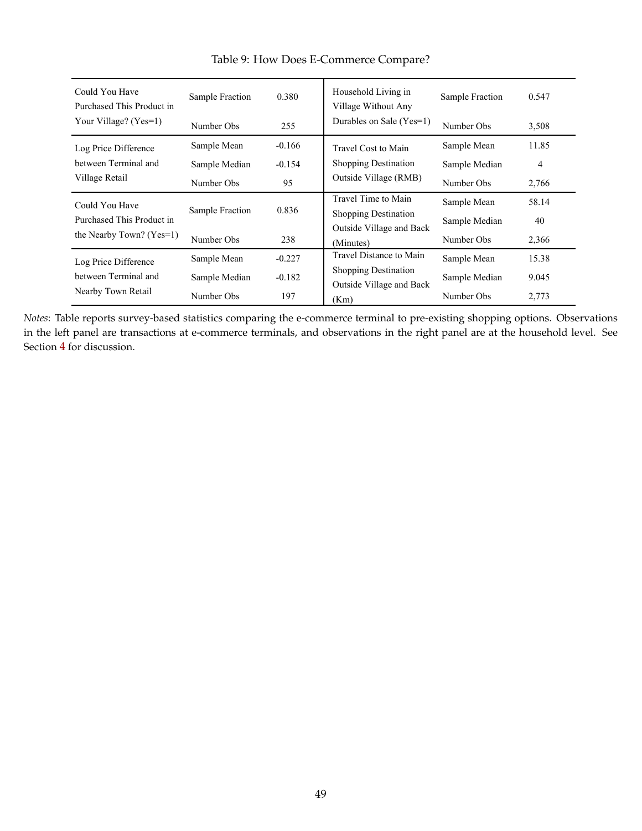<span id="page-50-0"></span>

| Could You Have<br>Purchased This Product in | Sample Fraction<br>0.380 |          | Household Living in<br>Village Without Any | Sample Fraction | 0.547          |
|---------------------------------------------|--------------------------|----------|--------------------------------------------|-----------------|----------------|
| Your Village? $(Yes=1)$                     | Number Obs               | 255      | Durables on Sale (Yes=1)                   | Number Obs      | 3,508          |
| Log Price Difference                        | Sample Mean              | $-0.166$ | Travel Cost to Main                        | Sample Mean     | 11.85          |
| between Terminal and<br>Village Retail      | Sample Median            | $-0.154$ | <b>Shopping Destination</b>                | Sample Median   | $\overline{4}$ |
|                                             | Number Obs               | 95       | Outside Village (RMB)                      | Number Obs      | 2,766          |
| Could You Have                              |                          |          | Travel Time to Main                        | Sample Mean     | 58.14          |
| Purchased This Product in                   | Sample Fraction          | 0.836    | <b>Shopping Destination</b>                | Sample Median   | 40             |
| the Nearby Town? $(Yes=1)$                  | Number Obs               | 238      | Outside Village and Back<br>(Minutes)      | Number Obs      | 2,366          |
| Log Price Difference                        | Sample Mean              | $-0.227$ | Travel Distance to Main                    | Sample Mean     | 15.38          |
| between Terminal and<br>Nearby Town Retail  | Sample Median            | $-0.182$ | <b>Shopping Destination</b>                | Sample Median   | 9.045          |
|                                             | Number Obs               | 197      | Outside Village and Back<br>(Km)           | Number Obs      | 2,773          |

Table 9: How Does E-Commerce Compare?

*Notes*: Table reports survey-based statistics comparing the e-commerce terminal to pre-existing shopping options. Observations in the left panel are transactions at e-commerce terminals, and observations in the right panel are at the household level. See Section [4](#page-19-0) for discussion.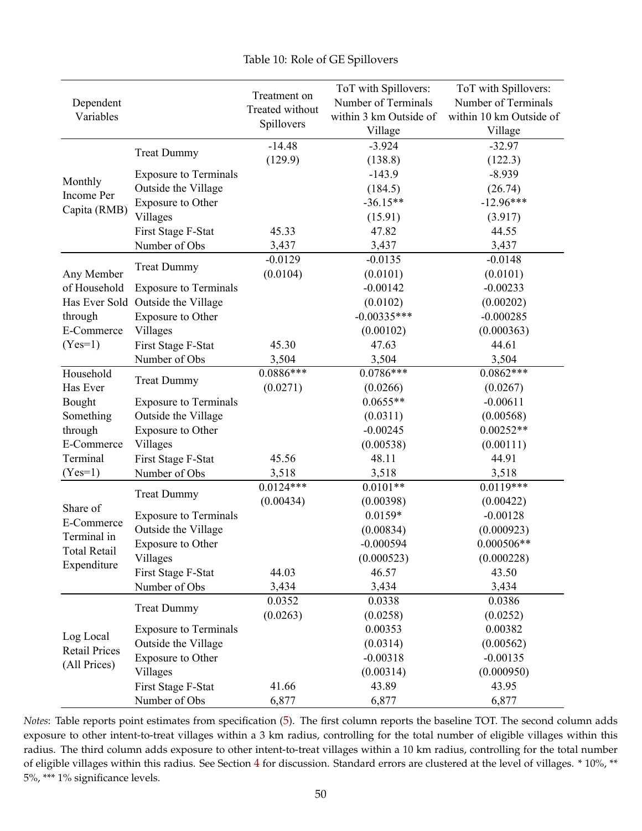<span id="page-51-1"></span>

<span id="page-51-0"></span>

|                       |                              |                                 | ToT with Spillovers:   | ToT with Spillovers:    |
|-----------------------|------------------------------|---------------------------------|------------------------|-------------------------|
| Dependent             |                              | Treatment on<br>Treated without | Number of Terminals    | Number of Terminals     |
| Variables             |                              |                                 | within 3 km Outside of | within 10 km Outside of |
|                       |                              | Spillovers                      | Village                | Village                 |
|                       |                              | $-14.48$                        | $-3.924$               | $-32.97$                |
|                       | <b>Treat Dummy</b>           | (129.9)                         | (138.8)                | (122.3)                 |
|                       | <b>Exposure to Terminals</b> |                                 | $-143.9$               | $-8.939$                |
| Monthly<br>Income Per | Outside the Village          |                                 | (184.5)                | (26.74)                 |
| Capita (RMB)          | Exposure to Other            |                                 | $-36.15**$             | $-12.96***$             |
|                       | Villages                     |                                 | (15.91)                | (3.917)                 |
|                       | First Stage F-Stat           | 45.33                           | 47.82                  | 44.55                   |
|                       | Number of Obs                | 3,437                           | 3,437                  | 3,437                   |
|                       | <b>Treat Dummy</b>           | $-0.0129$                       | $-0.0135$              | $-0.0148$               |
| Any Member            |                              | (0.0104)                        | (0.0101)               | (0.0101)                |
| of Household          | <b>Exposure to Terminals</b> |                                 | $-0.00142$             | $-0.00233$              |
| Has Ever Sold         | Outside the Village          |                                 | (0.0102)               | (0.00202)               |
| through               | Exposure to Other            |                                 | $-0.00335***$          | $-0.000285$             |
| E-Commerce            | Villages                     |                                 | (0.00102)              | (0.000363)              |
| $(Yes=1)$             | First Stage F-Stat           | 45.30                           | 47.63                  | 44.61                   |
|                       | Number of Obs                | 3,504                           | 3,504                  | 3,504                   |
| Household             | <b>Treat Dummy</b>           | $0.0886***$                     | $0.0786***$            | $0.0862***$             |
| Has Ever              |                              | (0.0271)                        | (0.0266)               | (0.0267)                |
| Bought                | <b>Exposure to Terminals</b> |                                 | $0.0655**$             | $-0.00611$              |
| Something             | Outside the Village          |                                 | (0.0311)               | (0.00568)               |
| through               | Exposure to Other            |                                 | $-0.00245$             | $0.00252**$             |
| E-Commerce            | Villages                     |                                 | (0.00538)              | (0.00111)               |
| Terminal              | First Stage F-Stat           | 45.56                           | 48.11                  | 44.91                   |
| $(Yes=1)$             | Number of Obs                | 3,518                           | 3,518                  | 3,518                   |
|                       | <b>Treat Dummy</b>           | $0.0124***$                     | $0.0101**$             | $0.0119***$             |
| Share of              |                              | (0.00434)                       | (0.00398)              | (0.00422)               |
| E-Commerce            | <b>Exposure to Terminals</b> |                                 | $0.0159*$              | $-0.00128$              |
| Terminal in           | Outside the Village          |                                 | (0.00834)              | (0.000923)              |
| <b>Total Retail</b>   | Exposure to Other            |                                 | $-0.000594$            | $0.000506**$            |
| Expenditure           | Villages                     |                                 | (0.000523)             | (0.000228)              |
|                       | First Stage F-Stat           | 44.03                           | 46.57                  | 43.50                   |
|                       | Number of Obs                | 3,434                           | 3,434                  | 3,434                   |
|                       | <b>Treat Dummy</b>           | 0.0352                          | 0.0338                 | 0.0386                  |
|                       |                              | (0.0263)                        | (0.0258)               | (0.0252)                |
| Log Local             | <b>Exposure to Terminals</b> |                                 | 0.00353                | 0.00382                 |
| <b>Retail Prices</b>  | Outside the Village          |                                 | (0.0314)               | (0.00562)               |
| (All Prices)          | Exposure to Other            |                                 | $-0.00318$             | $-0.00135$              |
|                       | Villages                     |                                 | (0.00314)              | (0.000950)              |
|                       | First Stage F-Stat           | 41.66                           | 43.89                  | 43.95                   |
|                       | Number of Obs                | 6,877                           | 6,877                  | 6,877                   |

*Notes*: Table reports point estimates from specification ([5](#page-25-1)). The first column reports the baseline TOT. The second column adds exposure to other intent-to-treat villages within a 3 km radius, controlling for the total number of eligible villages within this radius. The third column adds exposure to other intent-to-treat villages within a 10 km radius, controlling for the total number of eligible villages within this radius. See Section [4](#page-19-0) for discussion. Standard errors are clustered at the level of villages. \* 10%, \*\* 5%, \*\*\* 1% significance levels.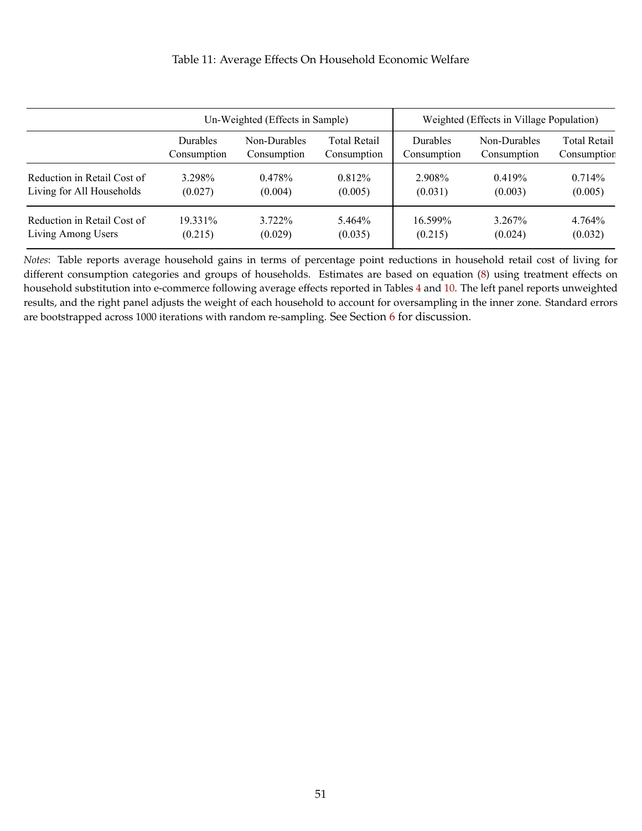#### Table 11: Average Effects On Household Economic Welfare

<span id="page-52-0"></span>

|                             |                 | Un-Weighted (Effects in Sample) |              | Weighted (Effects in Village Population) |              |                     |  |
|-----------------------------|-----------------|---------------------------------|--------------|------------------------------------------|--------------|---------------------|--|
|                             | <b>Durables</b> | Non-Durables                    | Total Retail | Durables                                 | Non-Durables | <b>Total Retail</b> |  |
|                             | Consumption     | Consumption                     | Consumption  | Consumption                              | Consumption  | Consumption         |  |
| Reduction in Retail Cost of | 3.298%          | 0.478%                          | 0.812%       | 2.908%                                   | 0.419%       | $0.714\%$           |  |
| Living for All Households   | (0.027)         | (0.004)                         | (0.005)      | (0.031)                                  | (0.003)      | (0.005)             |  |
| Reduction in Retail Cost of | 19.331\%        | 3.722\%                         | 5.464%       | 16.599%                                  | 3.267%       | 4.764%              |  |
| Living Among Users          | (0.215)         | (0.029)                         | (0.035)      | (0.215)                                  | (0.024)      | (0.032)             |  |

*Notes*: Table reports average household gains in terms of percentage point reductions in household retail cost of living for different consumption categories and groups of households. Estimates are based on equation [\(8\)](#page-32-0) using treatment effects on household substitution into e-commerce following average effects reported in Tables [4](#page-45-0) and [10.](#page-51-0) The left panel reports unweighted results, and the right panel adjusts the weight of each household to account for oversampling in the inner zone. Standard errors are bootstrapped across 1000 iterations with random re-sampling. See Section [6](#page-31-0) for discussion.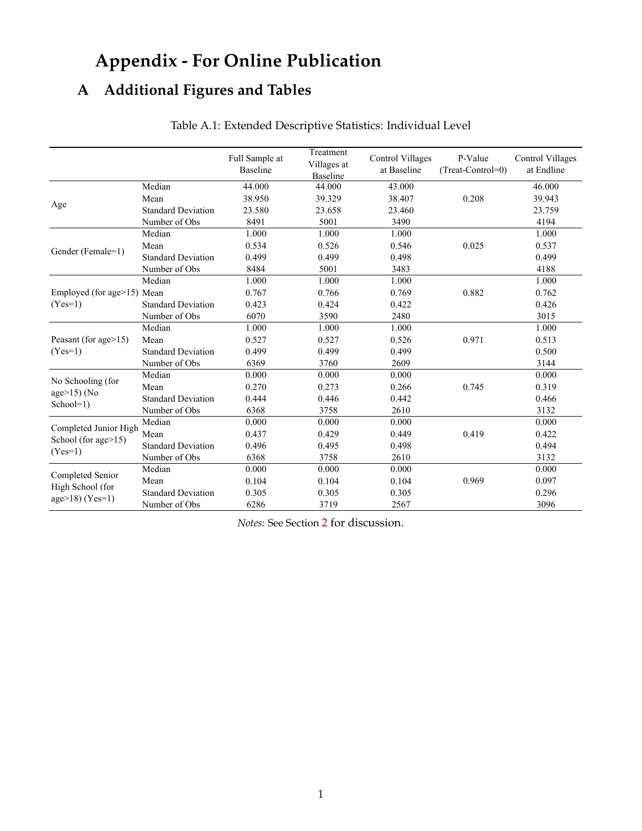# **Appendix - For Online Publication**

# <span id="page-53-0"></span>**A Additional Figures and Tables**

|                                |                           | Full Sample at<br><b>Baseline</b> | Treatment<br>Villages at<br><b>Baseline</b> | <b>Control Villages</b><br>at Baseline | P-Value<br>(Treat-Control=0) | Control Villages<br>at Endline |
|--------------------------------|---------------------------|-----------------------------------|---------------------------------------------|----------------------------------------|------------------------------|--------------------------------|
|                                | Median                    | 44.000                            | 44.000                                      | 43.000                                 |                              | 46.000                         |
|                                | Mean                      | 38.950                            | 39.329                                      | 38.407                                 | 0.208                        | 39.943                         |
| Age                            | <b>Standard Deviation</b> | 23.580                            | 23.658                                      | 23.460                                 |                              | 23.759                         |
|                                | Number of Obs             | 8491                              | 5001                                        | 3490                                   |                              | 4194                           |
|                                | Median                    | 1.000                             | 1.000                                       | 1.000                                  |                              | 1.000                          |
| Gender (Female=1)              | Mean                      | 0.534                             | 0.526                                       | 0.546                                  | 0.025                        | 0.537                          |
|                                | <b>Standard Deviation</b> | 0.499                             | 0.499                                       | 0.498                                  |                              | 0.499                          |
|                                | Number of Obs             | 8484                              | 5001                                        | 3483                                   |                              | 4188                           |
|                                | Median                    | 1.000                             | 1.000                                       | 1.000                                  |                              | 1.000                          |
| Employed (for age>15) Mean     |                           | 0.767                             | 0.766                                       | 0.769                                  | 0.882                        | 0.762                          |
| $(Yes=1)$                      | <b>Standard Deviation</b> | 0.423                             | 0.424                                       | 0.422                                  |                              | 0.426                          |
|                                | Number of Obs             | 6070                              | 3590                                        | 2480                                   |                              | 3015                           |
|                                | Median                    | 1.000                             | 1.000                                       | 1.000                                  |                              | 1.000                          |
| Peasant (for age $>15$ )       | Mean                      | 0.527                             | 0.527                                       | 0.526                                  | 0.971                        | 0.513                          |
| $(Yes=1)$                      | <b>Standard Deviation</b> | 0.499                             | 0.499                                       | 0.499                                  |                              | 0.500                          |
|                                | Number of Obs             | 6369                              | 3760                                        | 2609                                   |                              | 3144                           |
| No Schooling (for              | Median                    | 0.000                             | 0.000                                       | 0.000                                  |                              | 0.000                          |
|                                | Mean                      | 0.270                             | 0.273                                       | 0.266                                  | 0.745                        | 0.319                          |
| age $>15$ ) (No<br>$School=1)$ | <b>Standard Deviation</b> | 0.444                             | 0.446                                       | 0.442                                  |                              | 0.466                          |
|                                | Number of Obs             | 6368                              | 3758                                        | 2610                                   |                              | 3132                           |
| Completed Junior High          | Median                    | 0.000                             | 0.000                                       | 0.000                                  |                              | 0.000                          |
| School (for age>15)            | Mean                      | 0.437                             | 0.429                                       | 0.449                                  | 0.419                        | 0.422                          |
| $(Yes=1)$                      | <b>Standard Deviation</b> | 0.496                             | 0.495                                       | 0.498                                  |                              | 0.494                          |
|                                | Number of Obs             | 6368                              | 3758                                        | 2610                                   |                              | 3132                           |
|                                | Median                    | 0.000                             | 0.000                                       | 0.000                                  |                              | 0.000                          |
| Completed Senior               | Mean                      | 0.104                             | 0.104                                       | 0.104                                  | 0.969                        | 0.097                          |
| High School (for               | <b>Standard Deviation</b> | 0.305                             | 0.305                                       | 0.305                                  |                              | 0.296                          |
| $age>18) (Yes=1)$              | Number of Obs             | 6286                              | 3719                                        | 2567                                   |                              | 3096                           |

# Table A.1: Extended Descriptive Statistics: Individual Level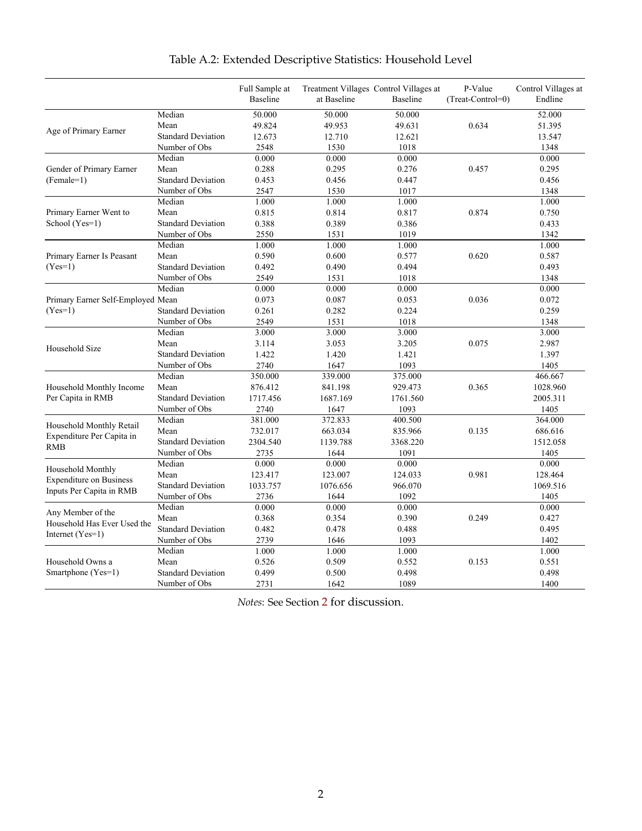|                                   |                           | Full Sample at<br><b>Baseline</b> | at Baseline | Treatment Villages Control Villages at<br><b>Baseline</b> | P-Value<br>(Treat-Control=0) | Control Villages at<br>Endline |
|-----------------------------------|---------------------------|-----------------------------------|-------------|-----------------------------------------------------------|------------------------------|--------------------------------|
|                                   |                           | 50.000                            |             |                                                           |                              |                                |
|                                   | Median                    |                                   | 50.000      | 50.000                                                    |                              | 52.000                         |
| Age of Primary Earner             | Mean                      | 49.824                            | 49.953      | 49.631                                                    | 0.634                        | 51.395                         |
|                                   | <b>Standard Deviation</b> | 12.673                            | 12.710      | 12.621                                                    |                              | 13.547                         |
|                                   | Number of Obs             | 2548                              | 1530        | 1018                                                      |                              | 1348                           |
|                                   | Median                    | 0.000                             | 0.000       | 0.000                                                     |                              | 0.000                          |
| Gender of Primary Earner          | Mean                      | 0.288                             | 0.295       | 0.276                                                     | 0.457                        | 0.295                          |
| $(Female=1)$                      | <b>Standard Deviation</b> | 0.453                             | 0.456       | 0.447                                                     |                              | 0.456                          |
|                                   | Number of Obs             | 2547                              | 1530        | 1017                                                      |                              | 1348                           |
|                                   | Median                    | 1.000                             | 1.000       | 1.000                                                     |                              | 1.000                          |
| Primary Earner Went to            | Mean                      | 0.815                             | 0.814       | 0.817                                                     | 0.874                        | 0.750                          |
| School (Yes=1)                    | <b>Standard Deviation</b> | 0.388                             | 0.389       | 0.386                                                     |                              | 0.433                          |
|                                   | Number of Obs             | 2550                              | 1531        | 1019                                                      |                              | 1342                           |
|                                   | Median                    | 1.000                             | 1.000       | 1.000                                                     |                              | 1.000                          |
| Primary Earner Is Peasant         | Mean                      | 0.590                             | 0.600       | 0.577                                                     | 0.620                        | 0.587                          |
| $(Yes=1)$                         | <b>Standard Deviation</b> | 0.492                             | 0.490       | 0.494                                                     |                              | 0.493                          |
|                                   | Number of Obs             | 2549                              | 1531        | 1018                                                      |                              | 1348                           |
|                                   | Median                    | 0.000                             | 0.000       | 0.000                                                     |                              | 0.000                          |
| Primary Earner Self-Employed Mean |                           | 0.073                             | 0.087       | 0.053                                                     | 0.036                        | 0.072                          |
| $(Yes=1)$                         | <b>Standard Deviation</b> | 0.261                             | 0.282       | 0.224                                                     |                              | 0.259                          |
|                                   | Number of Obs             | 2549                              | 1531        | 1018                                                      |                              | 1348                           |
|                                   | Median                    | 3.000                             | 3.000       | 3.000                                                     |                              | 3.000                          |
| Household Size                    | Mean                      | 3.114                             | 3.053       | 3.205                                                     | 0.075                        | 2.987                          |
|                                   | <b>Standard Deviation</b> | 1.422                             | 1.420       | 1.421                                                     |                              | 1.397                          |
|                                   | Number of Obs             | 2740                              | 1647        | 1093                                                      |                              | 1405                           |
|                                   | Median                    | 350.000                           | 339.000     | 375.000                                                   |                              | 466.667                        |
| Household Monthly Income          | Mean                      | 876.412                           | 841.198     | 929.473                                                   | 0.365                        | 1028.960                       |
| Per Capita in RMB                 | <b>Standard Deviation</b> | 1717.456                          | 1687.169    | 1761.560                                                  |                              | 2005.311                       |
|                                   | Number of Obs             | 2740                              | 1647        | 1093                                                      |                              | 1405                           |
|                                   | Median                    | 381.000                           | 372.833     | 400.500                                                   |                              | 364.000                        |
| Household Monthly Retail          | Mean                      | 732.017                           | 663.034     | 835.966                                                   | 0.135                        | 686.616                        |
| Expenditure Per Capita in         | <b>Standard Deviation</b> | 2304.540                          | 1139.788    | 3368.220                                                  |                              | 1512.058                       |
| <b>RMB</b>                        | Number of Obs             | 2735                              | 1644        | 1091                                                      |                              | 1405                           |
|                                   | Median                    | 0.000                             | 0.000       | 0.000                                                     |                              | 0.000                          |
| Household Monthly                 | Mean                      | 123.417                           | 123.007     | 124.033                                                   | 0.981                        | 128.464                        |
| <b>Expenditure on Business</b>    | <b>Standard Deviation</b> | 1033.757                          | 1076.656    | 966.070                                                   |                              | 1069.516                       |
| Inputs Per Capita in RMB          | Number of Obs             | 2736                              | 1644        | 1092                                                      |                              | 1405                           |
|                                   | Median                    | 0.000                             | 0.000       | 0.000                                                     |                              | 0.000                          |
| Any Member of the                 | Mean                      | 0.368                             | 0.354       | 0.390                                                     | 0.249                        | 0.427                          |
| Household Has Ever Used the       | <b>Standard Deviation</b> | 0.482                             | 0.478       | 0.488                                                     |                              | 0.495                          |
| Internet $(Yes=1)$                | Number of Obs             | 2739                              | 1646        | 1093                                                      |                              | 1402                           |
|                                   | Median                    | 1.000                             | 1.000       | 1.000                                                     |                              | 1.000                          |
| Household Owns a                  | Mean                      | 0.526                             | 0.509       | 0.552                                                     | 0.153                        | 0.551                          |
| Smartphone (Yes=1)                | <b>Standard Deviation</b> | 0.499                             | 0.500       | 0.498                                                     |                              | 0.498                          |
|                                   | Number of Obs             | 2731                              | 1642        | 1089                                                      |                              | 1400                           |

# Table A.2: Extended Descriptive Statistics: Household Level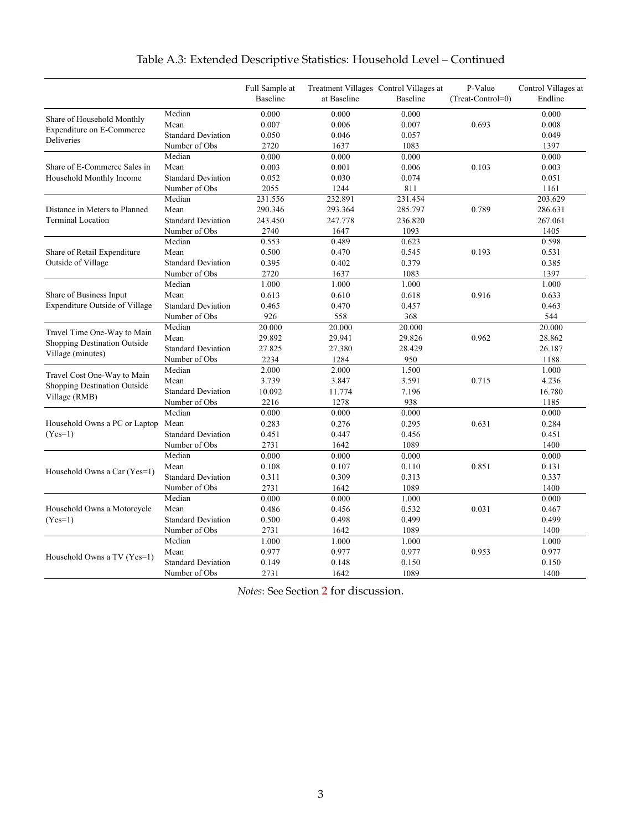|                                                             |                           | Full Sample at<br><b>Baseline</b> | at Baseline | Treatment Villages Control Villages at<br>Baseline | P-Value<br>(Treat-Control=0) | Control Villages at<br>Endline |
|-------------------------------------------------------------|---------------------------|-----------------------------------|-------------|----------------------------------------------------|------------------------------|--------------------------------|
|                                                             |                           |                                   |             |                                                    |                              |                                |
| Share of Household Monthly                                  | Median                    | 0.000                             | 0.000       | 0.000                                              |                              | 0.000                          |
| Expenditure on E-Commerce                                   | Mean                      | 0.007                             | 0.006       | 0.007                                              | 0.693                        | 0.008                          |
| Deliveries                                                  | <b>Standard Deviation</b> | 0.050                             | 0.046       | 0.057                                              |                              | 0.049                          |
|                                                             | Number of Obs             | 2720                              | 1637        | 1083                                               |                              | 1397                           |
|                                                             | Median                    | 0.000                             | 0.000       | 0.000                                              |                              | 0.000                          |
| Share of E-Commerce Sales in                                | Mean                      | 0.003                             | 0.001       | 0.006                                              | 0.103                        | 0.003                          |
| Household Monthly Income                                    | <b>Standard Deviation</b> | 0.052                             | 0.030       | 0.074                                              |                              | 0.051                          |
|                                                             | Number of Obs             | 2055                              | 1244        | 811                                                |                              | 1161                           |
|                                                             | Median                    | 231.556                           | 232.891     | 231.454                                            |                              | 203.629                        |
| Distance in Meters to Planned                               | Mean                      | 290.346                           | 293.364     | 285.797                                            | 0.789                        | 286.631                        |
| <b>Terminal Location</b>                                    | <b>Standard Deviation</b> | 243.450                           | 247.778     | 236.820                                            |                              | 267.061                        |
|                                                             | Number of Obs             | 2740                              | 1647        | 1093                                               |                              | 1405                           |
|                                                             | Median                    | 0.553                             | 0.489       | 0.623                                              |                              | 0.598                          |
| Share of Retail Expenditure                                 | Mean                      | 0.500                             | 0.470       | 0.545                                              | 0.193                        | 0.531                          |
| Outside of Village                                          | <b>Standard Deviation</b> | 0.395                             | 0.402       | 0.379                                              |                              | 0.385                          |
|                                                             | Number of Obs             | 2720                              | 1637        | 1083                                               |                              | 1397                           |
|                                                             | Median                    | 1.000                             | 1.000       | 1.000                                              |                              | 1.000                          |
| Share of Business Input                                     | Mean                      | 0.613                             | 0.610       | 0.618                                              | 0.916                        | 0.633                          |
| Expenditure Outside of Village                              | <b>Standard Deviation</b> | 0.465                             | 0.470       | 0.457                                              |                              | 0.463                          |
|                                                             | Number of Obs             | 926                               | 558         | 368                                                |                              | 544                            |
| Travel Time One-Way to Main<br>Shopping Destination Outside | Median                    | 20.000                            | 20.000      | 20.000                                             |                              | 20.000                         |
|                                                             | Mean                      | 29.892                            | 29.941      | 29.826                                             | 0.962                        | 28.862                         |
| Village (minutes)                                           | <b>Standard Deviation</b> | 27.825                            | 27.380      | 28.429                                             |                              | 26.187                         |
|                                                             | Number of Obs             | 2234                              | 1284        | 950                                                |                              | 1188                           |
|                                                             | Median                    | 2.000                             | 2.000       | 1.500                                              |                              | 1.000                          |
| Travel Cost One-Way to Main<br>Shopping Destination Outside | Mean                      | 3.739                             | 3.847       | 3.591                                              | 0.715                        | 4.236                          |
|                                                             | <b>Standard Deviation</b> | 10.092                            | 11.774      | 7.196                                              |                              | 16.780                         |
| Village (RMB)                                               | Number of Obs             | 2216                              | 1278        | 938                                                |                              | 1185                           |
|                                                             | Median                    | 0.000                             | 0.000       | 0.000                                              |                              | 0.000                          |
| Household Owns a PC or Laptop                               | Mean                      | 0.283                             | 0.276       | 0.295                                              | 0.631                        | 0.284                          |
| $(Yes=1)$                                                   | <b>Standard Deviation</b> | 0.451                             | 0.447       | 0.456                                              |                              | 0.451                          |
|                                                             | Number of Obs             | 2731                              | 1642        | 1089                                               |                              | 1400                           |
|                                                             | Median                    | 0.000                             | 0.000       | 0.000                                              |                              | 0.000                          |
|                                                             | Mean                      | 0.108                             | 0.107       | 0.110                                              | 0.851                        | 0.131                          |
| Household Owns a Car (Yes=1)                                | <b>Standard Deviation</b> | 0.311                             | 0.309       | 0.313                                              |                              | 0.337                          |
|                                                             | Number of Obs             | 2731                              | 1642        | 1089                                               |                              | 1400                           |
|                                                             | Median                    | 0.000                             | 0.000       | 1.000                                              |                              | 0.000                          |
| Household Owns a Motorcycle                                 | Mean                      | 0.486                             | 0.456       | 0.532                                              | 0.031                        | 0.467                          |
| $(Yes=1)$                                                   | <b>Standard Deviation</b> | 0.500                             | 0.498       | 0.499                                              |                              | 0.499                          |
|                                                             | Number of Obs             | 2731                              | 1642        | 1089                                               |                              | 1400                           |
|                                                             | Median                    | 1.000                             | 1.000       | 1.000                                              |                              | 1.000                          |
|                                                             | Mean                      | 0.977                             | 0.977       | 0.977                                              | 0.953                        | 0.977                          |
| Household Owns a TV (Yes=1)                                 | <b>Standard Deviation</b> | 0.149                             | 0.148       | 0.150                                              |                              | 0.150                          |
|                                                             | Number of Obs             | 2731                              | 1642        | 1089                                               |                              | 1400                           |

# Table A.3: Extended Descriptive Statistics: Household Level – Continued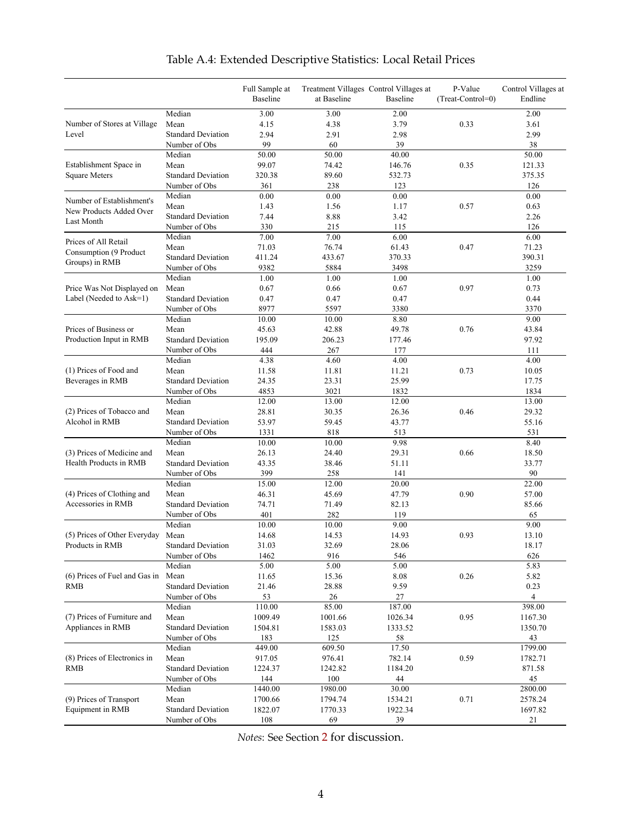<span id="page-56-0"></span>

|                               |                           | Full Sample at<br>Baseline | at Baseline | Treatment Villages Control Villages at<br>Baseline | P-Value<br>(Treat-Control=0) | Control Villages at<br>Endline |
|-------------------------------|---------------------------|----------------------------|-------------|----------------------------------------------------|------------------------------|--------------------------------|
|                               | Median                    | 3.00                       | 3.00        | 2.00                                               |                              | 2.00                           |
| Number of Stores at Village   | Mean                      | 4.15                       | 4.38        | 3.79                                               | 0.33                         | 3.61                           |
| Level                         | <b>Standard Deviation</b> | 2.94                       | 2.91        | 2.98                                               |                              | 2.99                           |
|                               | Number of Obs             | 99                         | 60          | 39                                                 |                              | 38                             |
|                               | Median                    | 50.00                      | 50.00       | 40.00                                              |                              | 50.00                          |
| Establishment Space in        | Mean                      | 99.07                      | 74.42       | 146.76                                             | 0.35                         | 121.33                         |
| <b>Square Meters</b>          | <b>Standard Deviation</b> | 320.38                     | 89.60       | 532.73                                             |                              | 375.35                         |
|                               | Number of Obs             | 361                        | 238         | 123                                                |                              | 126                            |
| Number of Establishment's     | Median                    | 0.00                       | 0.00        | 0.00                                               |                              | 0.00                           |
|                               | Mean                      | 1.43                       | 1.56        | 1.17                                               | 0.57                         | 0.63                           |
| New Products Added Over       | <b>Standard Deviation</b> | 7.44                       | 8.88        | 3.42                                               |                              | 2.26                           |
| Last Month                    | Number of Obs             | 330                        | 215         | 115                                                |                              | 126                            |
|                               | Median                    | 7.00                       | 7.00        | 6.00                                               |                              | 6.00                           |
| Prices of All Retail          | Mean                      | 71.03                      | 76.74       | 61.43                                              | 0.47                         | 71.23                          |
| Consumption (9 Product        | <b>Standard Deviation</b> | 411.24                     | 433.67      | 370.33                                             |                              | 390.31                         |
| Groups) in RMB                | Number of Obs             | 9382                       | 5884        | 3498                                               |                              | 3259                           |
|                               | Median                    | 1.00                       | 1.00        | 1.00                                               |                              | 1.00                           |
| Price Was Not Displayed on    | Mean                      | 0.67                       | 0.66        | 0.67                                               | 0.97                         | 0.73                           |
| Label (Needed to Ask=1)       | <b>Standard Deviation</b> | 0.47                       | 0.47        | 0.47                                               |                              | 0.44                           |
|                               | Number of Obs             | 8977                       | 5597        | 3380                                               |                              | 3370                           |
|                               | Median                    | 10.00                      | 10.00       | 8.80                                               |                              | 9.00                           |
| Prices of Business or         | Mean                      | 45.63                      | 42.88       | 49.78                                              | 0.76                         | 43.84                          |
| Production Input in RMB       | <b>Standard Deviation</b> | 195.09                     | 206.23      | 177.46                                             |                              | 97.92                          |
|                               | Number of Obs             | 444                        | 267         | 177                                                |                              | 111                            |
|                               | Median                    | 4.38                       | 4.60        | 4.00                                               |                              | 4.00                           |
| (1) Prices of Food and        | Mean                      | 11.58                      | 11.81       | 11.21                                              | 0.73                         | 10.05                          |
| Beverages in RMB              | <b>Standard Deviation</b> | 24.35                      | 23.31       | 25.99                                              |                              | 17.75                          |
|                               | Number of Obs             | 4853                       | 3021        | 1832                                               |                              | 1834                           |
|                               | Median                    | 12.00                      | 13.00       | 12.00                                              |                              | 13.00                          |
| (2) Prices of Tobacco and     | Mean                      | 28.81                      | 30.35       | 26.36                                              | 0.46                         | 29.32                          |
| Alcohol in RMB                | <b>Standard Deviation</b> | 53.97                      | 59.45       | 43.77                                              |                              | 55.16                          |
|                               | Number of Obs             | 1331                       | 818         | 513                                                |                              | 531                            |
|                               | Median                    | 10.00                      | 10.00       | 9.98                                               |                              | 8.40                           |
| (3) Prices of Medicine and    | Mean                      | 26.13                      | 24.40       | 29.31                                              | 0.66                         | 18.50                          |
| Health Products in RMB        | <b>Standard Deviation</b> | 43.35                      | 38.46       | 51.11                                              |                              | 33.77                          |
|                               | Number of Obs             | 399                        | 258         | 141                                                |                              | 90                             |
|                               | Median                    | 15.00                      | 12.00       | 20.00                                              |                              | 22.00                          |
| (4) Prices of Clothing and    | Mean                      | 46.31                      | 45.69       | 47.79                                              | 0.90                         | 57.00                          |
| Accessories in RMB            | <b>Standard Deviation</b> | 74.71                      | 71.49       | 82.13                                              |                              | 85.66                          |
|                               | Number of Obs             | 401                        | 282         | 119                                                |                              | 65                             |
|                               | Median                    | 10.00                      | 10.00       | 9.00                                               |                              | 9.00                           |
| (5) Prices of Other Everyday  | Mean                      | 14.68                      | 14.53       | 14.93                                              | 0.93                         | 13.10                          |
| Products in RMB               | <b>Standard Deviation</b> | 31.03                      | 32.69       | 28.06                                              |                              | 18.17                          |
|                               | Number of Obs             | 1462                       | 916         | 546                                                |                              | 626                            |
|                               | Median                    | 5.00                       | 5.00        | 5.00                                               |                              | 5.83                           |
| (6) Prices of Fuel and Gas in | Mean                      | 11.65                      | 15.36       | 8.08                                               | 0.26                         | 5.82                           |
| <b>RMB</b>                    | <b>Standard Deviation</b> | 21.46                      | 28.88       | 9.59                                               |                              | 0.23                           |
|                               | Number of Obs             | 53                         | 26          | 27                                                 |                              | 4                              |
|                               | Median                    | 110.00                     | 85.00       | 187.00                                             |                              | 398.00                         |
| (7) Prices of Furniture and   | Mean                      | 1009.49                    | 1001.66     | 1026.34                                            | 0.95                         | 1167.30                        |
| Appliances in RMB             | <b>Standard Deviation</b> | 1504.81                    | 1583.03     | 1333.52                                            |                              | 1350.70                        |
|                               | Number of Obs             | 183                        | 125         | 58                                                 |                              | 43                             |
|                               | Median                    | 449.00                     | 609.50      | 17.50                                              |                              | 1799.00                        |
| (8) Prices of Electronics in  | Mean                      | 917.05                     | 976.41      | 782.14                                             | 0.59                         | 1782.71                        |
| RMB                           | <b>Standard Deviation</b> | 1224.37                    | 1242.82     | 1184.20                                            |                              | 871.58                         |
|                               | Number of Obs             | 144                        | 100         | 44                                                 |                              | 45                             |
|                               | Median                    | 1440.00                    | 1980.00     | 30.00                                              |                              | 2800.00                        |
| (9) Prices of Transport       | Mean                      | 1700.66                    | 1794.74     | 1534.21                                            | 0.71                         | 2578.24                        |
| Equipment in RMB              | <b>Standard Deviation</b> | 1822.07                    | 1770.33     | 1922.34                                            |                              | 1697.82                        |
|                               | Number of Obs             | 108                        | 69          | 39                                                 |                              | 21                             |

# Table A.4: Extended Descriptive Statistics: Local Retail Prices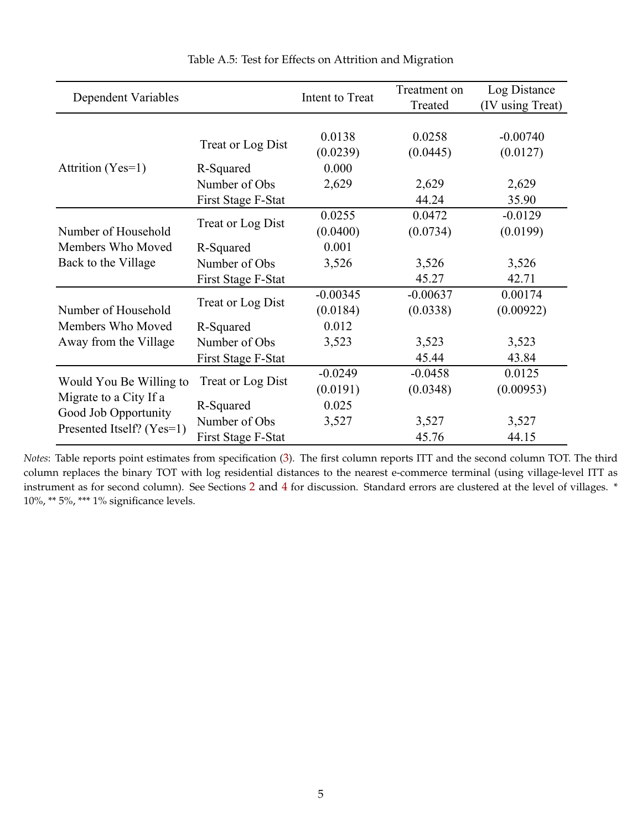<span id="page-57-0"></span>

| <b>Dependent Variables</b> |                    | Intent to Treat    | Treatment on<br>Treated | Log Distance<br>(IV using Treat) |
|----------------------------|--------------------|--------------------|-------------------------|----------------------------------|
|                            | Treat or Log Dist  | 0.0138<br>(0.0239) | 0.0258<br>(0.0445)      | $-0.00740$<br>(0.0127)           |
| Attrition (Yes=1)          | R-Squared          | 0.000              |                         |                                  |
|                            | Number of Obs      | 2,629              | 2,629                   | 2,629                            |
|                            | First Stage F-Stat |                    | 44.24                   | 35.90                            |
|                            | Treat or Log Dist  | 0.0255             | 0.0472                  | $-0.0129$                        |
| Number of Household        |                    | (0.0400)           | (0.0734)                | (0.0199)                         |
| Members Who Moved          | R-Squared          | 0.001              |                         |                                  |
| Back to the Village        | Number of Obs      | 3,526              | 3,526                   | 3,526                            |
|                            | First Stage F-Stat |                    | 45.27                   | 42.71                            |
|                            | Treat or Log Dist  | $-0.00345$         | $-0.00637$              | 0.00174                          |
| Number of Household        |                    | (0.0184)           | (0.0338)                | (0.00922)                        |
| Members Who Moved          | R-Squared          | 0.012              |                         |                                  |
| Away from the Village      | Number of Obs      | 3,523              | 3,523                   | 3,523                            |
|                            | First Stage F-Stat |                    | 45.44                   | 43.84                            |
| Would You Be Willing to    | Treat or Log Dist  | $-0.0249$          | $-0.0458$               | 0.0125                           |
| Migrate to a City If a     |                    | (0.0191)           | (0.0348)                | (0.00953)                        |
| Good Job Opportunity       | R-Squared          | 0.025              |                         |                                  |
| Presented Itself? (Yes=1)  | Number of Obs      | 3,527              | 3,527                   | 3,527                            |
|                            | First Stage F-Stat |                    | 45.76                   | 44.15                            |

Table A.5: Test for Effects on Attrition and Migration

*Notes*: Table reports point estimates from specification ([3](#page-20-0)). The first column reports ITT and the second column TOT. The third column replaces the binary TOT with log residential distances to the nearest e-commerce terminal (using village-level ITT as instrument as for second column). See Sections [2](#page-8-0) and [4](#page-19-0) for discussion. Standard errors are clustered at the level of villages. \* 10%, \*\* 5%, \*\*\* 1% significance levels.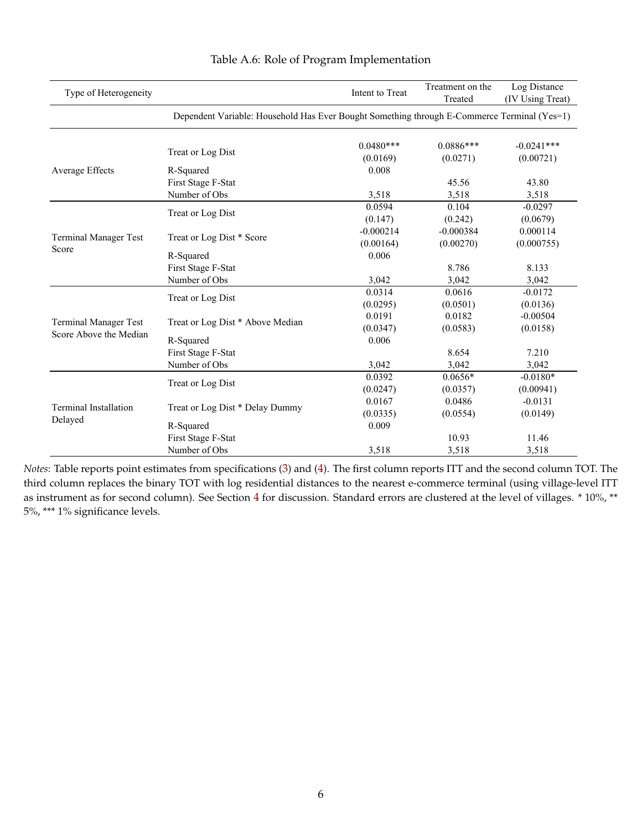<span id="page-58-0"></span>

| Type of Heterogeneity        |                                                                                             | Intent to Treat         | Treatment on the<br>Treated | Log Distance<br>(IV Using Treat) |
|------------------------------|---------------------------------------------------------------------------------------------|-------------------------|-----------------------------|----------------------------------|
|                              | Dependent Variable: Household Has Ever Bought Something through E-Commerce Terminal (Yes=1) |                         |                             |                                  |
|                              | Treat or Log Dist                                                                           | $0.0480***$<br>(0.0169) | $0.0886***$<br>(0.0271)     | $-0.0241***$<br>(0.00721)        |
| Average Effects              | R-Squared                                                                                   | 0.008                   |                             |                                  |
|                              | First Stage F-Stat                                                                          |                         | 45.56                       | 43.80                            |
|                              | Number of Obs                                                                               | 3,518                   | 3,518                       | 3,518                            |
|                              | Treat or Log Dist                                                                           | 0.0594                  | 0.104                       | $-0.0297$                        |
|                              |                                                                                             | (0.147)                 | (0.242)                     | (0.0679)                         |
| Terminal Manager Test        |                                                                                             | $-0.000214$             | $-0.000384$                 | 0.000114                         |
| Score                        | Treat or Log Dist * Score                                                                   | (0.00164)               | (0.00270)                   | (0.000755)                       |
|                              | R-Squared                                                                                   | 0.006                   |                             |                                  |
|                              | First Stage F-Stat                                                                          |                         | 8.786                       | 8.133                            |
|                              | Number of Obs                                                                               | 3,042                   | 3,042                       | 3,042                            |
|                              |                                                                                             | 0.0314                  | 0.0616                      | $-0.0172$                        |
|                              | Treat or Log Dist                                                                           | (0.0295)                | (0.0501)                    | (0.0136)                         |
|                              |                                                                                             | 0.0191                  | 0.0182                      | $-0.00504$                       |
| <b>Terminal Manager Test</b> | Treat or Log Dist * Above Median                                                            | (0.0347)                | (0.0583)                    | (0.0158)                         |
| Score Above the Median       | R-Squared                                                                                   | 0.006                   |                             |                                  |
|                              | First Stage F-Stat                                                                          |                         | 8.654                       | 7.210                            |
|                              | Number of Obs                                                                               | 3,042                   | 3,042                       | 3,042                            |
|                              |                                                                                             | 0.0392                  | $0.0656*$                   | $-0.0180*$                       |
|                              | Treat or Log Dist                                                                           | (0.0247)                | (0.0357)                    | (0.00941)                        |
|                              |                                                                                             | 0.0167                  | 0.0486                      | $-0.0131$                        |
| Terminal Installation        | Treat or Log Dist * Delay Dummy                                                             | (0.0335)                | (0.0554)                    | (0.0149)                         |
| Delayed                      | R-Squared                                                                                   | 0.009                   |                             |                                  |
|                              | First Stage F-Stat                                                                          |                         | 10.93                       | 11.46                            |
|                              | Number of Obs                                                                               | 3,518                   | 3,518                       | 3,518                            |

## Table A.6: Role of Program Implementation

*Notes*: Table reports point estimates from specifications ([3](#page-20-0)) and ([4](#page-22-0)). The first column reports ITT and the second column TOT. The third column replaces the binary TOT with log residential distances to the nearest e-commerce terminal (using village-level ITT as instrument as for second column). See Section [4](#page-19-0) for discussion. Standard errors are clustered at the level of villages. \* 10%, \*\* 5%, \*\*\* 1% significance levels.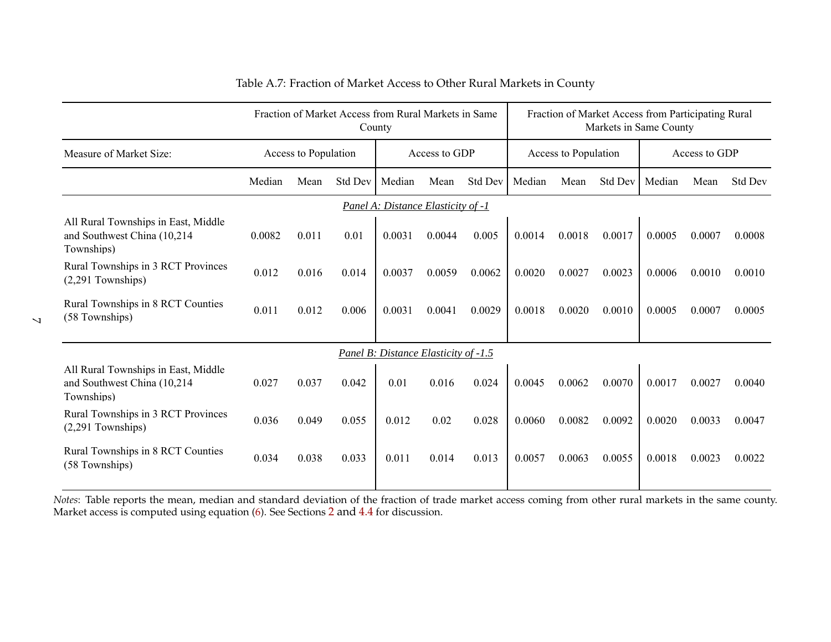|                                                                                   | Fraction of Market Access from Rural Markets in Same<br>County |       |         |                                      |        |                |                      | Fraction of Market Access from Participating Rural<br>Markets in Same County |                |        |        |                |
|-----------------------------------------------------------------------------------|----------------------------------------------------------------|-------|---------|--------------------------------------|--------|----------------|----------------------|------------------------------------------------------------------------------|----------------|--------|--------|----------------|
| Measure of Market Size:                                                           | Access to Population                                           |       |         | Access to GDP                        |        |                | Access to Population |                                                                              | Access to GDP  |        |        |                |
|                                                                                   | Median                                                         | Mean  | Std Dev | Median                               | Mean   | <b>Std Dev</b> | Median               | Mean                                                                         | <b>Std Dev</b> | Median | Mean   | <b>Std Dev</b> |
| Panel A: Distance Elasticity of -1                                                |                                                                |       |         |                                      |        |                |                      |                                                                              |                |        |        |                |
| All Rural Townships in East, Middle<br>and Southwest China (10,214)<br>Townships) | 0.0082                                                         | 0.011 | 0.01    | 0.0031                               | 0.0044 | 0.005          | 0.0014               | 0.0018                                                                       | 0.0017         | 0.0005 | 0.0007 | 0.0008         |
| Rural Townships in 3 RCT Provinces<br>$(2,291$ Townships)                         | 0.012                                                          | 0.016 | 0.014   | 0.0037                               | 0.0059 | 0.0062         | 0.0020               | 0.0027                                                                       | 0.0023         | 0.0006 | 0.0010 | 0.0010         |
| Rural Townships in 8 RCT Counties<br>(58 Townships)                               | 0.011                                                          | 0.012 | 0.006   | 0.0031                               | 0.0041 | 0.0029         | 0.0018               | 0.0020                                                                       | 0.0010         | 0.0005 | 0.0007 | 0.0005         |
|                                                                                   |                                                                |       |         | Panel B: Distance Elasticity of -1.5 |        |                |                      |                                                                              |                |        |        |                |
| All Rural Townships in East, Middle<br>and Southwest China (10,214)<br>Townships) | 0.027                                                          | 0.037 | 0.042   | 0.01                                 | 0.016  | 0.024          | 0.0045               | 0.0062                                                                       | 0.0070         | 0.0017 | 0.0027 | 0.0040         |
| Rural Townships in 3 RCT Provinces<br>$(2,291$ Townships)                         | 0.036                                                          | 0.049 | 0.055   | 0.012                                | 0.02   | 0.028          | 0.0060               | 0.0082                                                                       | 0.0092         | 0.0020 | 0.0033 | 0.0047         |
| Rural Townships in 8 RCT Counties<br>(58 Townships)                               | 0.034                                                          | 0.038 | 0.033   | 0.011                                | 0.014  | 0.013          | 0.0057               | 0.0063                                                                       | 0.0055         | 0.0018 | 0.0023 | 0.0022         |

# Table A.7: Fraction of Market Access to Other Rural Markets in County

*Notes*: Table reports the mean, median and standard deviation of the fraction of trade market access coming from other rural markets in the same county. Market access is computed using equation [\(6\)](#page-26-1). See Sections [2](#page-8-1) and [4.4](#page-25-2) for discussion.

<span id="page-59-0"></span> $\overline{\mathcal{L}}$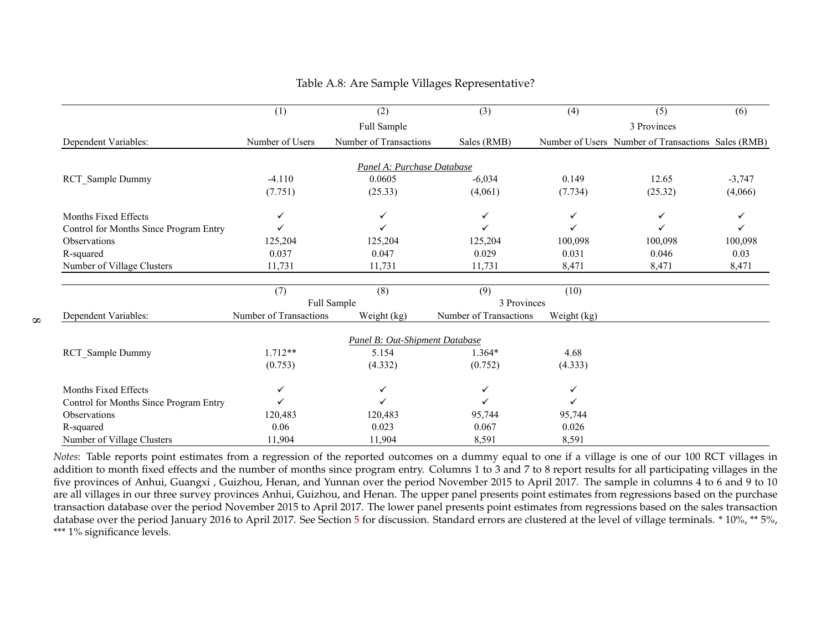|                                        | (1)                    | $\overline{(2)}$               | $\overline{3)}$        | (4)         | (5)                                                | (6)      |
|----------------------------------------|------------------------|--------------------------------|------------------------|-------------|----------------------------------------------------|----------|
|                                        |                        | Full Sample                    |                        |             | 3 Provinces                                        |          |
| Dependent Variables:                   | Number of Users        | Number of Transactions         | Sales (RMB)            |             | Number of Users Number of Transactions Sales (RMB) |          |
|                                        |                        |                                |                        |             |                                                    |          |
|                                        |                        | Panel A: Purchase Database     |                        |             |                                                    |          |
| RCT_Sample Dummy                       | $-4.110$               | 0.0605                         | $-6,034$               | 0.149       | 12.65                                              | $-3,747$ |
|                                        | (7.751)                | (25.33)                        | (4,061)                | (7.734)     | (25.32)                                            | (4,066)  |
| Months Fixed Effects                   | ✓                      | ✓                              | ✓                      | ✓           | ✓                                                  |          |
| Control for Months Since Program Entry |                        |                                |                        |             |                                                    |          |
| Observations                           | 125,204                | 125,204                        | 125,204                | 100,098     | 100,098                                            | 100,098  |
| R-squared                              | 0.037                  | 0.047                          | 0.029                  | 0.031       | 0.046                                              | 0.03     |
| Number of Village Clusters             | 11,731                 | 11,731                         | 11,731                 | 8,471       | 8,471                                              | 8,471    |
|                                        |                        |                                |                        |             |                                                    |          |
|                                        | (7)                    | (8)                            | (9)                    | (10)        |                                                    |          |
|                                        |                        | Full Sample                    | 3 Provinces            |             |                                                    |          |
| Dependent Variables:                   | Number of Transactions | Weight (kg)                    | Number of Transactions | Weight (kg) |                                                    |          |
|                                        |                        | Panel B: Out-Shipment Database |                        |             |                                                    |          |
| <b>RCT</b> Sample Dummy                | $1.712**$              | 5.154                          | 1.364*                 | 4.68        |                                                    |          |
|                                        | (0.753)                | (4.332)                        | (0.752)                | (4.333)     |                                                    |          |
| Months Fixed Effects                   | ✓                      | ✓                              | ✓                      | ✓           |                                                    |          |
| Control for Months Since Program Entry |                        |                                |                        | ✓           |                                                    |          |
| Observations                           | 120,483                | 120,483                        | 95,744                 | 95,744      |                                                    |          |
| R-squared                              | $0.06\,$               | 0.023                          | 0.067                  | 0.026       |                                                    |          |
| Number of Village Clusters             | 11,904                 | 11,904                         | 8,591                  | 8,591       |                                                    |          |

#### Table A.8: Are Sample Villages Representative?

<span id="page-60-0"></span>*Notes*: Table reports point estimates from a regression of the reported outcomes on a dummy equal to one if a village is one of our 100 RCT villages in addition to month fixed effects and the number of months since program entry. Columns <sup>1</sup> to 3 and <sup>7</sup> to 8 repor<sup>t</sup> results for all participating villages in the five provinces of Anhui, Guangxi , Guizhou, Henan, and Yunnan over the period November 2015 to April 2017. The sample in columns <sup>4</sup> to 6 and 9 to 10 are all villages in our three survey provinces Anhui, Guizhou, and Henan. The upper panel presents point estimates from regressions based on the purchase transaction database over the period November 2015 to April 2017. The lower panel presents point estimates from regressions based on the sales transaction database over the period January 2016 to April 2017. See Section [5](#page-28-1) for discussion. Standard errors are clustered at the level of village terminals. \* 10%, \*\* 5%, \*\*\* 1% significance levels.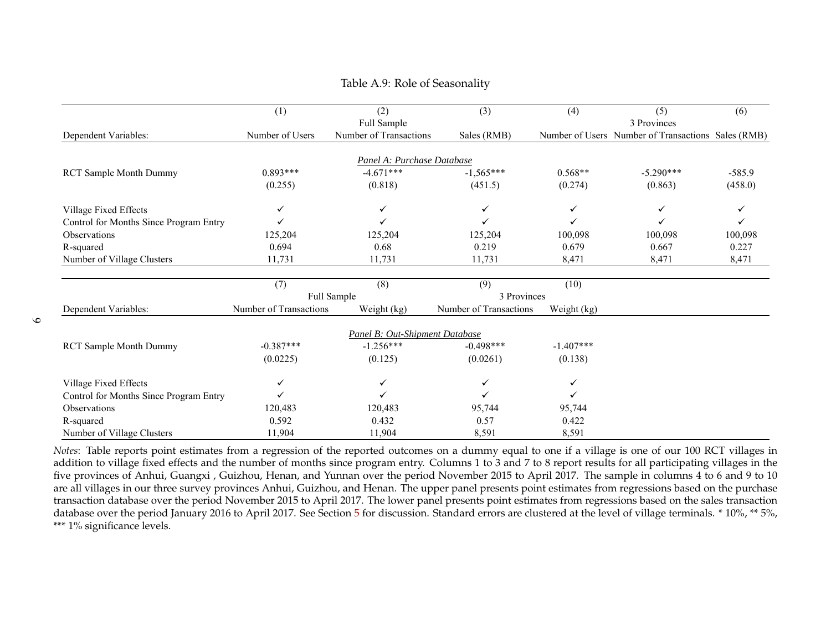|                                        | (1)                    | (2)                            | (3)                    | (4)         | (5)                                                | (6)      |
|----------------------------------------|------------------------|--------------------------------|------------------------|-------------|----------------------------------------------------|----------|
|                                        |                        | Full Sample                    |                        |             | 3 Provinces                                        |          |
| Dependent Variables:                   | Number of Users        | Number of Transactions         | Sales (RMB)            |             | Number of Users Number of Transactions Sales (RMB) |          |
|                                        |                        |                                |                        |             |                                                    |          |
|                                        |                        | Panel A: Purchase Database     |                        |             |                                                    |          |
| <b>RCT Sample Month Dummy</b>          | $0.893***$             | $-4.671***$                    | $-1,565***$            | $0.568**$   | $-5.290***$                                        | $-585.9$ |
|                                        | (0.255)                | (0.818)                        | (451.5)                | (0.274)     | (0.863)                                            | (458.0)  |
| Village Fixed Effects                  | ✓                      |                                | ✓                      |             |                                                    |          |
| Control for Months Since Program Entry |                        |                                |                        |             | ✓                                                  |          |
| Observations                           | 125,204                | 125,204                        | 125,204                | 100,098     | 100,098                                            | 100,098  |
| R-squared                              | 0.694                  | 0.68                           | 0.219                  | 0.679       | 0.667                                              | 0.227    |
| Number of Village Clusters             | 11,731                 | 11,731                         | 11,731                 | 8,471       | 8,471                                              | 8,471    |
|                                        |                        |                                |                        |             |                                                    |          |
|                                        | (7)                    | (8)                            | (9)                    | (10)        |                                                    |          |
|                                        |                        | Full Sample                    | 3 Provinces            |             |                                                    |          |
| Dependent Variables:                   | Number of Transactions | Weight (kg)                    | Number of Transactions | Weight (kg) |                                                    |          |
|                                        |                        | Panel B: Out-Shipment Database |                        |             |                                                    |          |
| <b>RCT Sample Month Dummy</b>          | $-0.387***$            | $-1.256***$                    | $-0.498***$            | $-1.407***$ |                                                    |          |
|                                        | (0.0225)               | (0.125)                        | (0.0261)               | (0.138)     |                                                    |          |
|                                        |                        |                                |                        |             |                                                    |          |
| Village Fixed Effects                  | ✓                      | ✓                              | ✓                      | ✓           |                                                    |          |
| Control for Months Since Program Entry |                        |                                |                        |             |                                                    |          |
| Observations                           | 120,483                | 120,483                        | 95,744                 | 95,744      |                                                    |          |
| R-squared                              | 0.592                  | 0.432                          | 0.57                   | 0.422       |                                                    |          |
| Number of Village Clusters             | 11,904                 | 11,904                         | 8,591                  | 8,591       |                                                    |          |

## <span id="page-61-0"></span>Table A.9: Role of Seasonality

*Notes*: Table reports point estimates from a regression of the reported outcomes on a dummy equal to one if a village is one of our 100 RCT villages in addition to village fixed effects and the number of months since program entry. Columns <sup>1</sup> to 3 and <sup>7</sup> to 8 repor<sup>t</sup> results for all participating villages in the five provinces of Anhui, Guangxi , Guizhou, Henan, and Yunnan over the period November 2015 to April 2017. The sample in columns <sup>4</sup> to 6 and 9 to 10 are all villages in our three survey provinces Anhui, Guizhou, and Henan. The upper panel presents point estimates from regressions based on the purchase transaction database over the period November 2015 to April 2017. The lower panel presents point estimates from regressions based on the sales transactiondatabase over the period January 2016 to April 2017. See Section [5](#page-28-1) for discussion. Standard errors are clustered at the level of village terminals. \* 10%, \*\* 5%,<br>\*\*\* 1% significance levels \*\*\* 1% significance levels.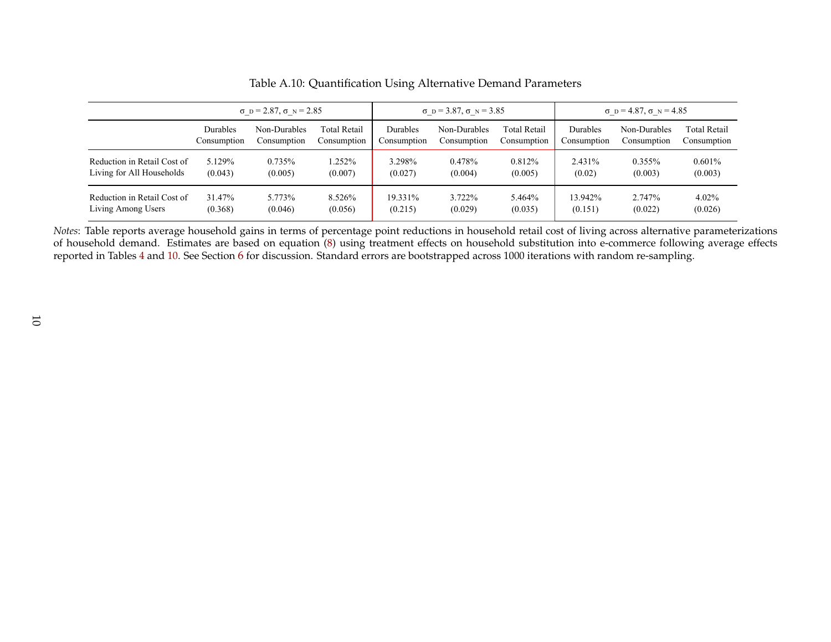|                             | $\sigma$ D = 2.87, $\sigma$ N = 2.85 |              |                     | $\sigma$ D = 3.87, $\sigma$ N = 3.85 |              |              | $\sigma$ D = 4.87, $\sigma$ N = 4.85 |              |                     |
|-----------------------------|--------------------------------------|--------------|---------------------|--------------------------------------|--------------|--------------|--------------------------------------|--------------|---------------------|
|                             | Durables                             | Non-Durables | <b>Total Retail</b> | Durables                             | Non-Durables | Total Retail | Durables                             | Non-Durables | <b>Total Retail</b> |
|                             | Consumption                          | Consumption  | Consumption         | Consumption                          | Consumption  | Consumption  | Consumption                          | Consumption  | Consumption         |
| Reduction in Retail Cost of | 5.129%                               | 0.735%       | $.252\%$            | 3.298%                               | 0.478%       | 0.812\%      | 2.431%                               | $0.355\%$    | 0.601%              |
| Living for All Households   | (0.043)                              | (0.005)      | (0.007)             | (0.027)                              | (0.004)      | (0.005)      | (0.02)                               | (0.003)      | (0.003)             |
| Reduction in Retail Cost of | 31.47%                               | 5.773%       | 8.526%              | 19.331%                              | 3.722%       | 5.464%       | 13.942%                              | 2.747%       | $4.02\%$            |
| Living Among Users          | (0.368)                              | (0.046)      | (0.056)             | (0.215)                              | (0.029)      | (0.035)      | (0.151)                              | (0.022)      | (0.026)             |

Table A.10: Quantification Using Alternative Demand Parameters

<span id="page-62-0"></span>*Notes*: Table reports average household gains in terms of percentage point reductions in household retail cost of living across alternative parameterizations of household demand. Estimates are based on equation [\(8\)](#page-32-1) using treatment effects on household substitution into e-commerce following average effectsreported in Tables [4](#page-45-1) and [10.](#page-51-1) See Section <mark>[6](#page-31-1)</mark> for discussion. Standard errors are bootstrapped across 1000 iterations with random re-sampling.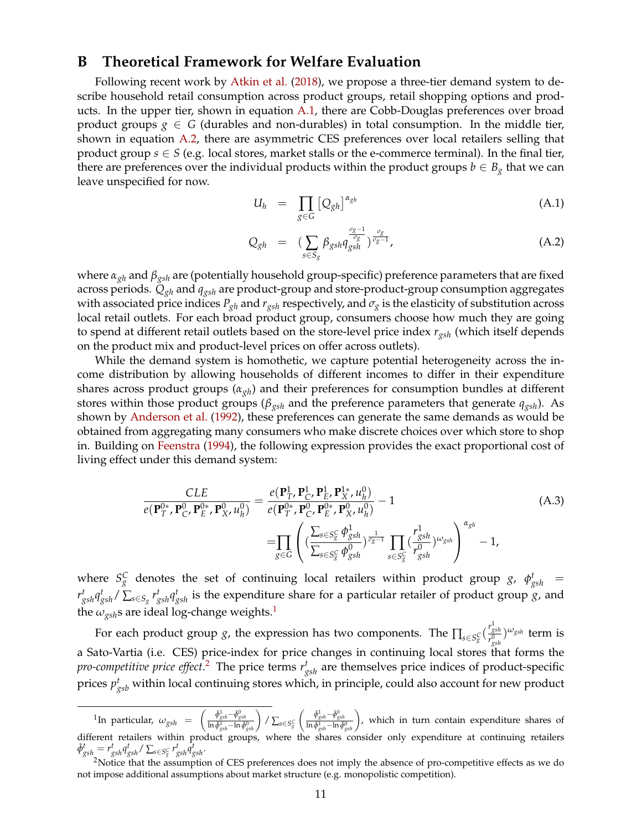# <span id="page-63-0"></span>**B Theoretical Framework for Welfare Evaluation**

Following recent work by [Atkin et al.](#page-36-3) [\(2018\)](#page-36-3), we propose a three-tier demand system to describe household retail consumption across product groups, retail shopping options and products. In the upper tier, shown in equation [A.1,](#page-63-1) there are Cobb-Douglas preferences over broad product groups  $g \in G$  (durables and non-durables) in total consumption. In the middle tier, shown in equation [A.2,](#page-63-1) there are asymmetric CES preferences over local retailers selling that product group  $s \in S$  (e.g. local stores, market stalls or the e-commerce terminal). In the final tier, there are preferences over the individual products within the product groups  $b \in B_g$  that we can leave unspecified for now.

<span id="page-63-1"></span>
$$
U_h = \prod_{g \in G} \left[ Q_{gh} \right]^{\alpha_{gh}} \tag{A.1}
$$

$$
Q_{gh} = \left(\sum_{s \in S_g} \beta_{gsh} q_{gsh}^{\frac{\sigma_g - 1}{\sigma_g}}\right)^{\frac{\sigma_g}{\sigma_g - 1}},\tag{A.2}
$$

where *αgh* and *βgsh* are (potentially household group-specific) preference parameters that are fixed across periods. *Qgh* and *qgsh* are product-group and store-product-group consumption aggregates with associated price indices  $P_{gh}$  and  $r_{gsh}$  respectively, and  $\sigma_g$  is the elasticity of substitution across local retail outlets. For each broad product group, consumers choose how much they are going to spend at different retail outlets based on the store-level price index *rgsh* (which itself depends on the product mix and product-level prices on offer across outlets).

While the demand system is homothetic, we capture potential heterogeneity across the income distribution by allowing households of different incomes to differ in their expenditure shares across product groups (*αgh*) and their preferences for consumption bundles at different stores within those product groups (*βgsh* and the preference parameters that generate *qgsh*). As shown by [Anderson et al.](#page-36-17) [\(1992\)](#page-36-17), these preferences can generate the same demands as would be obtained from aggregating many consumers who make discrete choices over which store to shop in. Building on [Feenstra](#page-36-2) [\(1994\)](#page-36-2), the following expression provides the exact proportional cost of living effect under this demand system:

<span id="page-63-2"></span>
$$
\frac{CLE}{e(\mathbf{P}_{T}^{0*}, \mathbf{P}_{C}^{0}, \mathbf{P}_{E}^{0*}, \mathbf{P}_{X}^{0}, u_{h}^{0})} = \frac{e(\mathbf{P}_{T}^{1}, \mathbf{P}_{C}^{1}, \mathbf{P}_{X}^{1*}, u_{h}^{0})}{e(\mathbf{P}_{T}^{0*}, \mathbf{P}_{C}^{0}, \mathbf{P}_{E}^{0*}, \mathbf{P}_{X}^{0}, u_{h}^{0})} - 1
$$
\n
$$
= \prod_{g \in G} \left( \frac{\sum_{s \in S_{S}^{c}} \phi_{gsh}^{1}}{\sum_{s \in S_{S}^{c}} \phi_{gsh}^{0}} \right)^{\frac{1}{\sigma_{g}-1}} \prod_{s \in S_{S}^{c}} \left( \frac{r_{gsh}^{1}}{r_{gsh}^{0}} \right)^{\omega_{gsh}} - 1,
$$
\n(A.3)

where  $S_g^C$  denotes the set of continuing local retailers within product group *g*,  $\phi_{gsh}^t$  =  $r^t_{gsh}q^t_{gsh}/\sum_{s\in S_g}r^t_{gsh}q^t_{gsh}$  is the expenditure share for a particular retailer of product group *g*, and the  $\omega_{\text{gsh}}$ s are ideal log-change weights.<sup>[1](#page--1-0)</sup>

For each product group *g*, the expression has two components. The  $\prod_{s \in S_g^C} (\frac{r_{gsh}^1}{r_{gsh}^2})$  $\binom{r_{\textit{gsh}}}{r_{\textit{gsh}}^{0}}^{\omega_{\textit{gsh}}}$  term is a Sato-Vartia (i.e. CES) price-index for price changes in continuing local stores that forms the *pro-competitive price effect*. [2](#page--1-0) The price terms *r t gsh* are themselves price indices of product-specific prices  $p^t_{gsb}$  within local continuing stores which, in principle, could also account for new product

 $^1$ In particular,  $\omega_{gsh}$  =  $\left(\frac{\tilde{\phi}_{gsh}^1-\tilde{\phi}_{gsh}^0}{\ln \tilde{\phi}_{gsh}^1-\ln \tilde{\phi}_{gsh}^0}\right)/\sum_{s\in S_g^C}$  $\left(\frac{\tilde{\phi}_{gsh}^{\tilde{\theta}}-\tilde{\phi}_{gsh}^{\tilde{\theta}}}{\ln \tilde{\phi}_{gsh}^{\tilde{\theta}}-\ln \tilde{\phi}_{gsh}^{\tilde{\theta}}}\right)$ , which in turn contain expenditure shares of different retailers within product groups, where the shares consider only expenditure at continuing retailers  $\tilde{\phi}_{gsh}^t = r_{gsh}^t q_{gsh}^t / \sum_{s \in S_g^C} r_{gsh}^t q_{gsh}^t$ .

<sup>&</sup>lt;sup>2</sup>Notice that the assumption of CES preferences does not imply the absence of pro-competitive effects as we do not impose additional assumptions about market structure (e.g. monopolistic competition).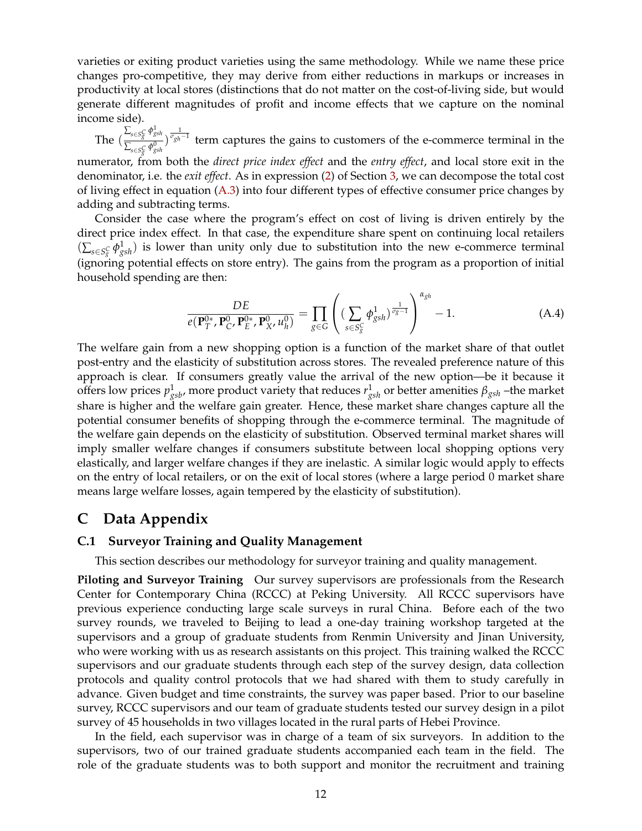varieties or exiting product varieties using the same methodology. While we name these price changes pro-competitive, they may derive from either reductions in markups or increases in productivity at local stores (distinctions that do not matter on the cost-of-living side, but would generate different magnitudes of profit and income effects that we capture on the nominal income side).

The  $\left(\frac{\sum_{s \in S_{g}^C} \phi_{gsh}^1}{\sum_{s \in S_{g}^0} \phi_{gsh}^0}\right)$  $\frac{\sum_{s \in S_S^C} \phi_{gsh}^1}{\sum_{s \in S_S^C} \phi_{gsh}^0}$   $\frac{1}{\sigma_{gh} - 1}$  term captures the gains to customers of the e-commerce terminal in the numerator, from both the *direct price index effect* and the *entry effect*, and local store exit in the

denominator, i.e. the *exit effect*. As in expression [\(2\)](#page-16-1) of Section [3,](#page-14-0) we can decompose the total cost of living effect in equation [\(A.3\)](#page-63-2) into four different types of effective consumer price changes by adding and subtracting terms.

Consider the case where the program's effect on cost of living is driven entirely by the direct price index effect. In that case, the expenditure share spent on continuing local retailers  $(\sum_{s \in S_S^C} \phi_{gsh}^1)$  is lower than unity only due to substitution into the new e-commerce terminal (ignoring potential effects on store entry). The gains from the program as a proportion of initial household spending are then:

$$
\frac{DE}{e(\mathbf{P}_T^{0*}, \mathbf{P}_C^0, \mathbf{P}_E^{0*}, \mathbf{P}_X^0, u_h^0)} = \prod_{g \in G} \left( \left( \sum_{s \in S_g^C} \phi_{gsh}^1 \right)^{\frac{1}{\sigma_g - 1}} \right)^{\alpha_{gh}} - 1.
$$
 (A.4)

The welfare gain from a new shopping option is a function of the market share of that outlet post-entry and the elasticity of substitution across stores. The revealed preference nature of this approach is clear. If consumers greatly value the arrival of the new option—be it because it offers low prices  $p^1_{gsb}$ , more product variety that reduces  $r^1_{gsh}$  or better amenities  $\beta_{gsh}$  –the market share is higher and the welfare gain greater. Hence, these market share changes capture all the potential consumer benefits of shopping through the e-commerce terminal. The magnitude of the welfare gain depends on the elasticity of substitution. Observed terminal market shares will imply smaller welfare changes if consumers substitute between local shopping options very elastically, and larger welfare changes if they are inelastic. A similar logic would apply to effects on the entry of local retailers, or on the exit of local stores (where a large period 0 market share means large welfare losses, again tempered by the elasticity of substitution).

# <span id="page-64-0"></span>**C Data Appendix**

#### **C.1 Surveyor Training and Quality Management**

This section describes our methodology for surveyor training and quality management.

**Piloting and Surveyor Training** Our survey supervisors are professionals from the Research Center for Contemporary China (RCCC) at Peking University. All RCCC supervisors have previous experience conducting large scale surveys in rural China. Before each of the two survey rounds, we traveled to Beijing to lead a one-day training workshop targeted at the supervisors and a group of graduate students from Renmin University and Jinan University, who were working with us as research assistants on this project. This training walked the RCCC supervisors and our graduate students through each step of the survey design, data collection protocols and quality control protocols that we had shared with them to study carefully in advance. Given budget and time constraints, the survey was paper based. Prior to our baseline survey, RCCC supervisors and our team of graduate students tested our survey design in a pilot survey of 45 households in two villages located in the rural parts of Hebei Province.

In the field, each supervisor was in charge of a team of six surveyors. In addition to the supervisors, two of our trained graduate students accompanied each team in the field. The role of the graduate students was to both support and monitor the recruitment and training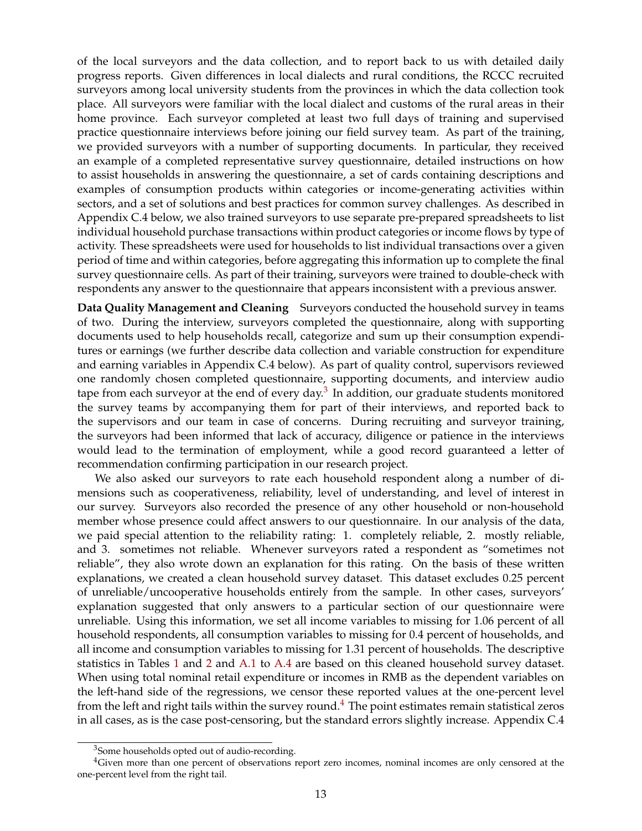of the local surveyors and the data collection, and to report back to us with detailed daily progress reports. Given differences in local dialects and rural conditions, the RCCC recruited surveyors among local university students from the provinces in which the data collection took place. All surveyors were familiar with the local dialect and customs of the rural areas in their home province. Each surveyor completed at least two full days of training and supervised practice questionnaire interviews before joining our field survey team. As part of the training, we provided surveyors with a number of supporting documents. In particular, they received an example of a completed representative survey questionnaire, detailed instructions on how to assist households in answering the questionnaire, a set of cards containing descriptions and examples of consumption products within categories or income-generating activities within sectors, and a set of solutions and best practices for common survey challenges. As described in Appendix C.4 below, we also trained surveyors to use separate pre-prepared spreadsheets to list individual household purchase transactions within product categories or income flows by type of activity. These spreadsheets were used for households to list individual transactions over a given period of time and within categories, before aggregating this information up to complete the final survey questionnaire cells. As part of their training, surveyors were trained to double-check with respondents any answer to the questionnaire that appears inconsistent with a previous answer.

**Data Quality Management and Cleaning** Surveyors conducted the household survey in teams of two. During the interview, surveyors completed the questionnaire, along with supporting documents used to help households recall, categorize and sum up their consumption expenditures or earnings (we further describe data collection and variable construction for expenditure and earning variables in Appendix C.4 below). As part of quality control, supervisors reviewed one randomly chosen completed questionnaire, supporting documents, and interview audio tape from each surveyor at the end of every day. $^3$  $^3$  In addition, our graduate students monitored the survey teams by accompanying them for part of their interviews, and reported back to the supervisors and our team in case of concerns. During recruiting and surveyor training, the surveyors had been informed that lack of accuracy, diligence or patience in the interviews would lead to the termination of employment, while a good record guaranteed a letter of recommendation confirming participation in our research project.

We also asked our surveyors to rate each household respondent along a number of dimensions such as cooperativeness, reliability, level of understanding, and level of interest in our survey. Surveyors also recorded the presence of any other household or non-household member whose presence could affect answers to our questionnaire. In our analysis of the data, we paid special attention to the reliability rating: 1. completely reliable, 2. mostly reliable, and 3. sometimes not reliable. Whenever surveyors rated a respondent as "sometimes not reliable", they also wrote down an explanation for this rating. On the basis of these written explanations, we created a clean household survey dataset. This dataset excludes 0.25 percent of unreliable/uncooperative households entirely from the sample. In other cases, surveyors' explanation suggested that only answers to a particular section of our questionnaire were unreliable. Using this information, we set all income variables to missing for 1.06 percent of all household respondents, all consumption variables to missing for 0.4 percent of households, and all income and consumption variables to missing for 1.31 percent of households. The descriptive statistics in Tables [1](#page-42-0) and [2](#page-43-0) and [A.1](#page-53-0) to [A.4](#page-56-0) are based on this cleaned household survey dataset. When using total nominal retail expenditure or incomes in RMB as the dependent variables on the left-hand side of the regressions, we censor these reported values at the one-percent level from the left and right tails within the survey round.<sup>[4](#page--1-0)</sup> The point estimates remain statistical zeros in all cases, as is the case post-censoring, but the standard errors slightly increase. Appendix C.4

<sup>&</sup>lt;sup>3</sup>Some households opted out of audio-recording.

 $4$ Given more than one percent of observations report zero incomes, nominal incomes are only censored at the one-percent level from the right tail.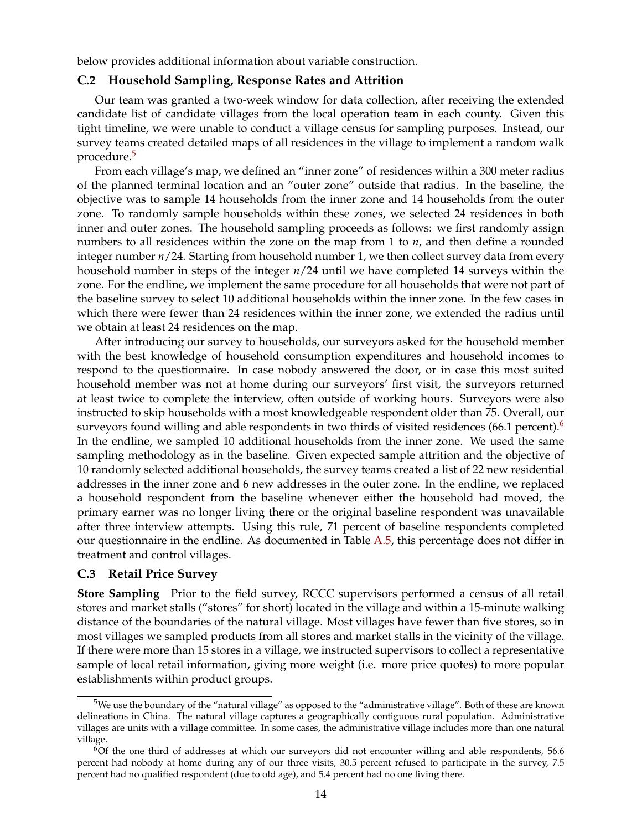below provides additional information about variable construction.

#### **C.2 Household Sampling, Response Rates and Attrition**

Our team was granted a two-week window for data collection, after receiving the extended candidate list of candidate villages from the local operation team in each county. Given this tight timeline, we were unable to conduct a village census for sampling purposes. Instead, our survey teams created detailed maps of all residences in the village to implement a random walk procedure.[5](#page--1-0)

From each village's map, we defined an "inner zone" of residences within a 300 meter radius of the planned terminal location and an "outer zone" outside that radius. In the baseline, the objective was to sample 14 households from the inner zone and 14 households from the outer zone. To randomly sample households within these zones, we selected 24 residences in both inner and outer zones. The household sampling proceeds as follows: we first randomly assign numbers to all residences within the zone on the map from 1 to *n*, and then define a rounded integer number *n*/24. Starting from household number 1, we then collect survey data from every household number in steps of the integer *n*/24 until we have completed 14 surveys within the zone. For the endline, we implement the same procedure for all households that were not part of the baseline survey to select 10 additional households within the inner zone. In the few cases in which there were fewer than 24 residences within the inner zone, we extended the radius until we obtain at least 24 residences on the map.

After introducing our survey to households, our surveyors asked for the household member with the best knowledge of household consumption expenditures and household incomes to respond to the questionnaire. In case nobody answered the door, or in case this most suited household member was not at home during our surveyors' first visit, the surveyors returned at least twice to complete the interview, often outside of working hours. Surveyors were also instructed to skip households with a most knowledgeable respondent older than 75. Overall, our surveyors found willing and able respondents in two thirds of visited residences ([6](#page--1-0)6.1 percent).<sup>6</sup> In the endline, we sampled 10 additional households from the inner zone. We used the same sampling methodology as in the baseline. Given expected sample attrition and the objective of 10 randomly selected additional households, the survey teams created a list of 22 new residential addresses in the inner zone and 6 new addresses in the outer zone. In the endline, we replaced a household respondent from the baseline whenever either the household had moved, the primary earner was no longer living there or the original baseline respondent was unavailable after three interview attempts. Using this rule, 71 percent of baseline respondents completed our questionnaire in the endline. As documented in Table [A.5,](#page-57-0) this percentage does not differ in treatment and control villages.

# **C.3 Retail Price Survey**

**Store Sampling** Prior to the field survey, RCCC supervisors performed a census of all retail stores and market stalls ("stores" for short) located in the village and within a 15-minute walking distance of the boundaries of the natural village. Most villages have fewer than five stores, so in most villages we sampled products from all stores and market stalls in the vicinity of the village. If there were more than 15 stores in a village, we instructed supervisors to collect a representative sample of local retail information, giving more weight (i.e. more price quotes) to more popular establishments within product groups.

<sup>&</sup>lt;sup>5</sup>We use the boundary of the "natural village" as opposed to the "administrative village". Both of these are known delineations in China. The natural village captures a geographically contiguous rural population. Administrative villages are units with a village committee. In some cases, the administrative village includes more than one natural village.

 $6$ Of the one third of addresses at which our surveyors did not encounter willing and able respondents, 56.6 percent had nobody at home during any of our three visits, 30.5 percent refused to participate in the survey, 7.5 percent had no qualified respondent (due to old age), and 5.4 percent had no one living there.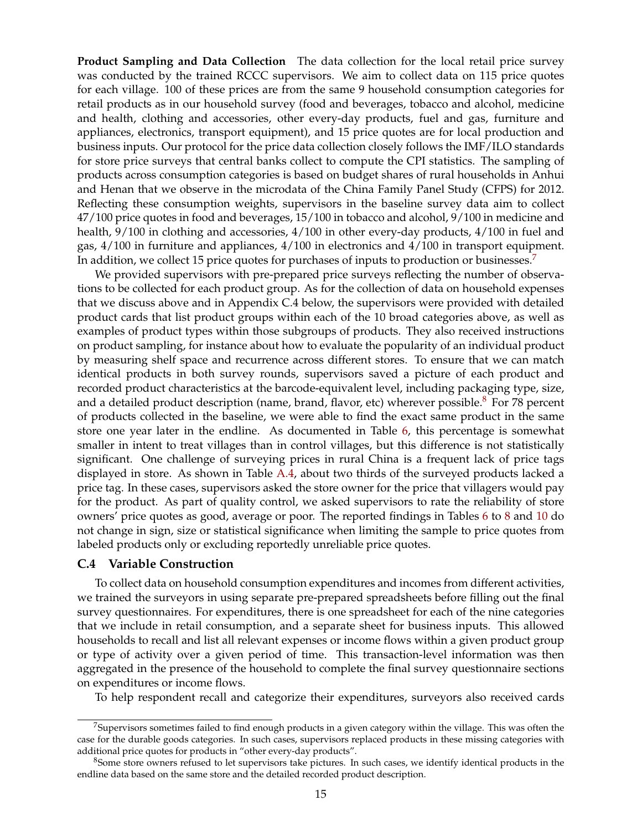**Product Sampling and Data Collection** The data collection for the local retail price survey was conducted by the trained RCCC supervisors. We aim to collect data on 115 price quotes for each village. 100 of these prices are from the same 9 household consumption categories for retail products as in our household survey (food and beverages, tobacco and alcohol, medicine and health, clothing and accessories, other every-day products, fuel and gas, furniture and appliances, electronics, transport equipment), and 15 price quotes are for local production and business inputs. Our protocol for the price data collection closely follows the IMF/ILO standards for store price surveys that central banks collect to compute the CPI statistics. The sampling of products across consumption categories is based on budget shares of rural households in Anhui and Henan that we observe in the microdata of the China Family Panel Study (CFPS) for 2012. Reflecting these consumption weights, supervisors in the baseline survey data aim to collect 47/100 price quotes in food and beverages, 15/100 in tobacco and alcohol, 9/100 in medicine and health, 9/100 in clothing and accessories, 4/100 in other every-day products, 4/100 in fuel and gas, 4/100 in furniture and appliances, 4/100 in electronics and 4/100 in transport equipment. In addition, we collect 15 price quotes for purchases of inputs to production or businesses.<sup>[7](#page--1-0)</sup>

We provided supervisors with pre-prepared price surveys reflecting the number of observations to be collected for each product group. As for the collection of data on household expenses that we discuss above and in Appendix C.4 below, the supervisors were provided with detailed product cards that list product groups within each of the 10 broad categories above, as well as examples of product types within those subgroups of products. They also received instructions on product sampling, for instance about how to evaluate the popularity of an individual product by measuring shelf space and recurrence across different stores. To ensure that we can match identical products in both survey rounds, supervisors saved a picture of each product and recorded product characteristics at the barcode-equivalent level, including packaging type, size, and a detailed product description (name, brand, flavor, etc) wherever possible.<sup>[8](#page--1-0)</sup> For 78 percent of products collected in the baseline, we were able to find the exact same product in the same store one year later in the endline. As documented in Table [6,](#page-47-0) this percentage is somewhat smaller in intent to treat villages than in control villages, but this difference is not statistically significant. One challenge of surveying prices in rural China is a frequent lack of price tags displayed in store. As shown in Table [A.4,](#page-56-0) about two thirds of the surveyed products lacked a price tag. In these cases, supervisors asked the store owner for the price that villagers would pay for the product. As part of quality control, we asked supervisors to rate the reliability of store owners' price quotes as good, average or poor. The reported findings in Tables [6](#page-47-0) to [8](#page-49-0) and [10](#page-51-0) do not change in sign, size or statistical significance when limiting the sample to price quotes from labeled products only or excluding reportedly unreliable price quotes.

#### **C.4 Variable Construction**

To collect data on household consumption expenditures and incomes from different activities, we trained the surveyors in using separate pre-prepared spreadsheets before filling out the final survey questionnaires. For expenditures, there is one spreadsheet for each of the nine categories that we include in retail consumption, and a separate sheet for business inputs. This allowed households to recall and list all relevant expenses or income flows within a given product group or type of activity over a given period of time. This transaction-level information was then aggregated in the presence of the household to complete the final survey questionnaire sections on expenditures or income flows.

To help respondent recall and categorize their expenditures, surveyors also received cards

 $7$ Supervisors sometimes failed to find enough products in a given category within the village. This was often the case for the durable goods categories. In such cases, supervisors replaced products in these missing categories with additional price quotes for products in "other every-day products".

<sup>&</sup>lt;sup>8</sup>Some store owners refused to let supervisors take pictures. In such cases, we identify identical products in the endline data based on the same store and the detailed recorded product description.